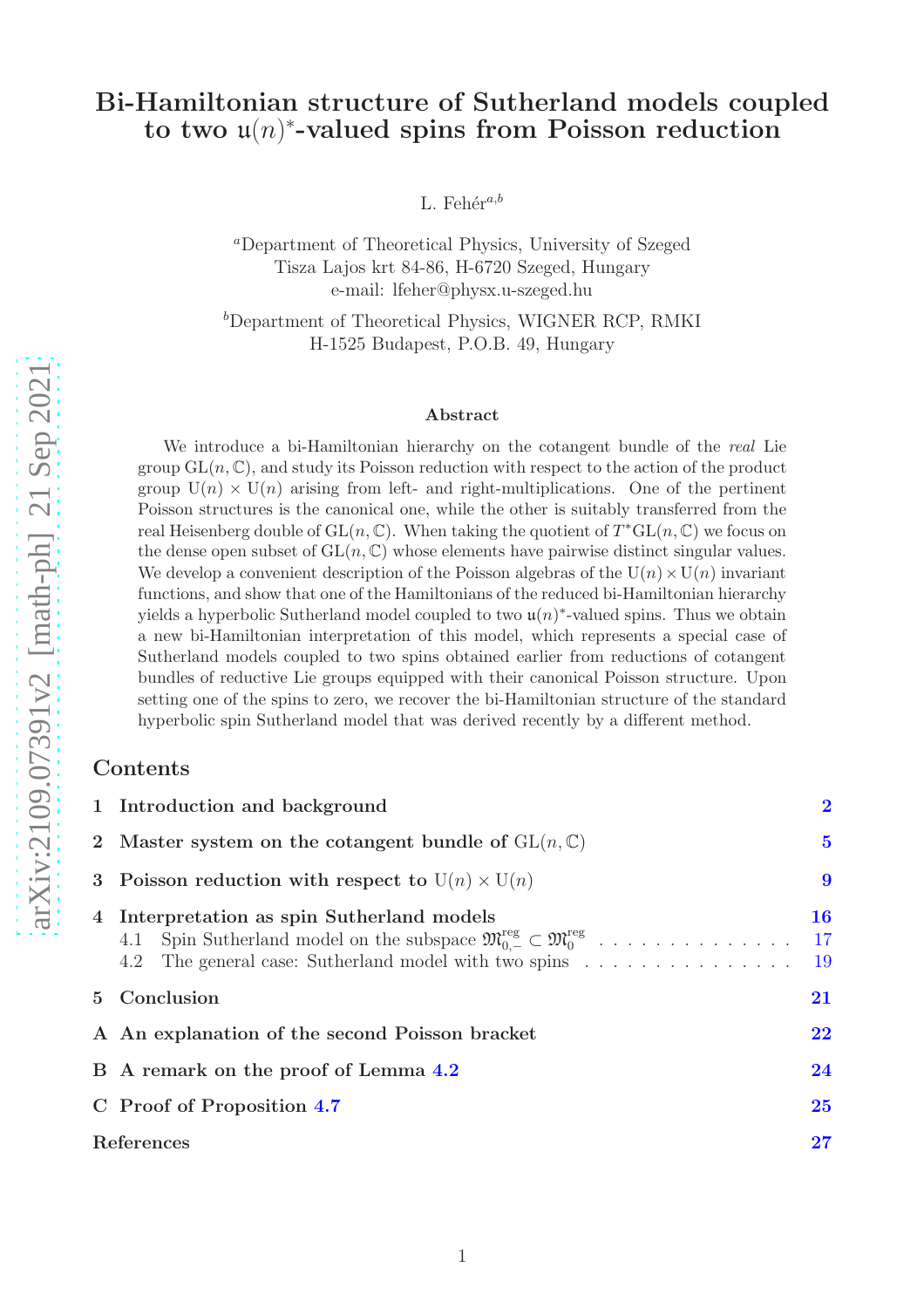## Bi-Hamiltonian structure of Sutherland models coupled to two  $\mathfrak{u}(n)$ <sup>\*</sup>-valued spins from Poisson reduction

L. Fehér<sup>a,b</sup>

<sup>a</sup>Department of Theoretical Physics, University of Szeged Tisza Lajos krt 84-86, H-6720 Szeged, Hungary e-mail: lfeher@physx.u-szeged.hu

<sup>b</sup>Department of Theoretical Physics, WIGNER RCP, RMKI H-1525 Budapest, P.O.B. 49, Hungary

#### Abstract

We introduce a bi-Hamiltonian hierarchy on the cotangent bundle of the real Lie group  $GL(n, \mathbb{C})$ , and study its Poisson reduction with respect to the action of the product group  $U(n) \times U(n)$  arising from left- and right-multiplications. One of the pertinent Poisson structures is the canonical one, while the other is suitably transferred from the real Heisenberg double of  $GL(n,\mathbb{C})$ . When taking the quotient of  $T^*GL(n,\mathbb{C})$  we focus on the dense open subset of  $GL(n, \mathbb{C})$  whose elements have pairwise distinct singular values. We develop a convenient description of the Poisson algebras of the  $U(n) \times U(n)$  invariant functions, and show that one of the Hamiltonians of the reduced bi-Hamiltonian hierarchy yields a hyperbolic Sutherland model coupled to two  $\mathfrak{u}(n)^*$ -valued spins. Thus we obtain a new bi-Hamiltonian interpretation of this model, which represents a special case of Sutherland models coupled to two spins obtained earlier from reductions of cotangent bundles of reductive Lie groups equipped with their canonical Poisson structure. Upon setting one of the spins to zero, we recover the bi-Hamiltonian structure of the standard hyperbolic spin Sutherland model that was derived recently by a different method.

#### Contents

|                | 1 Introduction and background                                                                                                                                                                                          | $\overline{2}$   |
|----------------|------------------------------------------------------------------------------------------------------------------------------------------------------------------------------------------------------------------------|------------------|
|                | 2 Master system on the cotangent bundle of $GL(n, \mathbb{C})$                                                                                                                                                         | $\bf{5}$         |
|                | 3 Poisson reduction with respect to $U(n) \times U(n)$                                                                                                                                                                 | 9                |
| $\overline{4}$ | Interpretation as spin Sutherland models<br>4.1 Spin Sutherland model on the subspace $\mathfrak{M}_{0,-}^{\text{reg}} \subset \mathfrak{M}_{0}^{\text{reg}}$<br>4.2 The general case: Sutherland model with two spins | 16<br>- 17<br>19 |
| $5^{\circ}$    | Conclusion                                                                                                                                                                                                             | 21               |
|                | A An explanation of the second Poisson bracket                                                                                                                                                                         | 22               |
|                | B A remark on the proof of Lemma 4.2                                                                                                                                                                                   | 24               |
|                | C Proof of Proposition 4.7                                                                                                                                                                                             | 25               |
|                | References                                                                                                                                                                                                             | 27               |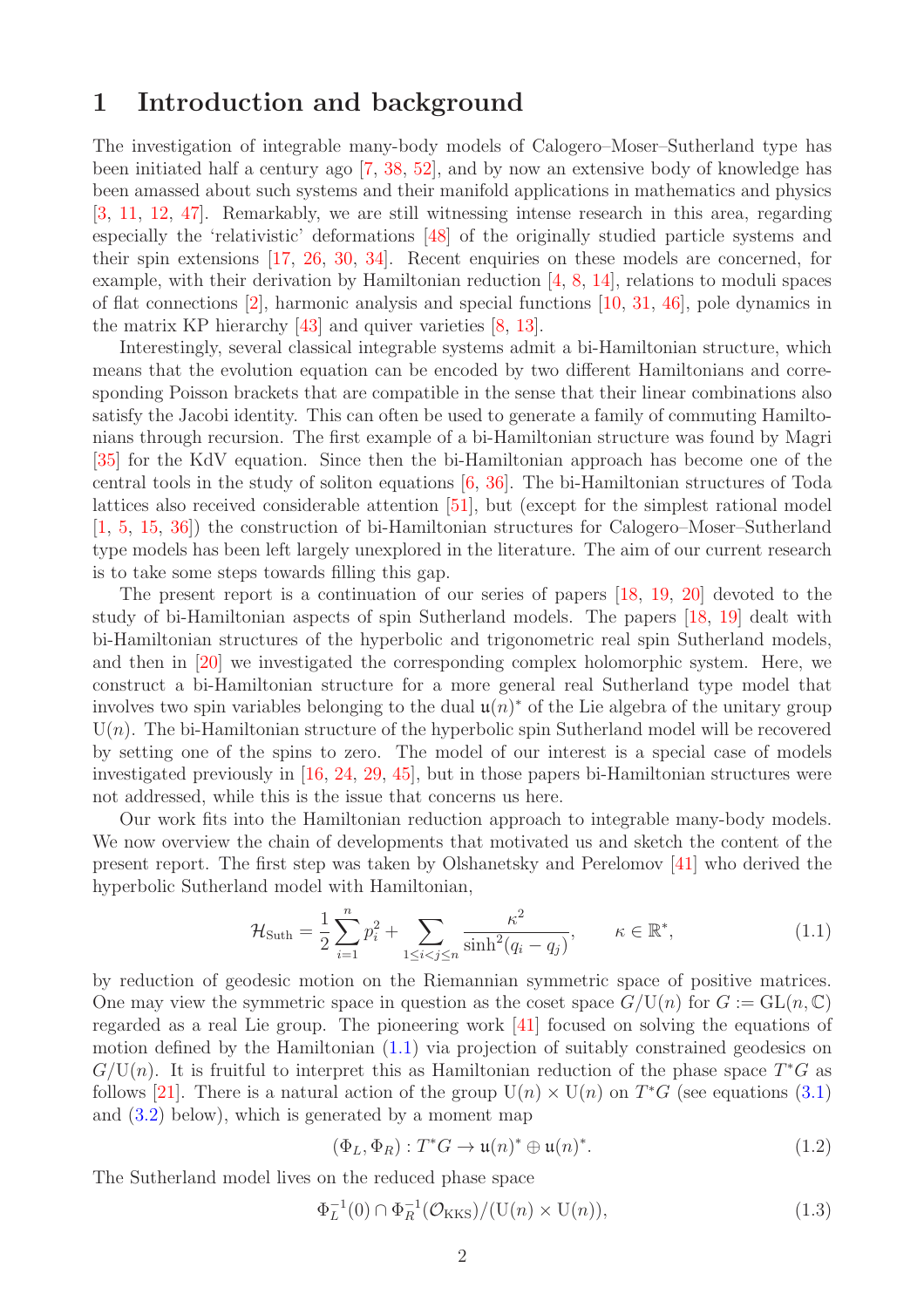## <span id="page-1-0"></span>1 Introduction and background

The investigation of integrable many-body models of Calogero–Moser–Sutherland type has been initiated half a century ago [\[7,](#page-26-1) [38,](#page-28-0) [52\]](#page-29-0), and by now an extensive body of knowledge has been amassed about such systems and their manifold applications in mathematics and physics [\[3,](#page-26-2) [11,](#page-27-0) [12,](#page-27-1) [47\]](#page-29-1). Remarkably, we are still witnessing intense research in this area, regarding especially the 'relativistic' deformations [\[48\]](#page-29-2) of the originally studied particle systems and their spin extensions [\[17,](#page-27-2) [26,](#page-28-1) [30,](#page-28-2) [34\]](#page-28-3). Recent enquiries on these models are concerned, for example, with their derivation by Hamiltonian reduction [\[4,](#page-26-3) [8,](#page-27-3) [14\]](#page-27-4), relations to moduli spaces of flat connections [\[2\]](#page-26-4), harmonic analysis and special functions [\[10,](#page-27-5) [31,](#page-28-4) [46\]](#page-29-3), pole dynamics in the matrix KP hierarchy [\[43\]](#page-28-5) and quiver varieties [\[8,](#page-27-3) [13\]](#page-27-6).

Interestingly, several classical integrable systems admit a bi-Hamiltonian structure, which means that the evolution equation can be encoded by two different Hamiltonians and corresponding Poisson brackets that are compatible in the sense that their linear combinations also satisfy the Jacobi identity. This can often be used to generate a family of commuting Hamiltonians through recursion. The first example of a bi-Hamiltonian structure was found by Magri [\[35\]](#page-28-6) for the KdV equation. Since then the bi-Hamiltonian approach has become one of the central tools in the study of soliton equations [\[6,](#page-26-5) [36\]](#page-28-7). The bi-Hamiltonian structures of Toda lattices also received considerable attention [\[51\]](#page-29-4), but (except for the simplest rational model [\[1,](#page-26-6) [5,](#page-26-7) [15,](#page-27-7) [36\]](#page-28-7)) the construction of bi-Hamiltonian structures for Calogero–Moser–Sutherland type models has been left largely unexplored in the literature. The aim of our current research is to take some steps towards filling this gap.

The present report is a continuation of our series of papers [\[18,](#page-27-8) [19,](#page-27-9) [20\]](#page-27-10) devoted to the study of bi-Hamiltonian aspects of spin Sutherland models. The papers [\[18,](#page-27-8) [19\]](#page-27-9) dealt with bi-Hamiltonian structures of the hyperbolic and trigonometric real spin Sutherland models, and then in [\[20\]](#page-27-10) we investigated the corresponding complex holomorphic system. Here, we construct a bi-Hamiltonian structure for a more general real Sutherland type model that involves two spin variables belonging to the dual  $\mathfrak{u}(n)^*$  of the Lie algebra of the unitary group  $U(n)$ . The bi-Hamiltonian structure of the hyperbolic spin Sutherland model will be recovered by setting one of the spins to zero. The model of our interest is a special case of models investigated previously in [\[16,](#page-27-11) [24,](#page-27-12) [29,](#page-28-8) [45\]](#page-29-5), but in those papers bi-Hamiltonian structures were not addressed, while this is the issue that concerns us here.

Our work fits into the Hamiltonian reduction approach to integrable many-body models. We now overview the chain of developments that motivated us and sketch the content of the present report. The first step was taken by Olshanetsky and Perelomov [\[41\]](#page-28-9) who derived the hyperbolic Sutherland model with Hamiltonian,

<span id="page-1-1"></span>
$$
\mathcal{H}_{\text{Suth}} = \frac{1}{2} \sum_{i=1}^{n} p_i^2 + \sum_{1 \le i < j \le n} \frac{\kappa^2}{\sinh^2(q_i - q_j)}, \qquad \kappa \in \mathbb{R}^*,\tag{1.1}
$$

by reduction of geodesic motion on the Riemannian symmetric space of positive matrices. One may view the symmetric space in question as the coset space  $G/U(n)$  for  $G := GL(n, \mathbb{C})$ regarded as a real Lie group. The pioneering work [\[41\]](#page-28-9) focused on solving the equations of motion defined by the Hamiltonian [\(1.1\)](#page-1-1) via projection of suitably constrained geodesics on  $G/U(n)$ . It is fruitful to interpret this as Hamiltonian reduction of the phase space  $T^*G$  as follows [\[21\]](#page-27-13). There is a natural action of the group  $U(n) \times U(n)$  on  $T^*G$  (see equations [\(3.1\)](#page-8-1) and  $(3.2)$  below), which is generated by a moment map

$$
(\Phi_L, \Phi_R) : T^*G \to \mathfrak{u}(n)^* \oplus \mathfrak{u}(n)^*.
$$
 (1.2)

The Sutherland model lives on the reduced phase space

<span id="page-1-2"></span>
$$
\Phi_L^{-1}(0) \cap \Phi_R^{-1}(\mathcal{O}_{\text{KKS}})/(U(n) \times U(n)),\tag{1.3}
$$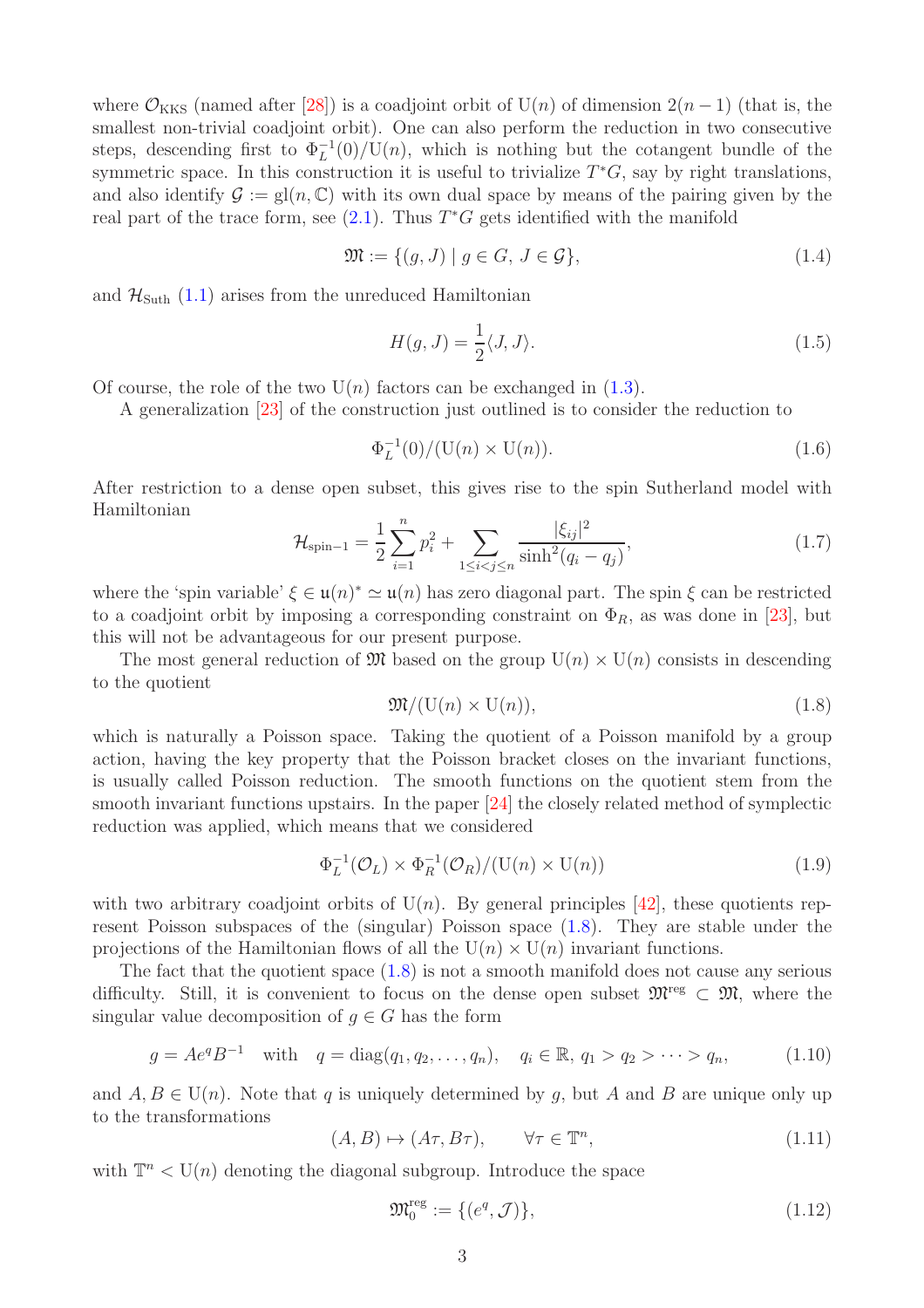where  $\mathcal{O}_{KKS}$  (named after [\[28\]](#page-28-10)) is a coadjoint orbit of U(n) of dimension  $2(n-1)$  (that is, the smallest non-trivial coadjoint orbit). One can also perform the reduction in two consecutive steps, descending first to  $\Phi_L^{-1}(0)/\mathrm{U}(n)$ , which is nothing but the cotangent bundle of the symmetric space. In this construction it is useful to trivialize  $T^*G$ , say by right translations, and also identify  $\mathcal{G} := \text{gl}(n, \mathbb{C})$  with its own dual space by means of the pairing given by the real part of the trace form, see  $(2.1)$ . Thus  $T^*G$  gets identified with the manifold

$$
\mathfrak{M} := \{ (g, J) \mid g \in G, J \in \mathcal{G} \},\tag{1.4}
$$

and  $\mathcal{H}_{\text{Suth}}$  [\(1.1\)](#page-1-1) arises from the unreduced Hamiltonian

<span id="page-2-3"></span>
$$
H(g,J) = \frac{1}{2} \langle J, J \rangle.
$$
 (1.5)

Of course, the role of the two  $U(n)$  factors can be exchanged in [\(1.3\)](#page-1-2).

A generalization [\[23\]](#page-27-14) of the construction just outlined is to consider the reduction to

$$
\Phi_L^{-1}(0) / (\mathcal{U}(n) \times \mathcal{U}(n)). \tag{1.6}
$$

After restriction to a dense open subset, this gives rise to the spin Sutherland model with Hamiltonian

<span id="page-2-4"></span>
$$
\mathcal{H}_{\text{spin}-1} = \frac{1}{2} \sum_{i=1}^{n} p_i^2 + \sum_{1 \le i < j \le n} \frac{|\xi_{ij}|^2}{\sinh^2(q_i - q_j)},\tag{1.7}
$$

where the 'spin variable'  $\xi \in \mathfrak{u}(n)^* \simeq \mathfrak{u}(n)$  has zero diagonal part. The spin  $\xi$  can be restricted to a coadjoint orbit by imposing a corresponding constraint on  $\Phi_R$ , as was done in [\[23\]](#page-27-14), but this will not be advantageous for our present purpose.

The most general reduction of  $\mathfrak{M}$  based on the group  $U(n) \times U(n)$  consists in descending to the quotient

<span id="page-2-0"></span>
$$
\mathfrak{M}/(\mathrm{U}(n)\times \mathrm{U}(n)),\tag{1.8}
$$

which is naturally a Poisson space. Taking the quotient of a Poisson manifold by a group action, having the key property that the Poisson bracket closes on the invariant functions, is usually called Poisson reduction. The smooth functions on the quotient stem from the smooth invariant functions upstairs. In the paper [\[24\]](#page-27-12) the closely related method of symplectic reduction was applied, which means that we considered

$$
\Phi_L^{-1}(\mathcal{O}_L) \times \Phi_R^{-1}(\mathcal{O}_R) / (\mathrm{U}(n) \times \mathrm{U}(n)) \tag{1.9}
$$

with two arbitrary coadjoint orbits of  $U(n)$ . By general principles [\[42\]](#page-28-11), these quotients represent Poisson subspaces of the (singular) Poisson space [\(1.8\)](#page-2-0). They are stable under the projections of the Hamiltonian flows of all the  $U(n) \times U(n)$  invariant functions.

The fact that the quotient space  $(1.8)$  is not a smooth manifold does not cause any serious difficulty. Still, it is convenient to focus on the dense open subset  $\mathfrak{M}^{\text{reg}} \subset \mathfrak{M}$ , where the singular value decomposition of  $g \in G$  has the form

<span id="page-2-1"></span>
$$
g = Ae^{q}B^{-1}
$$
 with  $q = diag(q_1, q_2, ..., q_n),$   $q_i \in \mathbb{R}, q_1 > q_2 > ... > q_n,$  (1.10)

and  $A, B \in U(n)$ . Note that q is uniquely determined by q, but A and B are unique only up to the transformations

<span id="page-2-2"></span>
$$
(A, B) \mapsto (A\tau, B\tau), \qquad \forall \tau \in \mathbb{T}^n,\tag{1.11}
$$

with  $\mathbb{T}^n < U(n)$  denoting the diagonal subgroup. Introduce the space

$$
\mathfrak{M}_0^{\text{reg}} := \{ (e^q, \mathcal{J}) \},\tag{1.12}
$$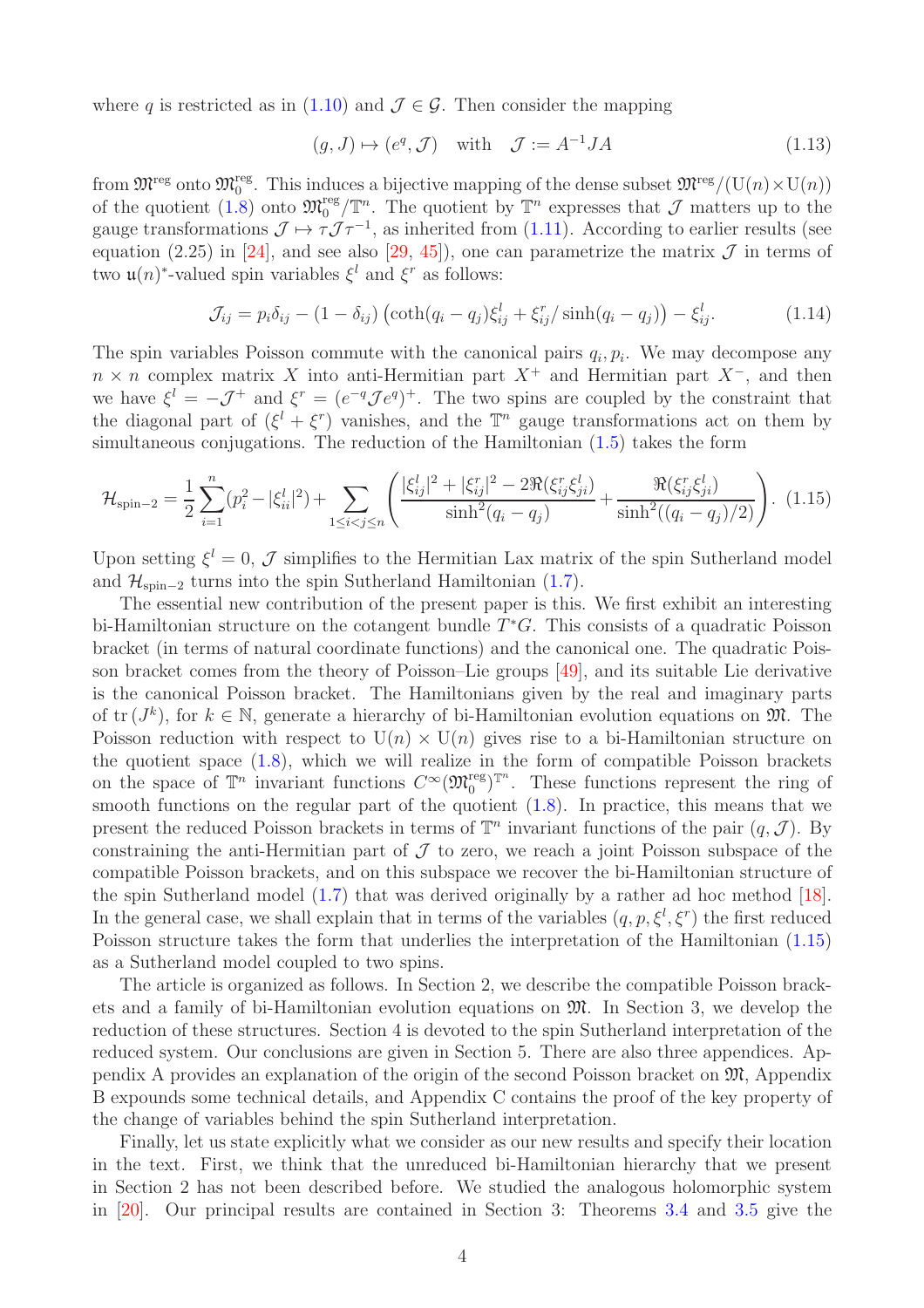where q is restricted as in [\(1.10\)](#page-2-1) and  $\mathcal{J} \in \mathcal{G}$ . Then consider the mapping

$$
(g, J) \mapsto (e^q, \mathcal{J}) \quad \text{with} \quad \mathcal{J} := A^{-1} J A \tag{1.13}
$$

from  $\mathfrak{M}^{\text{reg}}$  onto  $\mathfrak{M}^{\text{reg}}_0$ . This induces a bijective mapping of the dense subset  $\mathfrak{M}^{\text{reg}}/(\mathcal{U}(n)\times\mathcal{U}(n))$ of the quotient [\(1.8\)](#page-2-0) onto  $\mathfrak{M}^{\text{reg}}_{0}/\mathbb{T}^{n}$ . The quotient by  $\mathbb{T}^{n}$  expresses that  $\mathcal{J}$  matters up to the gauge transformations  $\mathcal{J} \mapsto \tau \mathcal{J} \tau^{-1}$ , as inherited from [\(1.11\)](#page-2-2). According to earlier results (see equation (2.25) in [\[24\]](#page-27-12), and see also [\[29,](#page-28-8) [45\]](#page-29-5)), one can parametrize the matrix  $\mathcal J$  in terms of two  $\mathfrak{u}(n)$ <sup>\*</sup>-valued spin variables  $\xi^l$  and  $\xi^r$  as follows:

$$
\mathcal{J}_{ij} = p_i \delta_{ij} - (1 - \delta_{ij}) \left( \coth(q_i - q_j) \xi_{ij}^l + \xi_{ij}^r / \sinh(q_i - q_j) \right) - \xi_{ij}^l. \tag{1.14}
$$

The spin variables Poisson commute with the canonical pairs  $q_i, p_i$ . We may decompose any  $n \times n$  complex matrix X into anti-Hermitian part  $X^+$  and Hermitian part  $X^-$ , and then we have  $\xi^l = -J^+$  and  $\xi^r = (e^{-q} \mathcal{J} e^q)^+$ . The two spins are coupled by the constraint that the diagonal part of  $(\xi^l + \xi^r)$  vanishes, and the  $\mathbb{T}^n$  gauge transformations act on them by simultaneous conjugations. The reduction of the Hamiltonian [\(1.5\)](#page-2-3) takes the form

<span id="page-3-0"></span>
$$
\mathcal{H}_{\text{spin}-2} = \frac{1}{2} \sum_{i=1}^{n} (p_i^2 - |\xi_{ii}^l|^2) + \sum_{1 \le i < j \le n} \left( \frac{|\xi_{ij}^l|^2 + |\xi_{ij}^r|^2 - 2\Re(\xi_{ij}^r \xi_{ji}^l)}{\sinh^2(q_i - q_j)} + \frac{\Re(\xi_{ij}^r \xi_{ji}^l)}{\sinh^2((q_i - q_j)/2)} \right). \tag{1.15}
$$

Upon setting  $\xi^l = 0$ , J simplifies to the Hermitian Lax matrix of the spin Sutherland model and  $\mathcal{H}_{\text{spin}-2}$  turns into the spin Sutherland Hamiltonian [\(1.7\)](#page-2-4).

The essential new contribution of the present paper is this. We first exhibit an interesting bi-Hamiltonian structure on the cotangent bundle  $T^*G$ . This consists of a quadratic Poisson bracket (in terms of natural coordinate functions) and the canonical one. The quadratic Poisson bracket comes from the theory of Poisson–Lie groups [\[49\]](#page-29-6), and its suitable Lie derivative is the canonical Poisson bracket. The Hamiltonians given by the real and imaginary parts of  $\text{tr}(J^k)$ , for  $k \in \mathbb{N}$ , generate a hierarchy of bi-Hamiltonian evolution equations on  $\mathfrak{M}$ . The Poisson reduction with respect to  $U(n) \times U(n)$  gives rise to a bi-Hamiltonian structure on the quotient space [\(1.8\)](#page-2-0), which we will realize in the form of compatible Poisson brackets on the space of  $\mathbb{T}^n$  invariant functions  $C^{\infty}(\mathfrak{M}_0^{\text{reg}})^{\mathbb{T}^n}$ . These functions represent the ring of smooth functions on the regular part of the quotient  $(1.8)$ . In practice, this means that we present the reduced Poisson brackets in terms of  $\mathbb{T}^n$  invariant functions of the pair  $(q, \mathcal{J})$ . By constraining the anti-Hermitian part of  $\mathcal J$  to zero, we reach a joint Poisson subspace of the compatible Poisson brackets, and on this subspace we recover the bi-Hamiltonian structure of the spin Sutherland model [\(1.7\)](#page-2-4) that was derived originally by a rather ad hoc method [\[18\]](#page-27-8). In the general case, we shall explain that in terms of the variables  $(q, p, \xi^l, \xi^r)$  the first reduced Poisson structure takes the form that underlies the interpretation of the Hamiltonian [\(1.15\)](#page-3-0) as a Sutherland model coupled to two spins.

The article is organized as follows. In Section 2, we describe the compatible Poisson brackets and a family of bi-Hamiltonian evolution equations on M. In Section 3, we develop the reduction of these structures. Section 4 is devoted to the spin Sutherland interpretation of the reduced system. Our conclusions are given in Section 5. There are also three appendices. Appendix A provides an explanation of the origin of the second Poisson bracket on M, Appendix B expounds some technical details, and Appendix C contains the proof of the key property of the change of variables behind the spin Sutherland interpretation.

Finally, let us state explicitly what we consider as our new results and specify their location in the text. First, we think that the unreduced bi-Hamiltonian hierarchy that we present in Section 2 has not been described before. We studied the analogous holomorphic system in [\[20\]](#page-27-10). Our principal results are contained in Section 3: Theorems [3.4](#page-12-0) and [3.5](#page-13-0) give the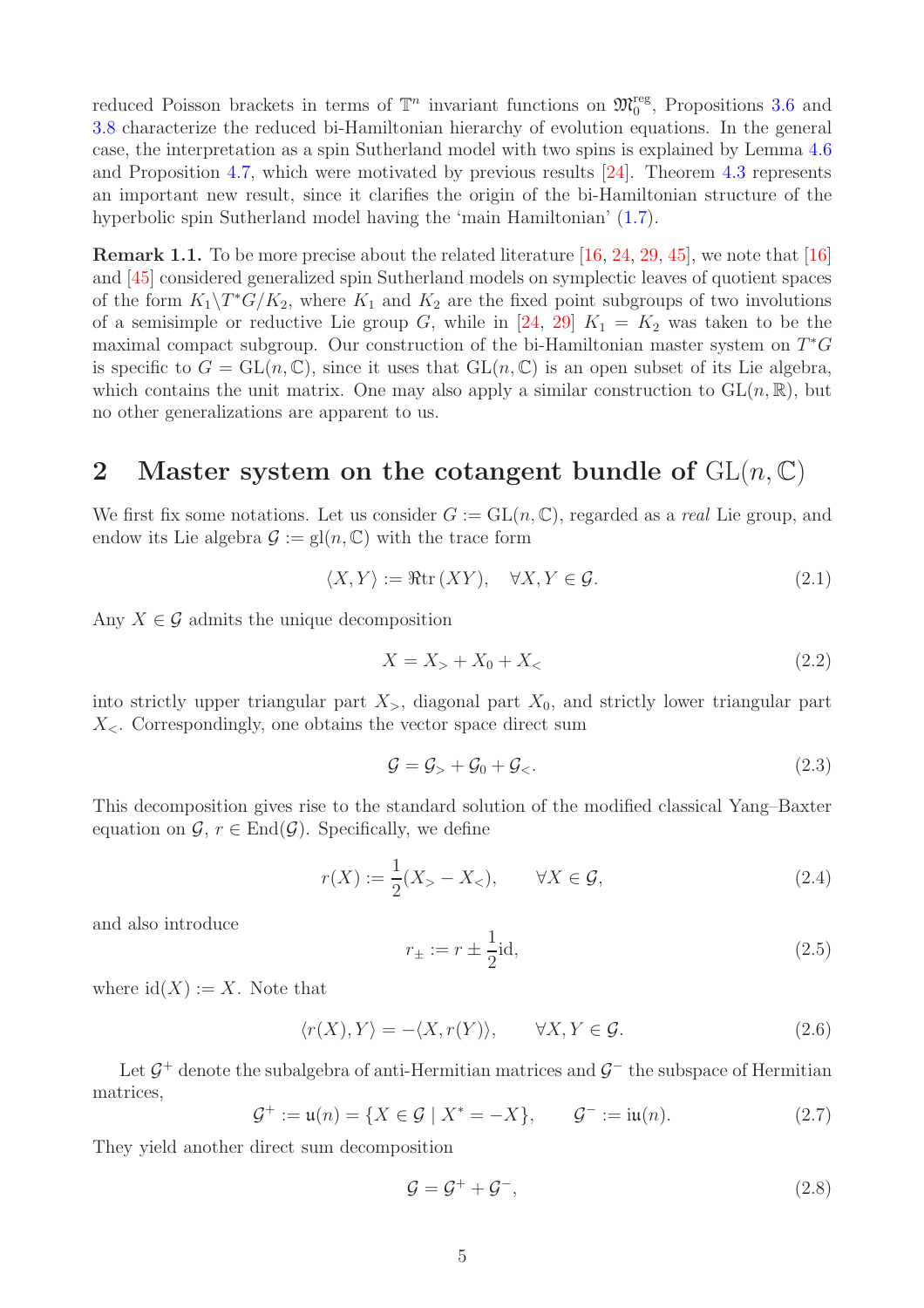reduced Poisson brackets in terms of  $\mathbb{T}^n$  invariant functions on  $\mathfrak{M}^{\text{reg}}_0$ , Propositions [3.6](#page-13-1) and [3.8](#page-14-0) characterize the reduced bi-Hamiltonian hierarchy of evolution equations. In the general case, the interpretation as a spin Sutherland model with two spins is explained by Lemma [4.6](#page-18-1) and Proposition [4.7,](#page-20-1) which were motivated by previous results [\[24\]](#page-27-12). Theorem [4.3](#page-17-0) represents an important new result, since it clarifies the origin of the bi-Hamiltonian structure of the hyperbolic spin Sutherland model having the 'main Hamiltonian'  $(1.7)$ .

Remark 1.1. To be more precise about the related literature [\[16,](#page-27-11) [24,](#page-27-12) [29,](#page-28-8) [45\]](#page-29-5), we note that [\[16\]](#page-27-11) and [\[45\]](#page-29-5) considered generalized spin Sutherland models on symplectic leaves of quotient spaces of the form  $K_1 \backslash T^*G/K_2$ , where  $K_1$  and  $K_2$  are the fixed point subgroups of two involutions of a semisimple or reductive Lie group G, while in [\[24,](#page-27-12) [29\]](#page-28-8)  $K_1 = K_2$  was taken to be the maximal compact subgroup. Our construction of the bi-Hamiltonian master system on  $T^*G$ is specific to  $G = GL(n, \mathbb{C})$ , since it uses that  $GL(n, \mathbb{C})$  is an open subset of its Lie algebra, which contains the unit matrix. One may also apply a similar construction to  $GL(n, \mathbb{R})$ , but no other generalizations are apparent to us.

## <span id="page-4-0"></span>2 Master system on the cotangent bundle of  $GL(n, \mathbb{C})$

We first fix some notations. Let us consider  $G := GL(n, \mathbb{C})$ , regarded as a *real* Lie group, and endow its Lie algebra  $\mathcal{G} := \text{gl}(n, \mathbb{C})$  with the trace form

<span id="page-4-1"></span>
$$
\langle X, Y \rangle := \Re \text{tr}(XY), \quad \forall X, Y \in \mathcal{G}.
$$
\n(2.1)

Any  $X \in \mathcal{G}$  admits the unique decomposition

<span id="page-4-7"></span>
$$
X = X_+ + X_0 + X_< \t\t(2.2)
$$

into strictly upper triangular part  $X_{>}$ , diagonal part  $X_0$ , and strictly lower triangular part  $X_{\leq}$ . Correspondingly, one obtains the vector space direct sum

<span id="page-4-8"></span>
$$
\mathcal{G} = \mathcal{G}_{>} + \mathcal{G}_{0} + \mathcal{G}_{<}. \tag{2.3}
$$

This decomposition gives rise to the standard solution of the modified classical Yang–Baxter equation on  $\mathcal{G}, r \in \text{End}(\mathcal{G})$ . Specifically, we define

<span id="page-4-2"></span>
$$
r(X) := \frac{1}{2}(X_{>} - X_{<}), \qquad \forall X \in \mathcal{G}, \tag{2.4}
$$

and also introduce

<span id="page-4-5"></span>
$$
r_{\pm} := r \pm \frac{1}{2} \text{id},\tag{2.5}
$$

where  $\mathrm{id}(X) := X$ . Note that

<span id="page-4-4"></span>
$$
\langle r(X), Y \rangle = -\langle X, r(Y) \rangle, \qquad \forall X, Y \in \mathcal{G}.
$$
 (2.6)

Let  $\mathcal{G}^+$  denote the subalgebra of anti-Hermitian matrices and  $\mathcal{G}^-$  the subspace of Hermitian matrices,

<span id="page-4-6"></span>
$$
\mathcal{G}^+ := \mathfrak{u}(n) = \{ X \in \mathcal{G} \mid X^* = -X \}, \qquad \mathcal{G}^- := \mathfrak{u}(n). \tag{2.7}
$$

They yield another direct sum decomposition

<span id="page-4-3"></span>
$$
\mathcal{G} = \mathcal{G}^+ + \mathcal{G}^-, \tag{2.8}
$$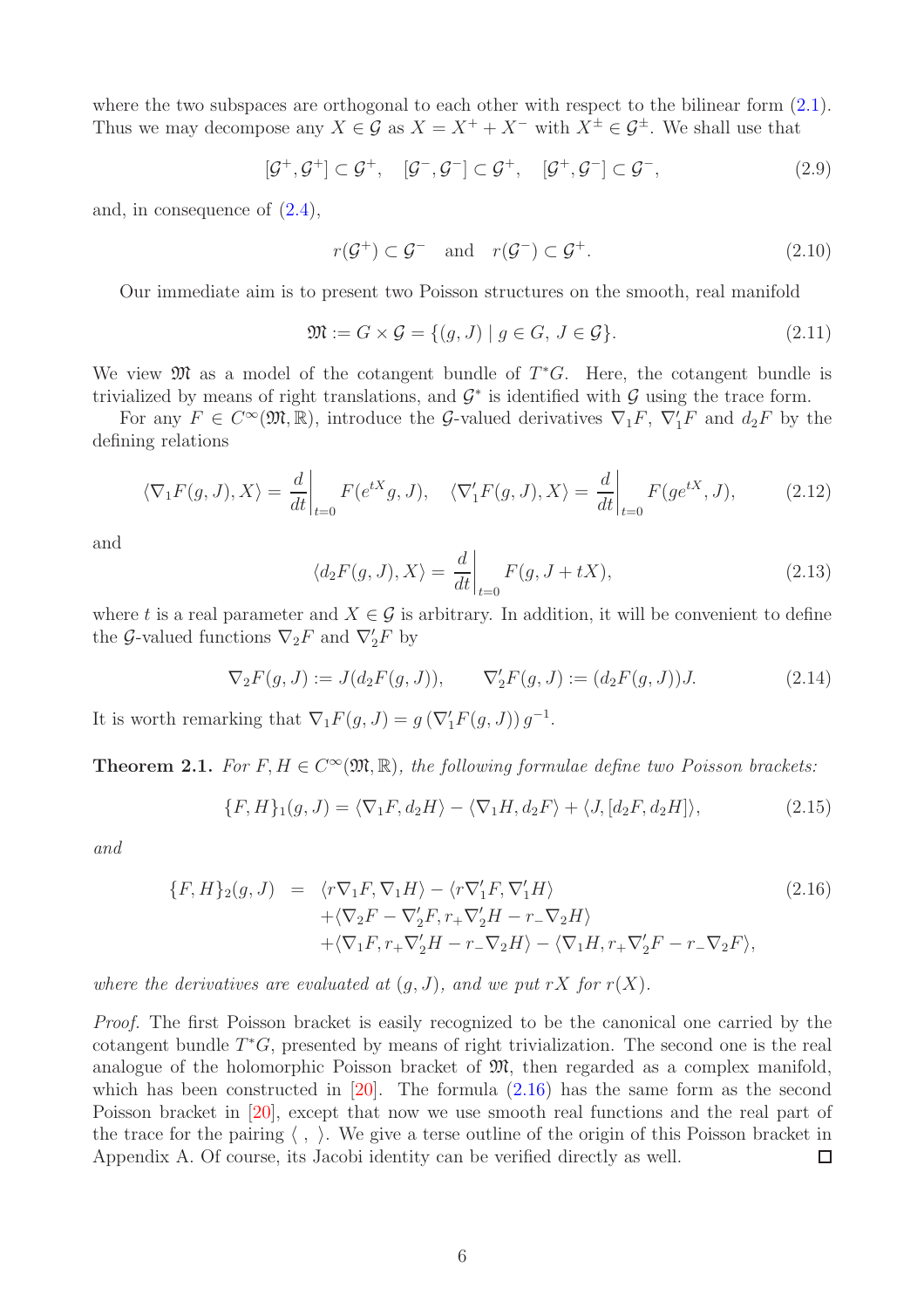where the two subspaces are orthogonal to each other with respect to the bilinear form  $(2.1)$ . Thus we may decompose any  $X \in \mathcal{G}$  as  $X = X^+ + X^-$  with  $X^{\pm} \in \mathcal{G}^{\pm}$ . We shall use that

$$
[\mathcal{G}^+,\mathcal{G}^+]\subset \mathcal{G}^+,\quad [\mathcal{G}^-,\mathcal{G}^-]\subset \mathcal{G}^+,\quad [\mathcal{G}^+,\mathcal{G}^-]\subset \mathcal{G}^-,\tag{2.9}
$$

and, in consequence of [\(2.4\)](#page-4-2),

<span id="page-5-3"></span>
$$
r(\mathcal{G}^+) \subset \mathcal{G}^- \quad \text{and} \quad r(\mathcal{G}^-) \subset \mathcal{G}^+.
$$
 (2.10)

Our immediate aim is to present two Poisson structures on the smooth, real manifold

$$
\mathfrak{M} := G \times \mathcal{G} = \{ (g, J) \mid g \in G, J \in \mathcal{G} \}. \tag{2.11}
$$

We view  $\mathfrak{M}$  as a model of the cotangent bundle of  $T^*G$ . Here, the cotangent bundle is trivialized by means of right translations, and  $\mathcal{G}^*$  is identified with  $\mathcal{G}$  using the trace form.

For any  $F \in C^{\infty}(\mathfrak{M}, \mathbb{R})$ , introduce the G-valued derivatives  $\nabla_1 F$ ,  $\nabla'_1 F$  and  $d_2 F$  by the defining relations

$$
\langle \nabla_1 F(g, J), X \rangle = \frac{d}{dt} \bigg|_{t=0} F(e^{tX}g, J), \quad \langle \nabla_1' F(g, J), X \rangle = \frac{d}{dt} \bigg|_{t=0} F(g e^{tX}, J), \tag{2.12}
$$

and

<span id="page-5-5"></span>
$$
\langle d_2 F(g, J), X \rangle = \frac{d}{dt} \bigg|_{t=0} F(g, J + tX), \tag{2.13}
$$

where t is a real parameter and  $X \in \mathcal{G}$  is arbitrary. In addition, it will be convenient to define the G-valued functions  $\nabla_2 F$  and  $\nabla'_2 F$  by

<span id="page-5-4"></span>
$$
\nabla_2 F(g, J) := J(d_2 F(g, J)), \qquad \nabla_2' F(g, J) := (d_2 F(g, J))J. \tag{2.14}
$$

It is worth remarking that  $\nabla_1 F(g, J) = g(\nabla'_1 F(g, J)) g^{-1}$ .

<span id="page-5-2"></span>**Theorem 2.1.** For  $F, H \in C^{\infty}(\mathfrak{M}, \mathbb{R})$ , the following formulae define two Poisson brackets:

<span id="page-5-1"></span>
$$
\{F, H\}_1(g, J) = \langle \nabla_1 F, d_2 H \rangle - \langle \nabla_1 H, d_2 F \rangle + \langle J, [d_2 F, d_2 H] \rangle, \tag{2.15}
$$

and

<span id="page-5-0"></span>
$$
\{F, H\}_2(g, J) = \langle r\nabla_1 F, \nabla_1 H \rangle - \langle r\nabla_1' F, \nabla_1' H \rangle +\langle \nabla_2 F - \nabla_2' F, r_+ \nabla_2' H - r_- \nabla_2 H \rangle +\langle \nabla_1 F, r_+ \nabla_2' H - r_- \nabla_2 H \rangle - \langle \nabla_1 H, r_+ \nabla_2' F - r_- \nabla_2 F \rangle,
$$
\n(2.16)

where the derivatives are evaluated at  $(g, J)$ , and we put rX for  $r(X)$ .

Proof. The first Poisson bracket is easily recognized to be the canonical one carried by the cotangent bundle  $T^*G$ , presented by means of right trivialization. The second one is the real analogue of the holomorphic Poisson bracket of  $\mathfrak{M}$ , then regarded as a complex manifold, which has been constructed in  $[20]$ . The formula  $(2.16)$  has the same form as the second Poisson bracket in [\[20\]](#page-27-10), except that now we use smooth real functions and the real part of the trace for the pairing  $\langle , \rangle$ . We give a terse outline of the origin of this Poisson bracket in Appendix A. Of course, its Jacobi identity can be verified directly as well.  $\Box$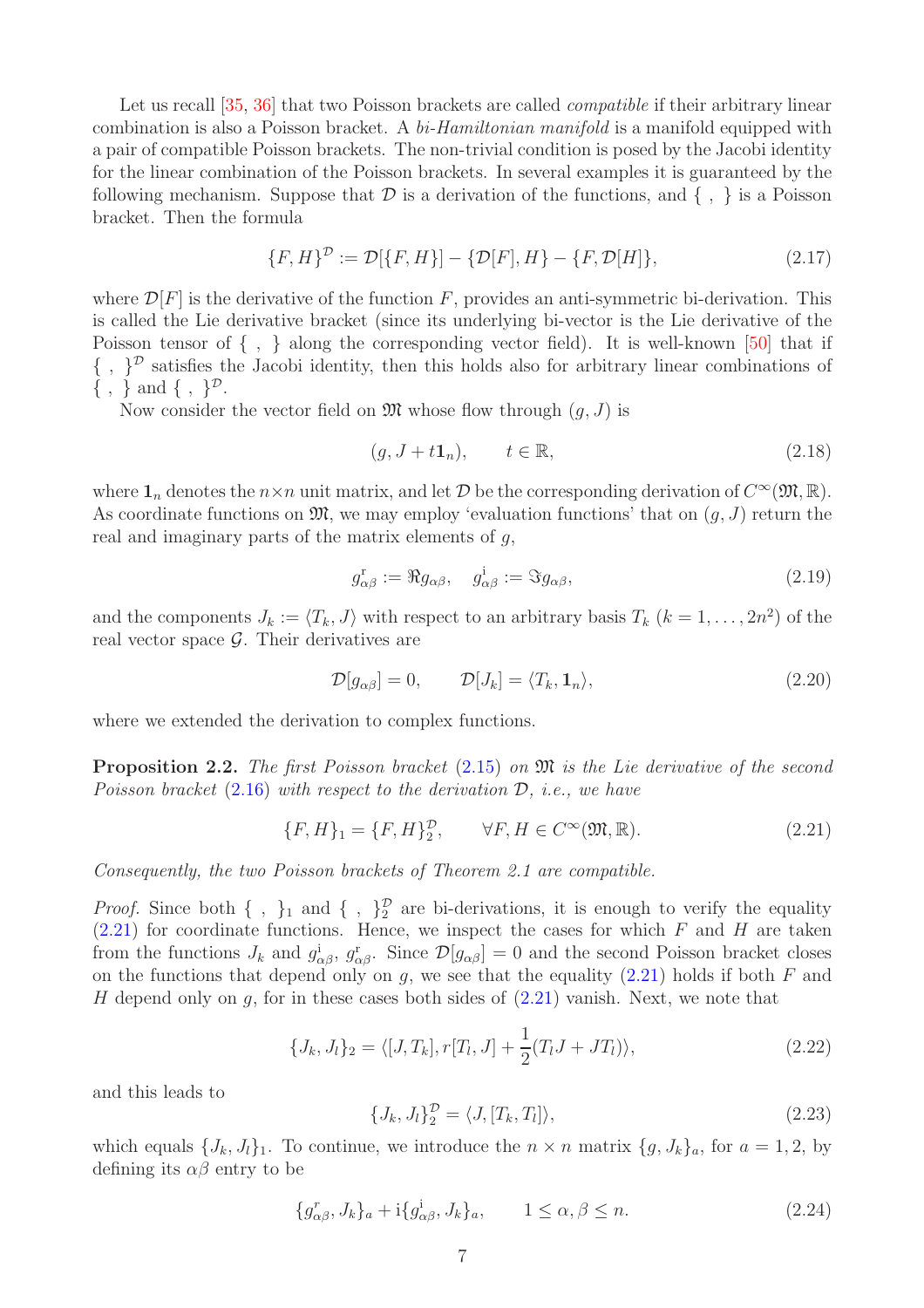Let us recall [\[35,](#page-28-6) [36\]](#page-28-7) that two Poisson brackets are called *compatible* if their arbitrary linear combination is also a Poisson bracket. A bi-Hamiltonian manifold is a manifold equipped with a pair of compatible Poisson brackets. The non-trivial condition is posed by the Jacobi identity for the linear combination of the Poisson brackets. In several examples it is guaranteed by the following mechanism. Suppose that  $\mathcal D$  is a derivation of the functions, and  $\{ , \}$  is a Poisson bracket. Then the formula

$$
\{F, H\}^{\mathcal{D}} := \mathcal{D}[\{F, H\}] - \{\mathcal{D}[F], H\} - \{F, \mathcal{D}[H]\},\tag{2.17}
$$

where  $\mathcal{D}[F]$  is the derivative of the function F, provides an anti-symmetric bi-derivation. This is called the Lie derivative bracket (since its underlying bi-vector is the Lie derivative of the Poisson tensor of  $\{ , \}$  along the corresponding vector field). It is well-known [\[50\]](#page-29-7) that if  $\{\ ,\ \}^{\mathcal{D}}$  satisfies the Jacobi identity, then this holds also for arbitrary linear combinations of  $\{\ ,\ \}$  and  $\{\ ,\ \}^{\mathcal{D}}$ .

Now consider the vector field on  $\mathfrak{M}$  whose flow through  $(g, J)$  is

$$
(g, J + t\mathbf{1}_n), \qquad t \in \mathbb{R}, \tag{2.18}
$$

where  $\mathbf{1}_n$  denotes the  $n \times n$  unit matrix, and let  $\mathcal{D}$  be the corresponding derivation of  $C^{\infty}(\mathfrak{M}, \mathbb{R})$ . As coordinate functions on  $\mathfrak{M}$ , we may employ 'evaluation functions' that on  $(g, J)$  return the real and imaginary parts of the matrix elements of  $q$ ,

<span id="page-6-2"></span>
$$
g_{\alpha\beta}^{\mathbf{r}} := \Re g_{\alpha\beta}, \quad g_{\alpha\beta}^{\mathbf{i}} := \Im g_{\alpha\beta}, \tag{2.19}
$$

and the components  $J_k := \langle T_k, J \rangle$  with respect to an arbitrary basis  $T_k$   $(k = 1, \ldots, 2n^2)$  of the real vector space  $\mathcal{G}$ . Their derivatives are

$$
\mathcal{D}[g_{\alpha\beta}] = 0, \qquad \mathcal{D}[J_k] = \langle T_k, \mathbf{1}_n \rangle, \tag{2.20}
$$

where we extended the derivation to complex functions.

**Proposition 2.2.** The first Poisson bracket  $(2.15)$  on  $\mathfrak{M}$  is the Lie derivative of the second Poisson bracket  $(2.16)$  with respect to the derivation  $\mathcal{D}$ , i.e., we have

<span id="page-6-0"></span>
$$
\{F, H\}_1 = \{F, H\}_2^{\mathcal{D}}, \qquad \forall F, H \in C^{\infty}(\mathfrak{M}, \mathbb{R}).
$$
\n(2.21)

Consequently, the two Poisson brackets of Theorem 2.1 are compatible.

*Proof.* Since both  $\{\ ,\ \}_1$  and  $\{\ ,\ \}_2^{\mathcal{D}}$  are bi-derivations, it is enough to verify the equality  $(2.21)$  for coordinate functions. Hence, we inspect the cases for which F and H are taken from the functions  $J_k$  and  $g^i_{\alpha\beta}$ ,  $g^r_{\alpha\beta}$ . Since  $\mathcal{D}[g_{\alpha\beta}] = 0$  and the second Poisson bracket closes on the functions that depend only on  $g$ , we see that the equality  $(2.21)$  holds if both F and H depend only on  $q$ , for in these cases both sides of  $(2.21)$  vanish. Next, we note that

<span id="page-6-1"></span>
$$
\{J_k, J_l\}_2 = \langle [J, T_k], r[T_l, J] + \frac{1}{2}(T_l J + J T_l) \rangle,
$$
\n(2.22)

and this leads to

$$
\{J_k, J_l\}_2^{\mathcal{D}} = \langle J, [T_k, T_l] \rangle, \tag{2.23}
$$

which equals  $\{J_k, J_l\}_1$ . To continue, we introduce the  $n \times n$  matrix  $\{g, J_k\}_a$ , for  $a = 1, 2$ , by defining its  $\alpha\beta$  entry to be

$$
\{g_{\alpha\beta}^r, J_k\}_a + \mathrm{i} \{g_{\alpha\beta}^i, J_k\}_a, \qquad 1 \le \alpha, \beta \le n. \tag{2.24}
$$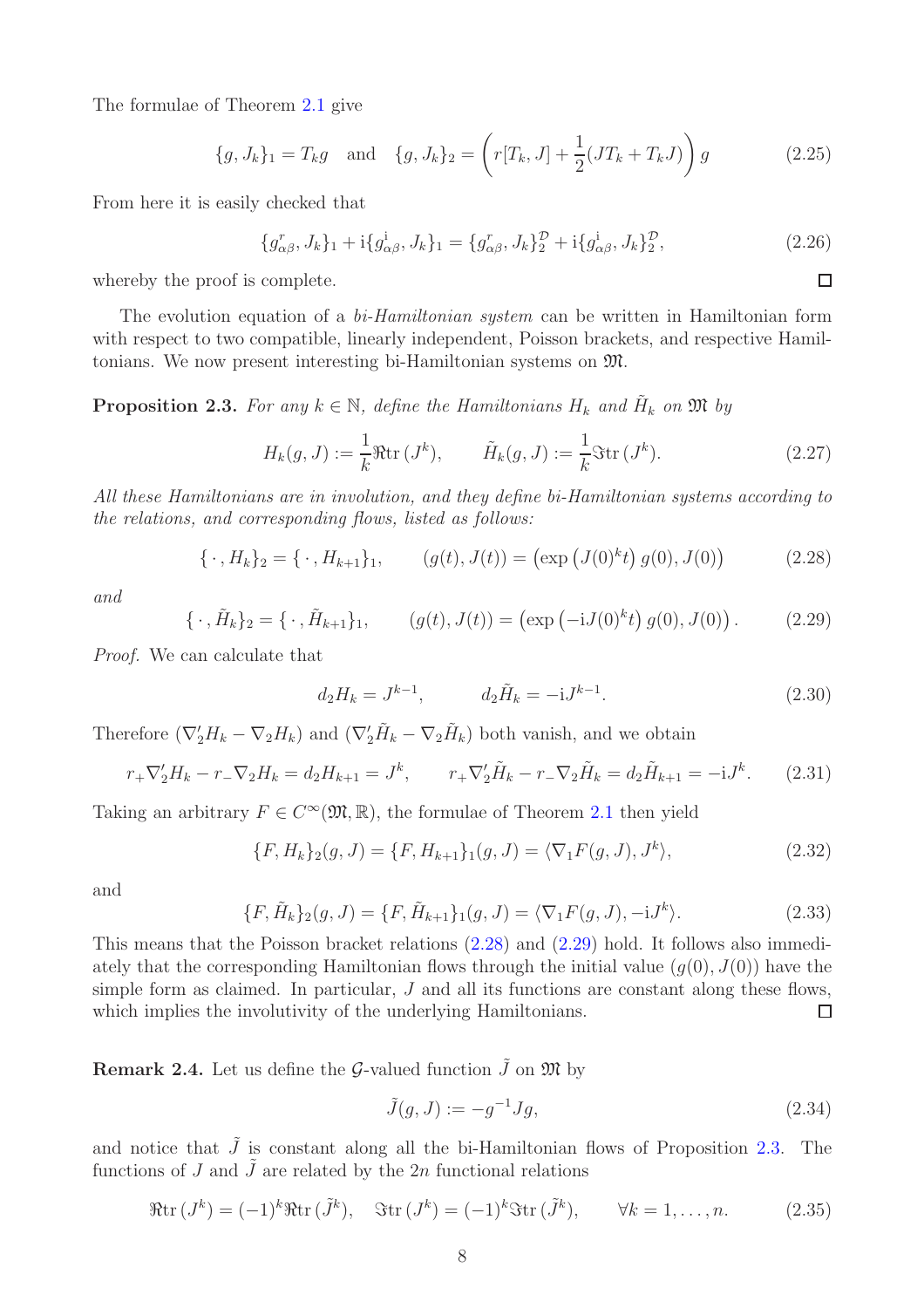The formulae of Theorem [2.1](#page-5-2) give

$$
\{g, J_k\}_1 = T_k g \text{ and } \{g, J_k\}_2 = \left(r[T_k, J] + \frac{1}{2}(JT_k + T_k J)\right)g \tag{2.25}
$$

From here it is easily checked that

$$
\{g_{\alpha\beta}^r, J_k\}_1 + \mathrm{i} \{g_{\alpha\beta}^i, J_k\}_1 = \{g_{\alpha\beta}^r, J_k\}_2^{\mathcal{D}} + \mathrm{i} \{g_{\alpha\beta}^i, J_k\}_2^{\mathcal{D}},\tag{2.26}
$$

 $\Box$ 

whereby the proof is complete.

The evolution equation of a *bi-Hamiltonian system* can be written in Hamiltonian form with respect to two compatible, linearly independent, Poisson brackets, and respective Hamiltonians. We now present interesting bi-Hamiltonian systems on M.

<span id="page-7-2"></span>**Proposition 2.3.** For any  $k \in \mathbb{N}$ , define the Hamiltonians  $H_k$  and  $\tilde{H}_k$  on  $\mathfrak{M}$  by

<span id="page-7-3"></span>
$$
H_k(g, J) := \frac{1}{k} \Re \operatorname{tr} (J^k), \qquad \tilde{H}_k(g, J) := \frac{1}{k} \Im \operatorname{tr} (J^k). \tag{2.27}
$$

All these Hamiltonians are in involution, and they define bi-Hamiltonian systems according to the relations, and corresponding flows, listed as follows:

<span id="page-7-0"></span>
$$
\{\,\cdot\,,H_k\}_2 = \{\,\cdot\,,H_{k+1}\}_1,\qquad (g(t),J(t)) = \left(\exp\left(J(0)^k t\right)g(0),J(0)\right)\tag{2.28}
$$

and

<span id="page-7-1"></span>
$$
\{\,\cdot\,,\tilde{H}_k\}_2 = \{\,\cdot\,,\tilde{H}_{k+1}\}_1,\qquad (g(t),J(t)) = \left(\exp\left(-iJ(0)^k t\right)g(0),J(0)\right). \tag{2.29}
$$

Proof. We can calculate that

<span id="page-7-4"></span>
$$
d_2H_k = J^{k-1}, \t d_2\tilde{H}_k = -iJ^{k-1}.
$$
\t(2.30)

Therefore  $(\nabla_2'H_k-\nabla_2H_k)$  and  $(\nabla_2'H_k-\nabla_2H_k)$  both vanish, and we obtain

$$
r_{+}\nabla_{2}^{\prime}H_{k} - r_{-}\nabla_{2}H_{k} = d_{2}H_{k+1} = J^{k}, \qquad r_{+}\nabla_{2}^{\prime}\tilde{H}_{k} - r_{-}\nabla_{2}\tilde{H}_{k} = d_{2}\tilde{H}_{k+1} = -iJ^{k}.
$$
 (2.31)

Taking an arbitrary  $F \in C^{\infty}(\mathfrak{M}, \mathbb{R})$ , the formulae of Theorem [2.1](#page-5-2) then yield

$$
\{F, H_k\}_2(g, J) = \{F, H_{k+1}\}_1(g, J) = \langle \nabla_1 F(g, J), J^k \rangle, \tag{2.32}
$$

and

$$
\{F, \tilde{H}_k\}_2(g, J) = \{F, \tilde{H}_{k+1}\}_1(g, J) = \langle \nabla_1 F(g, J), -\mathrm{i} J^k \rangle. \tag{2.33}
$$

This means that the Poisson bracket relations [\(2.28\)](#page-7-0) and [\(2.29\)](#page-7-1) hold. It follows also immediately that the corresponding Hamiltonian flows through the initial value  $(q(0), J(0))$  have the simple form as claimed. In particular,  $J$  and all its functions are constant along these flows, which implies the involutivity of the underlying Hamiltonians.  $\Box$ 

<span id="page-7-5"></span>**Remark 2.4.** Let us define the G-valued function  $\tilde{J}$  on  $\mathfrak{M}$  by

<span id="page-7-6"></span>
$$
\tilde{J}(g,J) := -g^{-1}Jg,\tag{2.34}
$$

and notice that  $\tilde{J}$  is constant along all the bi-Hamiltonian flows of Proposition [2.3.](#page-7-2) The functions of J and  $\tilde{J}$  are related by the 2n functional relations

$$
\Re \operatorname{tr} (J^k) = (-1)^k \Re \operatorname{tr} (\tilde{J}^k), \quad \Im \operatorname{tr} (J^k) = (-1)^k \Im \operatorname{tr} (\tilde{J}^k), \qquad \forall k = 1, \dots, n. \tag{2.35}
$$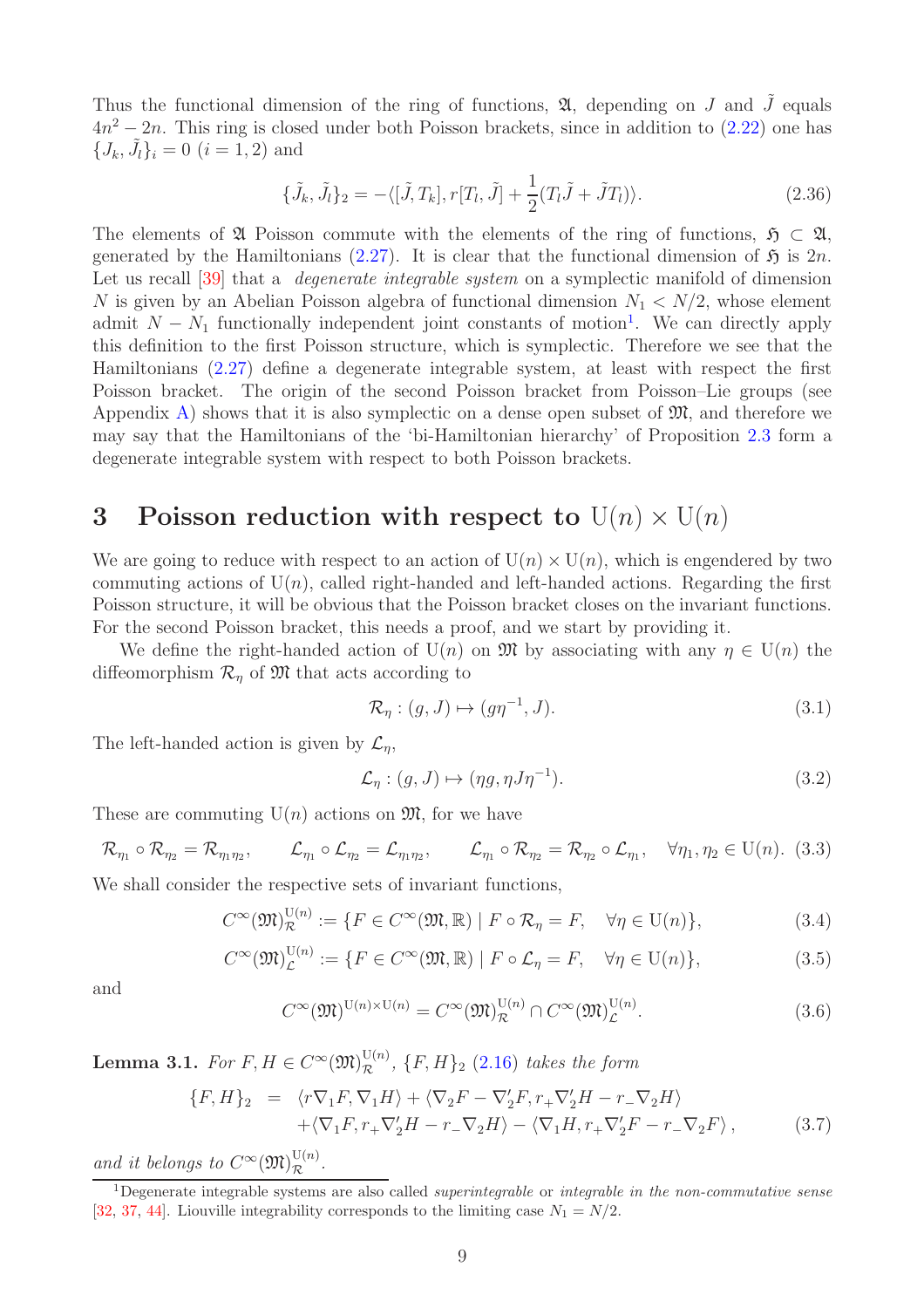Thus the functional dimension of the ring of functions,  $\mathfrak{A}$ , depending on J and J equals  $4n^2 - 2n$ . This ring is closed under both Poisson brackets, since in addition to  $(2.22)$  one has  ${J_k, \tilde{J}_l\}_i = 0$   $(i = 1, 2)$  and

$$
\{\tilde{J}_k, \tilde{J}_l\}_2 = -\langle [\tilde{J}, T_k], r[T_l, \tilde{J}] + \frac{1}{2}(T_l \tilde{J} + \tilde{J}T_l) \rangle. \tag{2.36}
$$

The elements of  $\mathfrak A$  Poisson commute with the elements of the ring of functions,  $\mathfrak H \subset \mathfrak A$ , generated by the Hamiltonians [\(2.27\)](#page-7-3). It is clear that the functional dimension of  $\mathfrak{H}$  is  $2n$ . Let us recall [\[39\]](#page-28-12) that a *degenerate integrable system* on a symplectic manifold of dimension N is given by an Abelian Poisson algebra of functional dimension  $N_1 \langle N/2$ , whose element admit  $N - N_1$  $N - N_1$  functionally independent joint constants of motion<sup>1</sup>. We can directly apply this definition to the first Poisson structure, which is symplectic. Therefore we see that the Hamiltonians [\(2.27\)](#page-7-3) define a degenerate integrable system, at least with respect the first Poisson bracket. The origin of the second Poisson bracket from Poisson–Lie groups (see Appendix [A\)](#page-21-0) shows that it is also symplectic on a dense open subset of  $\mathfrak{M}$ , and therefore we may say that the Hamiltonians of the 'bi-Hamiltonian hierarchy' of Proposition [2.3](#page-7-2) form a degenerate integrable system with respect to both Poisson brackets.

# <span id="page-8-0"></span>3 Poisson reduction with respect to  $U(n) \times U(n)$

We are going to reduce with respect to an action of  $U(n) \times U(n)$ , which is engendered by two commuting actions of  $U(n)$ , called right-handed and left-handed actions. Regarding the first Poisson structure, it will be obvious that the Poisson bracket closes on the invariant functions. For the second Poisson bracket, this needs a proof, and we start by providing it.

We define the right-handed action of  $U(n)$  on M by associating with any  $\eta \in U(n)$  the diffeomorphism  $\mathcal{R}_n$  of  $\mathfrak{M}$  that acts according to

<span id="page-8-1"></span>
$$
\mathcal{R}_{\eta} : (g, J) \mapsto (g\eta^{-1}, J). \tag{3.1}
$$

The left-handed action is given by  $\mathcal{L}_n$ ,

<span id="page-8-2"></span>
$$
\mathcal{L}_{\eta} : (g, J) \mapsto (\eta g, \eta J \eta^{-1}). \tag{3.2}
$$

These are commuting  $U(n)$  actions on  $\mathfrak{M}$ , for we have

$$
\mathcal{R}_{\eta_1} \circ \mathcal{R}_{\eta_2} = \mathcal{R}_{\eta_1 \eta_2}, \qquad \mathcal{L}_{\eta_1} \circ \mathcal{L}_{\eta_2} = \mathcal{L}_{\eta_1 \eta_2}, \qquad \mathcal{L}_{\eta_1} \circ \mathcal{R}_{\eta_2} = \mathcal{R}_{\eta_2} \circ \mathcal{L}_{\eta_1}, \quad \forall \eta_1, \eta_2 \in U(n). \tag{3.3}
$$

We shall consider the respective sets of invariant functions,

$$
C^{\infty}(\mathfrak{M})_{\mathcal{R}}^{\mathcal{U}(n)} := \{ F \in C^{\infty}(\mathfrak{M}, \mathbb{R}) \mid F \circ \mathcal{R}_{\eta} = F, \quad \forall \eta \in \mathcal{U}(n) \},\tag{3.4}
$$

$$
C^{\infty}(\mathfrak{M})_{\mathcal{L}}^{\mathcal{U}(n)} := \{ F \in C^{\infty}(\mathfrak{M}, \mathbb{R}) \mid F \circ \mathcal{L}_{\eta} = F, \quad \forall \eta \in \mathcal{U}(n) \},\tag{3.5}
$$

and

$$
C^{\infty}(\mathfrak{M})^{\mathrm{U}(n)\times\mathrm{U}(n)} = C^{\infty}(\mathfrak{M})^{\mathrm{U}(n)}_{\mathcal{R}} \cap C^{\infty}(\mathfrak{M})^{\mathrm{U}(n)}_{\mathcal{L}}.
$$
\n(3.6)

<span id="page-8-5"></span>**Lemma 3.1.** For  $F, H \in C^{\infty}(\mathfrak{M})_{\mathcal{R}}^{\mathrm{U}(n)}$ ,  $\{F, H\}_2$  [\(2.16\)](#page-5-0) takes the form

<span id="page-8-4"></span>
$$
\{F, H\}_2 = \langle r\nabla_1 F, \nabla_1 H \rangle + \langle \nabla_2 F - \nabla_2' F, r_+ \nabla_2' H - r_- \nabla_2 H \rangle \n+ \langle \nabla_1 F, r_+ \nabla_2' H - r_- \nabla_2 H \rangle - \langle \nabla_1 H, r_+ \nabla_2' F - r_- \nabla_2 F \rangle,
$$
\n(3.7)

and it belongs to  $C^{\infty}(\mathfrak{M})_{\mathcal{R}}^{\mathrm{U}(n)}$ .

<span id="page-8-3"></span><sup>&</sup>lt;sup>1</sup>Degenerate integrable systems are also called *superintegrable* or *integrable* in the non-commutative sense [\[32,](#page-28-13) [37,](#page-28-14) [44\]](#page-28-15). Liouville integrability corresponds to the limiting case  $N_1 = N/2$ .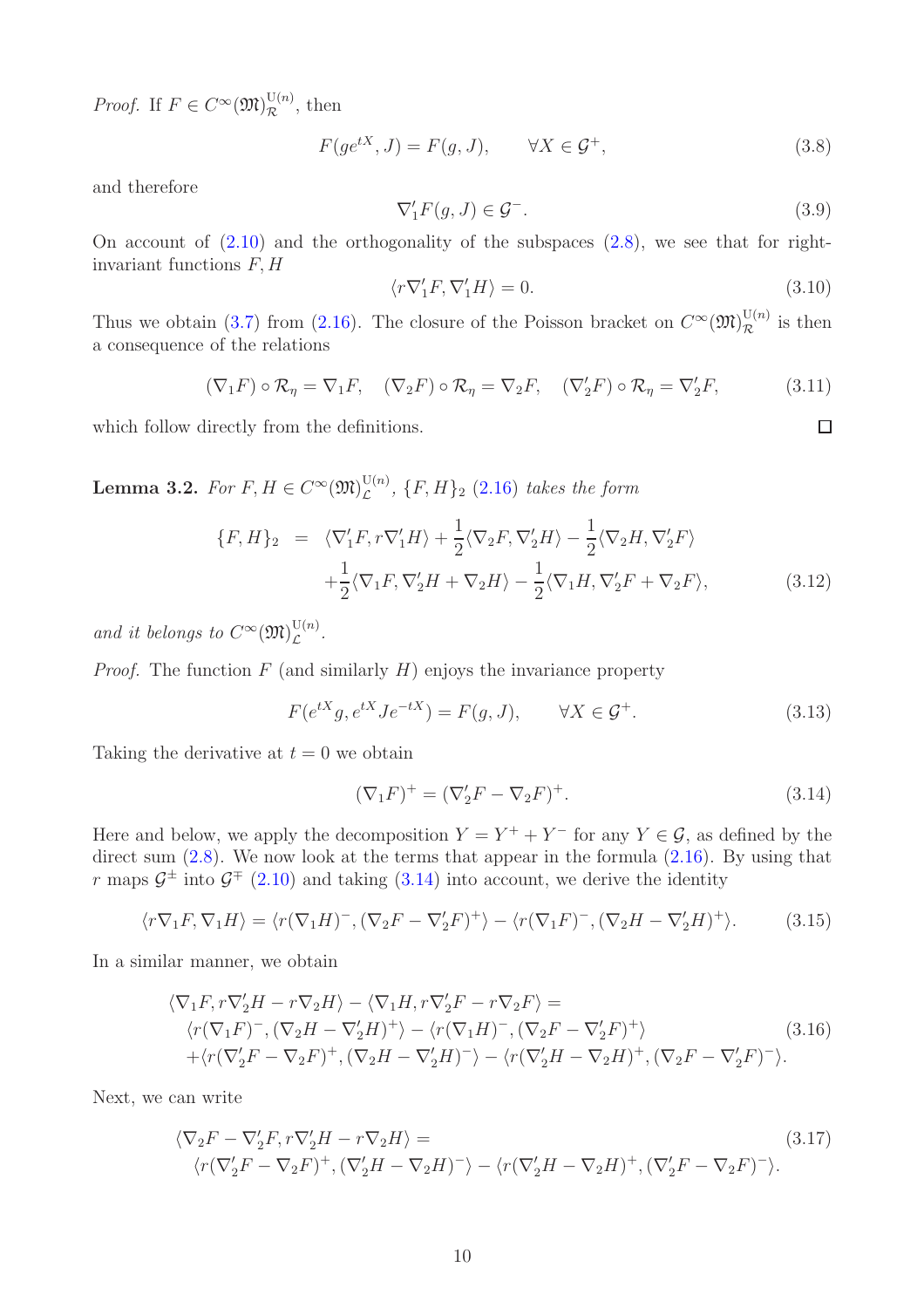*Proof.* If  $F \in C^{\infty}(\mathfrak{M})_{\mathcal{R}}^{\mathrm{U}(n)}$ , then

$$
F(ge^{tX}, J) = F(g, J), \qquad \forall X \in \mathcal{G}^+, \tag{3.8}
$$

and therefore

<span id="page-9-2"></span>
$$
\nabla_1' F(g, J) \in \mathcal{G}^-.
$$
\n(3.9)

On account of  $(2.10)$  and the orthogonality of the subspaces  $(2.8)$ , we see that for rightinvariant functions  $F, H$ 

<span id="page-9-3"></span>
$$
\langle r \nabla_1' F, \nabla_1' H \rangle = 0. \tag{3.10}
$$

 $\square$ 

Thus we obtain [\(3.7\)](#page-8-4) from [\(2.16\)](#page-5-0). The closure of the Poisson bracket on  $C^{\infty}(\mathfrak{M})_{\mathcal{R}}^{U(n)}$  is then a consequence of the relations

$$
(\nabla_1 F) \circ \mathcal{R}_{\eta} = \nabla_1 F, \quad (\nabla_2 F) \circ \mathcal{R}_{\eta} = \nabla_2 F, \quad (\nabla_2' F) \circ \mathcal{R}_{\eta} = \nabla_2' F, \tag{3.11}
$$

which follow directly from the definitions.

<span id="page-9-4"></span>Lemma 3.2. For  $F, H \in C^{\infty}(\mathfrak{M})_{\mathcal{L}}^{\mathrm{U}(n)}$  $\mathcal{L}^{(n)}$ ,  $\{F,H\}_2$  [\(2.16\)](#page-5-0) takes the form

<span id="page-9-1"></span>
$$
\{F, H\}_2 = \langle \nabla_1' F, r \nabla_1' H \rangle + \frac{1}{2} \langle \nabla_2 F, \nabla_2' H \rangle - \frac{1}{2} \langle \nabla_2 H, \nabla_2' F \rangle + \frac{1}{2} \langle \nabla_1 F, \nabla_2' H + \nabla_2 H \rangle - \frac{1}{2} \langle \nabla_1 H, \nabla_2' F + \nabla_2 F \rangle,
$$
 (3.12)

and it belongs to  $C^{\infty}(\mathfrak{M})_{\mathcal{L}}^{\mathrm{U}(n)}$  $\mathcal{L}^{(n)}$ .

*Proof.* The function  $F$  (and similarly  $H$ ) enjoys the invariance property

$$
F(e^{tX}g, e^{tX}Je^{-tX}) = F(g, J), \qquad \forall X \in \mathcal{G}^+.
$$
\n(3.13)

Taking the derivative at  $t = 0$  we obtain

<span id="page-9-0"></span>
$$
(\nabla_1 F)^+ = (\nabla_2' F - \nabla_2 F)^+.
$$
\n(3.14)

Here and below, we apply the decomposition  $Y = Y^+ + Y^-$  for any  $Y \in \mathcal{G}$ , as defined by the direct sum  $(2.8)$ . We now look at the terms that appear in the formula  $(2.16)$ . By using that r maps  $\mathcal{G}^{\pm}$  into  $\mathcal{G}^{\mp}$  [\(2.10\)](#page-5-3) and taking [\(3.14\)](#page-9-0) into account, we derive the identity

$$
\langle r\nabla_1 F, \nabla_1 H \rangle = \langle r(\nabla_1 H)^-, (\nabla_2 F - \nabla_2' F)^+ \rangle - \langle r(\nabla_1 F)^-, (\nabla_2 H - \nabla_2' H)^+ \rangle. \tag{3.15}
$$

In a similar manner, we obtain

$$
\langle \nabla_1 F, r \nabla_2' H - r \nabla_2 H \rangle - \langle \nabla_1 H, r \nabla_2' F - r \nabla_2 F \rangle =
$$
  
\n
$$
\langle r(\nabla_1 F)^-, (\nabla_2 H - \nabla_2' H)^+ \rangle - \langle r(\nabla_1 H)^-, (\nabla_2 F - \nabla_2' F)^+ \rangle
$$
  
\n
$$
+ \langle r(\nabla_2' F - \nabla_2 F)^+, (\nabla_2 H - \nabla_2' H)^- \rangle - \langle r(\nabla_2' H - \nabla_2 H)^+, (\nabla_2 F - \nabla_2' F)^- \rangle.
$$
\n(3.16)

Next, we can write

$$
\langle \nabla_2 F - \nabla_2' F, r \nabla_2' H - r \nabla_2 H \rangle =
$$
\n
$$
\langle r(\nabla_2' F - \nabla_2 F)^+, (\nabla_2' H - \nabla_2 H)^- \rangle - \langle r(\nabla_2' H - \nabla_2 H)^+, (\nabla_2' F - \nabla_2 F)^- \rangle.
$$
\n(3.17)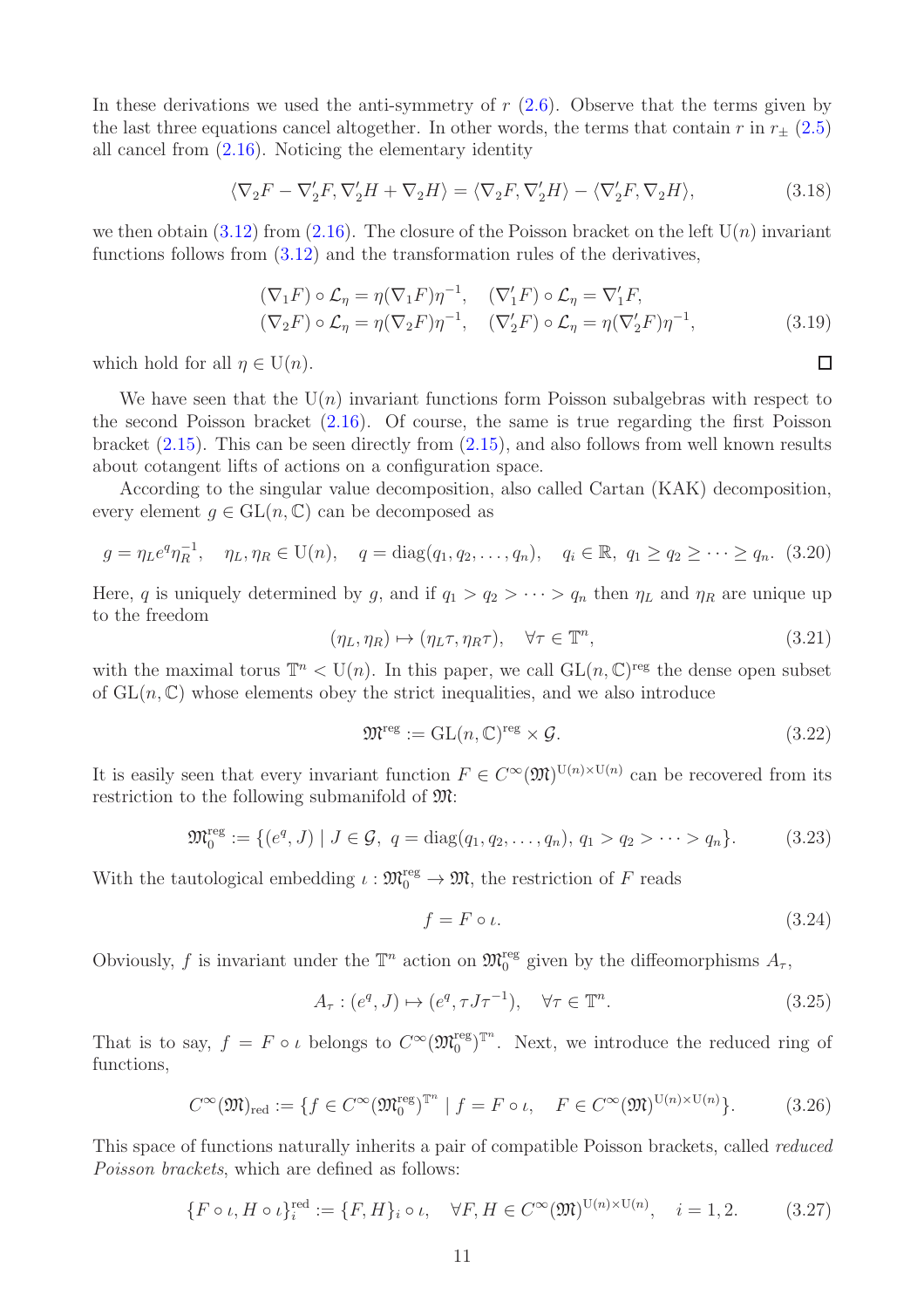In these derivations we used the anti-symmetry of  $r(2.6)$  $r(2.6)$ . Observe that the terms given by the last three equations cancel altogether. In other words, the terms that contain r in  $r_{+}$  [\(2.5\)](#page-4-5) all cancel from [\(2.16\)](#page-5-0). Noticing the elementary identity

$$
\langle \nabla_2 F - \nabla_2' F, \nabla_2' H + \nabla_2 H \rangle = \langle \nabla_2 F, \nabla_2' H \rangle - \langle \nabla_2' F, \nabla_2 H \rangle, \tag{3.18}
$$

we then obtain [\(3.12\)](#page-9-1) from [\(2.16\)](#page-5-0). The closure of the Poisson bracket on the left  $U(n)$  invariant functions follows from [\(3.12\)](#page-9-1) and the transformation rules of the derivatives,

$$
(\nabla_1 F) \circ \mathcal{L}_{\eta} = \eta (\nabla_1 F) \eta^{-1}, \quad (\nabla_1' F) \circ \mathcal{L}_{\eta} = \nabla_1' F,
$$
  
\n
$$
(\nabla_2 F) \circ \mathcal{L}_{\eta} = \eta (\nabla_2 F) \eta^{-1}, \quad (\nabla_2' F) \circ \mathcal{L}_{\eta} = \eta (\nabla_2' F) \eta^{-1},
$$
\n(3.19)

which hold for all  $\eta \in U(n)$ .

We have seen that the  $U(n)$  invariant functions form Poisson subalgebras with respect to the second Poisson bracket  $(2.16)$ . Of course, the same is true regarding the first Poisson bracket  $(2.15)$ . This can be seen directly from  $(2.15)$ , and also follows from well known results about cotangent lifts of actions on a configuration space.

According to the singular value decomposition, also called Cartan (KAK) decomposition, every element  $q \in GL(n, \mathbb{C})$  can be decomposed as

<span id="page-10-2"></span>
$$
g = \eta_L e^q \eta_R^{-1}, \quad \eta_L, \eta_R \in U(n), \quad q = \text{diag}(q_1, q_2, \dots, q_n), \quad q_i \in \mathbb{R}, \ q_1 \ge q_2 \ge \dots \ge q_n.
$$
 (3.20)

Here, q is uniquely determined by g, and if  $q_1 > q_2 > \cdots > q_n$  then  $\eta_L$  and  $\eta_R$  are unique up to the freedom

$$
(\eta_L, \eta_R) \mapsto (\eta_L \tau, \eta_R \tau), \quad \forall \tau \in \mathbb{T}^n,
$$
\n(3.21)

with the maximal torus  $\mathbb{T}^n \langle U(n) \rangle$ . In this paper, we call  $GL(n,\mathbb{C})^{\text{reg}}$  the dense open subset of  $GL(n, \mathbb{C})$  whose elements obey the strict inequalities, and we also introduce

<span id="page-10-3"></span>
$$
\mathfrak{M}^{\text{reg}} := \text{GL}(n, \mathbb{C})^{\text{reg}} \times \mathcal{G}.
$$
\n(3.22)

It is easily seen that every invariant function  $F \in C^{\infty}(\mathfrak{M})^{\mathrm{U}(n) \times \mathrm{U}(n)}$  can be recovered from its restriction to the following submanifold of M:

<span id="page-10-4"></span>
$$
\mathfrak{M}_0^{\text{reg}} := \{ (e^q, J) \mid J \in \mathcal{G}, \ q = \text{diag}(q_1, q_2, \dots, q_n), \ q_1 > q_2 > \dots > q_n \}. \tag{3.23}
$$

With the tautological embedding  $\iota : \mathfrak{M}^{\text{reg}}_0 \to \mathfrak{M}$ , the restriction of F reads

$$
f = F \circ \iota. \tag{3.24}
$$

Obviously, f is invariant under the  $\mathbb{T}^n$  action on  $\mathfrak{M}_0^{\text{reg}}$  given by the diffeomorphisms  $A_\tau$ ,

<span id="page-10-5"></span>
$$
A_{\tau}: (e^q, J) \mapsto (e^q, \tau J \tau^{-1}), \quad \forall \tau \in \mathbb{T}^n.
$$
\n
$$
(3.25)
$$

That is to say,  $f = F \circ \iota$  belongs to  $C^{\infty}(\mathfrak{M}^{\text{reg}}_{0})^{\mathbb{T}^{n}}$ . Next, we introduce the reduced ring of functions,

<span id="page-10-0"></span>
$$
C^{\infty}(\mathfrak{M})_{\text{red}} := \{ f \in C^{\infty}(\mathfrak{M}_0^{\text{reg}})^{\mathbb{T}^n} \mid f = F \circ \iota, \quad F \in C^{\infty}(\mathfrak{M})^{\mathrm{U}(n) \times \mathrm{U}(n)} \}.
$$
 (3.26)

This space of functions naturally inherits a pair of compatible Poisson brackets, called reduced Poisson brackets, which are defined as follows:

<span id="page-10-1"></span>
$$
\{F \circ \iota, H \circ \iota\}_i^{\text{red}} := \{F, H\}_i \circ \iota, \quad \forall F, H \in C^{\infty}(\mathfrak{M})^{\mathrm{U}(n) \times \mathrm{U}(n)}, \quad i = 1, 2. \tag{3.27}
$$

 $\Box$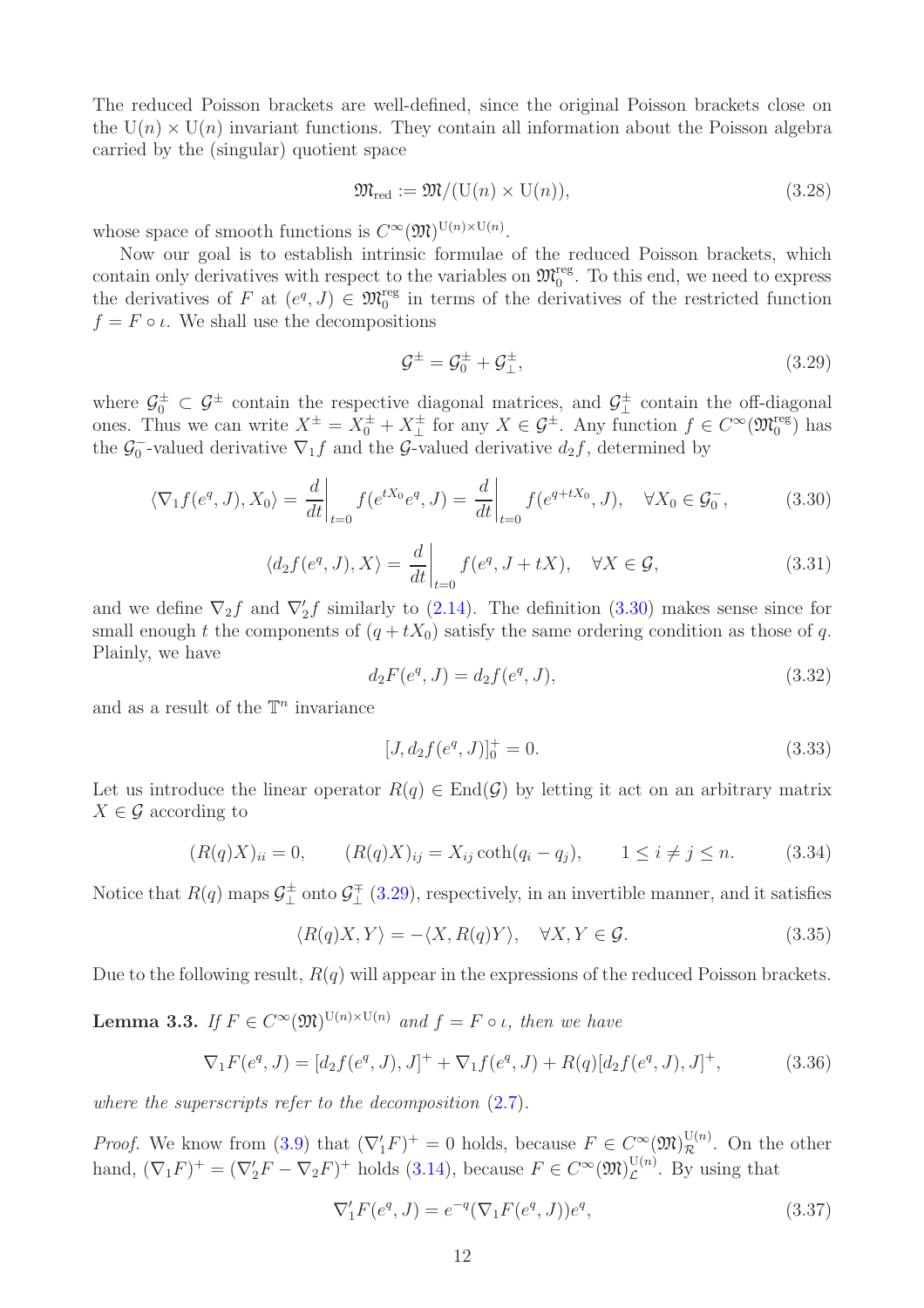The reduced Poisson brackets are well-defined, since the original Poisson brackets close on the  $U(n) \times U(n)$  invariant functions. They contain all information about the Poisson algebra carried by the (singular) quotient space

$$
\mathfrak{M}_{\text{red}} := \mathfrak{M}/(\mathcal{U}(n) \times \mathcal{U}(n)),\tag{3.28}
$$

whose space of smooth functions is  $C^{\infty}(\mathfrak{M})^{\mathrm{U}(n)\times \mathrm{U}(n)}$ .

Now our goal is to establish intrinsic formulae of the reduced Poisson brackets, which contain only derivatives with respect to the variables on  $\mathfrak{M}_{0}^{\text{reg}}$ . To this end, we need to express the derivatives of F at  $(e^q, J) \in \mathfrak{M}_0^{\text{reg}}$  in terms of the derivatives of the restricted function  $f = F \circ \iota$ . We shall use the decompositions

<span id="page-11-1"></span>
$$
\mathcal{G}^{\pm} = \mathcal{G}_0^{\pm} + \mathcal{G}_\perp^{\pm},\tag{3.29}
$$

where  $\mathcal{G}_0^{\pm} \subset \mathcal{G}^{\pm}$  contain the respective diagonal matrices, and  $\mathcal{G}_{\perp}^{\pm}$  $\perp$ <sup> $\pm$ </sup> contain the off-diagonal ones. Thus we can write  $X^{\pm} = X_0^{\pm} + X_{\perp}^{\pm}$  $\pm$  for any  $X \in \mathcal{G}^{\pm}$ . Any function  $f \in C^{\infty}(\mathfrak{M}_{0}^{\text{reg}})$  has the  $\mathcal{G}_0^ _{0}^{-}$ -valued derivative  $\nabla_{1}f$  and the G-valued derivative  $d_{2}f$ , determined by

<span id="page-11-0"></span>
$$
\langle \nabla_1 f(e^q, J), X_0 \rangle = \frac{d}{dt} \bigg|_{t=0} f(e^{tX_0}e^q, J) = \frac{d}{dt} \bigg|_{t=0} f(e^{q+tX_0}, J), \quad \forall X_0 \in \mathcal{G}_0^-,
$$
 (3.30)

$$
\langle d_2 f(e^q, J), X \rangle = \frac{d}{dt} \bigg|_{t=0} f(e^q, J + tX), \quad \forall X \in \mathcal{G}, \tag{3.31}
$$

and we define  $\nabla_2 f$  and  $\nabla'_2 f$  similarly to [\(2.14\)](#page-5-4). The definition [\(3.30\)](#page-11-0) makes sense since for small enough t the components of  $(q + tX_0)$  satisfy the same ordering condition as those of q. Plainly, we have

$$
d_2F(e^q, J) = d_2f(e^q, J), \tag{3.32}
$$

and as a result of the  $\mathbb{T}^n$  invariance

$$
[J, d_2 f(e^q, J)]_0^+ = 0.
$$
\n(3.33)

Let us introduce the linear operator  $R(q) \in End(\mathcal{G})$  by letting it act on an arbitrary matrix  $X \in \mathcal{G}$  according to

<span id="page-11-2"></span>
$$
(R(q)X)_{ii} = 0, \t (R(q)X)_{ij} = X_{ij} \coth(q_i - q_j), \t 1 \le i \ne j \le n. \t (3.34)
$$

Notice that  $R(q)$  maps  $\mathcal{G}_+^{\pm}$  $\frac{d^{\pm}}{d}$  onto  $\mathcal{G}^{\mp}_{\perp}$  $\downarrow^{\mp}$  [\(3.29\)](#page-11-1), respectively, in an invertible manner, and it satisfies

<span id="page-11-4"></span>
$$
\langle R(q)X,Y\rangle = -\langle X,R(q)Y\rangle, \quad \forall X,Y \in \mathcal{G}.\tag{3.35}
$$

Due to the following result,  $R(q)$  will appear in the expressions of the reduced Poisson brackets.

**Lemma 3.3.** If  $F \in C^{\infty}(\mathfrak{M})^{\mathrm{U}(n) \times \mathrm{U}(n)}$  and  $f = F \circ \iota$ , then we have

<span id="page-11-3"></span>
$$
\nabla_1 F(e^q, J) = [d_2 f(e^q, J), J]^+ + \nabla_1 f(e^q, J) + R(q)[d_2 f(e^q, J), J]^+, \tag{3.36}
$$

where the superscripts refer to the decomposition  $(2.7)$ .

*Proof.* We know from [\(3.9\)](#page-9-2) that  $(\nabla_1' F)^+ = 0$  holds, because  $F \in C^{\infty}(\mathfrak{M})_{\mathcal{R}}^{\mathbb{U}(n)}$ . On the other hand,  $(\nabla_1 F)^+ = (\nabla_2' F - \nabla_2 F)^+$  holds [\(3.14\)](#page-9-0), because  $F \in C^{\infty}(\mathfrak{M})_{\mathcal{L}}^{\mathbb{U}(n)}$  $\mathcal{L}^{(n)}$ . By using that

$$
\nabla_1' F(e^q, J) = e^{-q} (\nabla_1 F(e^q, J)) e^q,
$$
\n(3.37)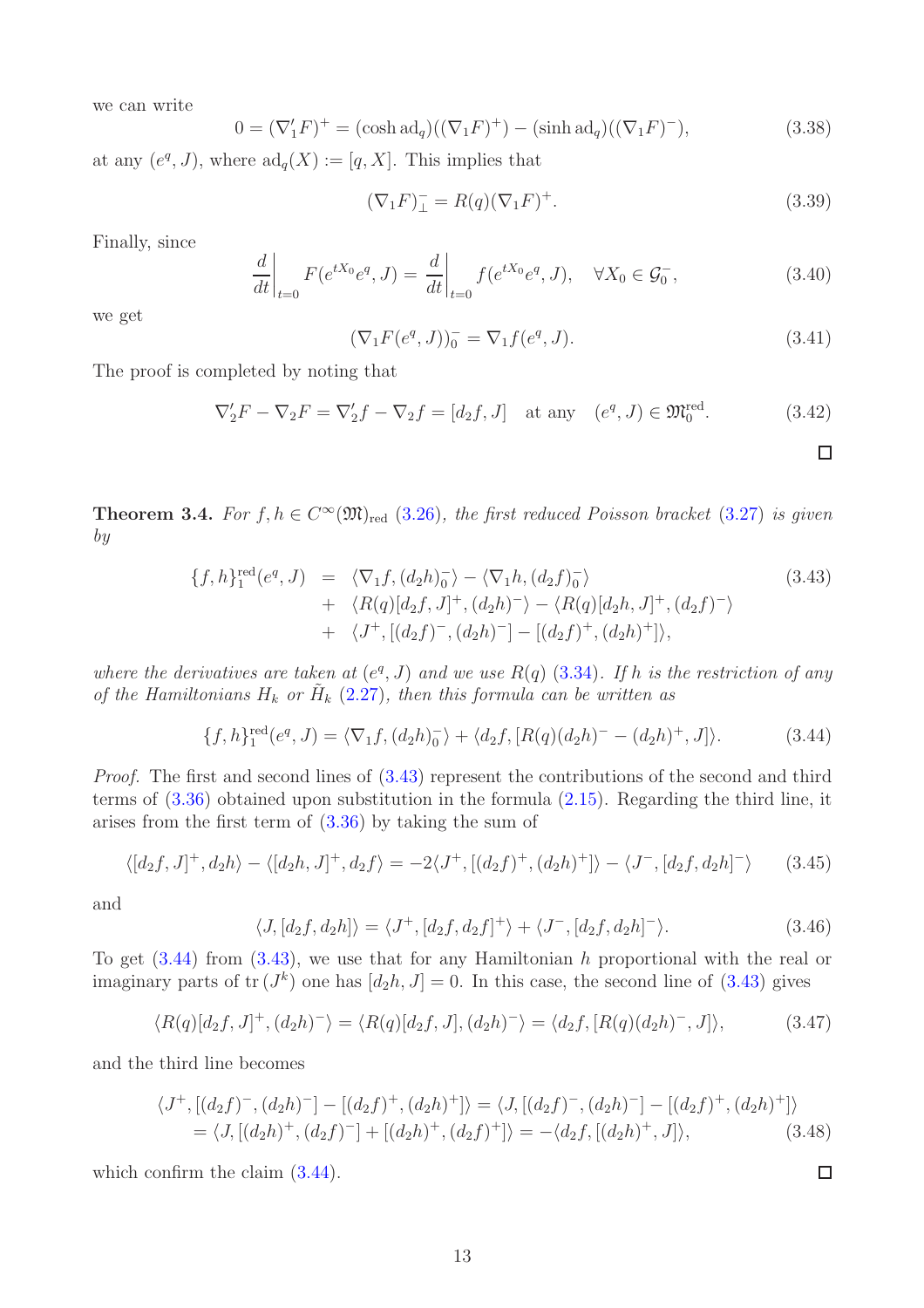we can write

$$
0 = (\nabla_1' F)^+ = (\cosh \mathrm{ad}_q)((\nabla_1 F)^+) - (\sinh \mathrm{ad}_q)((\nabla_1 F)^-), \tag{3.38}
$$

at any  $(e^q, J)$ , where  $\mathrm{ad}_q(X) := [q, X]$ . This implies that

$$
(\nabla_1 F)^{-}_{\perp} = R(q)(\nabla_1 F)^{+}.
$$
\n(3.39)

Finally, since

$$
\left. \frac{d}{dt} \right|_{t=0} F(e^{tX_0}e^q, J) = \left. \frac{d}{dt} \right|_{t=0} f(e^{tX_0}e^q, J), \quad \forall X_0 \in \mathcal{G}_0^-, \tag{3.40}
$$

we get

$$
(\nabla_1 F(e^q, J))_0^- = \nabla_1 f(e^q, J). \tag{3.41}
$$

The proof is completed by noting that

$$
\nabla_2' F - \nabla_2 F = \nabla_2' f - \nabla_2 f = [d_2 f, J] \quad \text{at any} \quad (e^q, J) \in \mathfrak{M}_0^{\text{red}}.
$$
 (3.42)

 $\Box$ 

<span id="page-12-0"></span>**Theorem 3.4.** For  $f, h \in C^{\infty}(\mathfrak{M})_{\text{red}}$  [\(3.26\)](#page-10-0), the first reduced Poisson bracket [\(3.27\)](#page-10-1) is given by

<span id="page-12-1"></span>
$$
\{f, h\}_{1}^{\text{red}}(e^{q}, J) = \langle \nabla_{1} f, (d_{2}h)_{0}^{-} \rangle - \langle \nabla_{1} h, (d_{2}f)_{0}^{-} \rangle \n+ \langle R(q)[d_{2}f, J]^{+}, (d_{2}h)^{-} \rangle - \langle R(q)[d_{2}h, J]^{+}, (d_{2}f)^{-} \rangle \n+ \langle J^{+}, [(d_{2}f)^{-}, (d_{2}h)^{-}] - [(d_{2}f)^{+}, (d_{2}h)^{+}] \rangle,
$$
\n(3.43)

where the derivatives are taken at  $(e^q, J)$  and we use  $R(q)$  [\(3.34\)](#page-11-2). If h is the restriction of any of the Hamiltonians  $H_k$  or  $\tilde{H}_k$  [\(2.27\)](#page-7-3), then this formula can be written as

<span id="page-12-2"></span>
$$
\{f, h\}^{\text{red}}_1(e^q, J) = \langle \nabla_1 f, (d_2 h)_0^- \rangle + \langle d_2 f, [R(q)(d_2 h)^- - (d_2 h)^+, J] \rangle. \tag{3.44}
$$

Proof. The first and second lines of  $(3.43)$  represent the contributions of the second and third terms of [\(3.36\)](#page-11-3) obtained upon substitution in the formula [\(2.15\)](#page-5-1). Regarding the third line, it arises from the first term of [\(3.36\)](#page-11-3) by taking the sum of

$$
\langle [d_2f, J]^+, d_2h \rangle - \langle [d_2h, J]^+, d_2f \rangle = -2\langle J^+, [(d_2f)^+, (d_2h)^+] \rangle - \langle J^-, [d_2f, d_2h]^-\rangle \tag{3.45}
$$

and

$$
\langle J, [d_2f, d_2h] \rangle = \langle J^+, [d_2f, d_2f]^+ \rangle + \langle J^-, [d_2f, d_2h]^-\rangle. \tag{3.46}
$$

To get  $(3.44)$  from  $(3.43)$ , we use that for any Hamiltonian h proportional with the real or imaginary parts of  $tr(J^k)$  one has  $[d_2h, J] = 0$ . In this case, the second line of [\(3.43\)](#page-12-1) gives

$$
\langle R(q)[d_2f, J]^+, (d_2h)^-\rangle = \langle R(q)[d_2f, J], (d_2h)^-\rangle = \langle d_2f, [R(q)(d_2h)^-, J]\rangle,
$$
(3.47)

and the third line becomes

$$
\langle J^+ , [(d_2 f)^-, (d_2 h)^-] - [(d_2 f)^+, (d_2 h)^+] \rangle = \langle J, [(d_2 f)^-, (d_2 h)^-] - [(d_2 f)^+, (d_2 h)^+] \rangle
$$
  
=  $\langle J, [(d_2 h)^+, (d_2 f)^-] + [(d_2 h)^+, (d_2 f)^+] \rangle = -\langle d_2 f, [(d_2 h)^+, J] \rangle,$  (3.48)

which confirm the claim  $(3.44)$ .

13

 $\Box$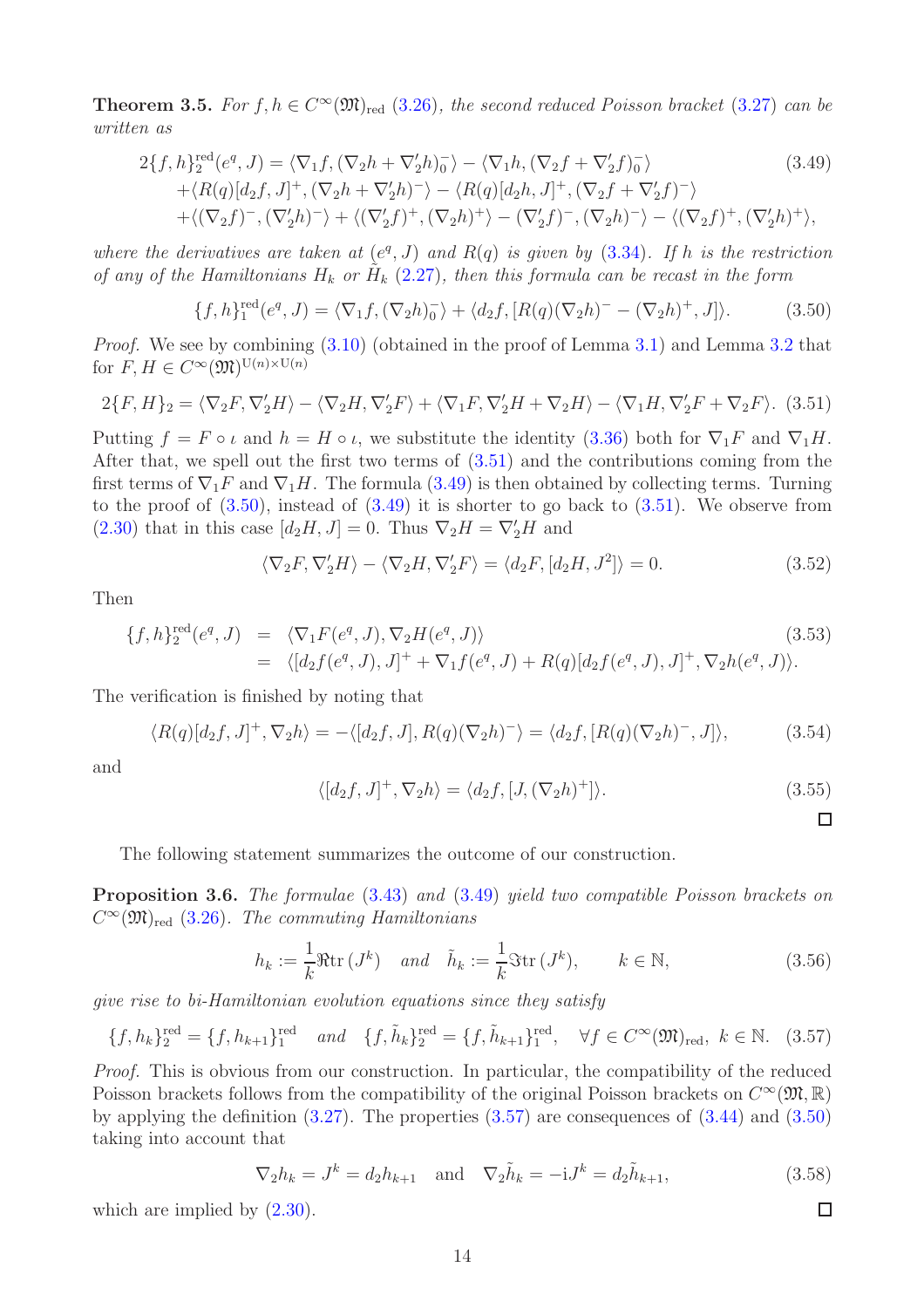<span id="page-13-0"></span>**Theorem 3.5.** For  $f, h \in C^{\infty}(\mathfrak{M})_{\text{red}}$  [\(3.26\)](#page-10-0), the second reduced Poisson bracket [\(3.27\)](#page-10-1) can be written as

<span id="page-13-3"></span>
$$
2\{f, h\}^{\text{red}}_2(e^q, J) = \langle \nabla_1 f, (\nabla_2 h + \nabla_2' h)_0 \rangle - \langle \nabla_1 h, (\nabla_2 f + \nabla_2' f)_0 \rangle \tag{3.49}
$$
  
 
$$
+ \langle R(q)[d_2 f, J]^+, (\nabla_2 h + \nabla_2' h)^- \rangle - \langle R(q)[d_2 h, J]^+, (\nabla_2 f + \nabla_2' f)^- \rangle
$$
  
 
$$
+ \langle (\nabla_2 f)^-, (\nabla_2' h)^- \rangle + \langle (\nabla_2' f)^+, (\nabla_2 h)^+ \rangle - (\nabla_2' f)^-, (\nabla_2 h)^- \rangle - \langle (\nabla_2 f)^+, (\nabla_2' h)^+ \rangle,
$$

where the derivatives are taken at  $(e^q, J)$  and  $R(q)$  is given by [\(3.34\)](#page-11-2). If h is the restriction of any of the Hamiltonians  $H_k$  or  $\tilde{H}_k$  [\(2.27\)](#page-7-3), then this formula can be recast in the form

<span id="page-13-4"></span>
$$
\{f, h\}^{\text{red}}_1(e^q, J) = \langle \nabla_1 f, (\nabla_2 h)^{-}_0 \rangle + \langle d_2 f, [R(q)(\nabla_2 h)^{-} - (\nabla_2 h)^{+}, J] \rangle. \tag{3.50}
$$

Proof. We see by combining [\(3.10\)](#page-9-3) (obtained in the proof of Lemma [3.1\)](#page-8-5) and Lemma [3.2](#page-9-4) that for  $F, H \in C^{\infty}(\mathfrak{M})^{\mathrm{U}(n)\times \mathrm{U}(n)}$ 

<span id="page-13-2"></span>
$$
2\{F,H\}_2 = \langle \nabla_2 F, \nabla_2' H \rangle - \langle \nabla_2 H, \nabla_2' F \rangle + \langle \nabla_1 F, \nabla_2' H + \nabla_2 H \rangle - \langle \nabla_1 H, \nabla_2' F + \nabla_2 F \rangle. \tag{3.51}
$$

Putting  $f = F \circ \iota$  and  $h = H \circ \iota$ , we substitute the identity [\(3.36\)](#page-11-3) both for  $\nabla_1 F$  and  $\nabla_1 H$ . After that, we spell out the first two terms of [\(3.51\)](#page-13-2) and the contributions coming from the first terms of  $\nabla_1 F$  and  $\nabla_1 H$ . The formula [\(3.49\)](#page-13-3) is then obtained by collecting terms. Turning to the proof of  $(3.50)$ , instead of  $(3.49)$  it is shorter to go back to  $(3.51)$ . We observe from [\(2.30\)](#page-7-4) that in this case  $[d_2H, J] = 0$ . Thus  $\nabla_2 H = \nabla_2' H$  and

$$
\langle \nabla_2 F, \nabla_2' H \rangle - \langle \nabla_2 H, \nabla_2' F \rangle = \langle d_2 F, [d_2 H, J^2] \rangle = 0.
$$
 (3.52)

Then

$$
\{f, h\}^{\text{red}}_2(e^q, J) = \langle \nabla_1 F(e^q, J), \nabla_2 H(e^q, J) \rangle
$$
\n
$$
= \langle [d_2 f(e^q, J), J]^+ + \nabla_1 f(e^q, J) + R(q)[d_2 f(e^q, J), J]^+, \nabla_2 h(e^q, J) \rangle.
$$
\n(3.53)

The verification is finished by noting that

$$
\langle R(q)[d_2f, J]^+, \nabla_2h \rangle = -\langle [d_2f, J], R(q)(\nabla_2h)^-\rangle = \langle d_2f, [R(q)(\nabla_2h)^-, J] \rangle, \tag{3.54}
$$

and

$$
\langle [d_2f, J]^+, \nabla_2 h \rangle = \langle d_2f, [J, (\nabla_2 h)^+] \rangle.
$$
\n(3.55)

The following statement summarizes the outcome of our construction.

<span id="page-13-1"></span>Proposition 3.6. The formulae [\(3.43\)](#page-12-1) and [\(3.49\)](#page-13-3) yield two compatible Poisson brackets on  $C^{\infty}(\mathfrak{M})_{\text{red}}$  [\(3.26\)](#page-10-0). The commuting Hamiltonians

<span id="page-13-6"></span>
$$
h_k := \frac{1}{k} \Re \text{tr}(J^k) \quad \text{and} \quad \tilde{h}_k := \frac{1}{k} \Im \text{tr}(J^k), \qquad k \in \mathbb{N}, \tag{3.56}
$$

give rise to bi-Hamiltonian evolution equations since they satisfy

<span id="page-13-5"></span>
$$
\{f, h_k\}_2^{\text{red}} = \{f, h_{k+1}\}_1^{\text{red}} \quad \text{and} \quad \{f, \tilde{h}_k\}_2^{\text{red}} = \{f, \tilde{h}_{k+1}\}_1^{\text{red}}, \quad \forall f \in C^{\infty}(\mathfrak{M})_{\text{red}}, \ k \in \mathbb{N}. \tag{3.57}
$$

Proof. This is obvious from our construction. In particular, the compatibility of the reduced Poisson brackets follows from the compatibility of the original Poisson brackets on  $C^{\infty}(\mathfrak{M}, \mathbb{R})$ by applying the definition  $(3.27)$ . The properties  $(3.57)$  are consequences of  $(3.44)$  and  $(3.50)$ taking into account that

<span id="page-13-7"></span>
$$
\nabla_2 h_k = J^k = d_2 h_{k+1} \text{ and } \nabla_2 \tilde{h}_k = -iJ^k = d_2 \tilde{h}_{k+1},
$$
\n(3.58)

which are implied by  $(2.30)$ .

 $\Box$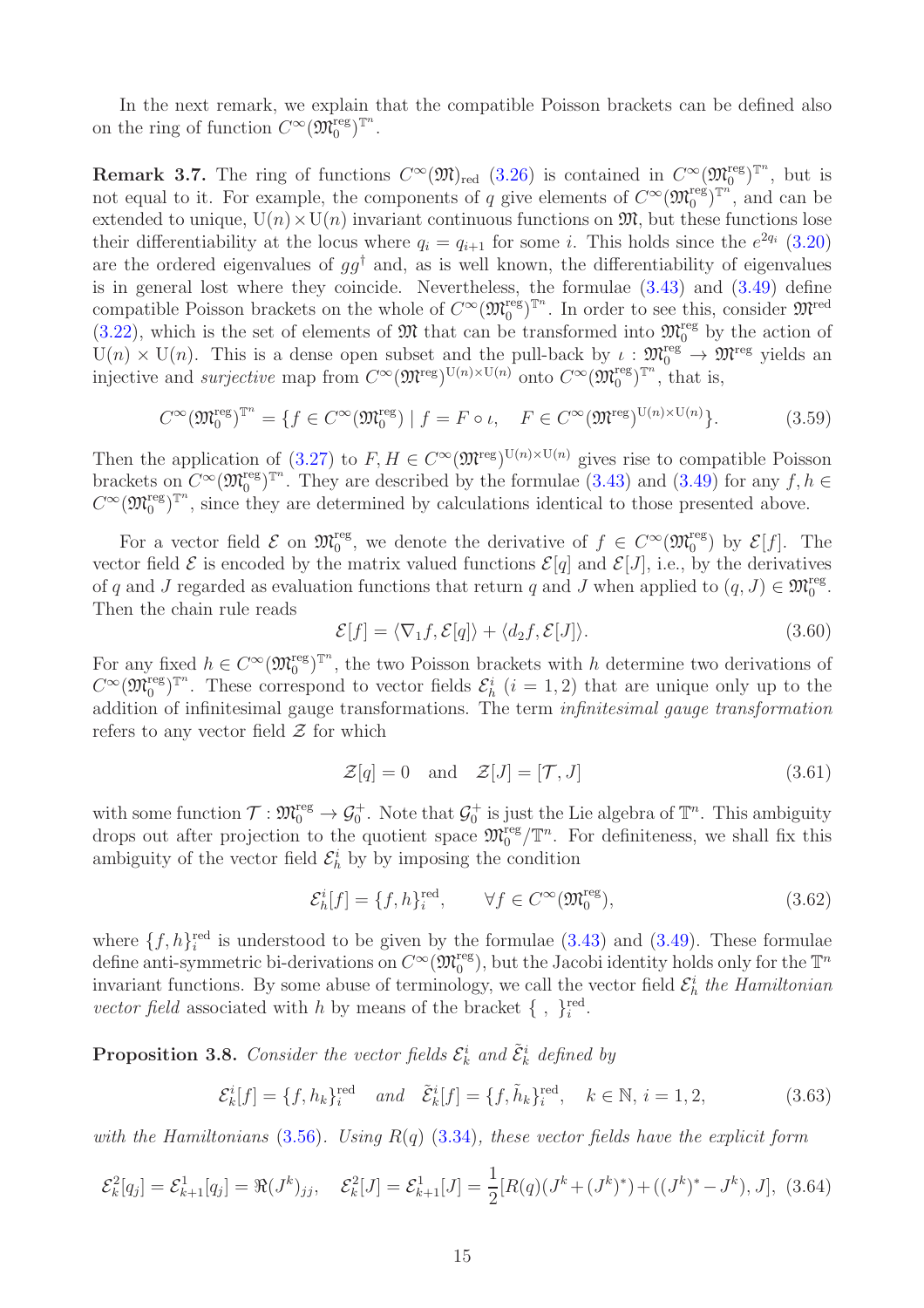In the next remark, we explain that the compatible Poisson brackets can be defined also on the ring of function  $C^{\infty}(\mathfrak{M}_0^{\text{reg}})^{\mathbb{T}^n}$ .

**Remark 3.7.** The ring of functions  $C^{\infty}(\mathfrak{M})_{\text{red}}$  [\(3.26\)](#page-10-0) is contained in  $C^{\infty}(\mathfrak{M}_{0}^{\text{reg}})^{\mathbb{T}^{n}}$ , but is not equal to it. For example, the components of q give elements of  $C^{\infty}(\mathfrak{M}_0^{\text{reg}})^{\mathbb{T}^n}$ , and can be extended to unique,  $U(n) \times U(n)$  invariant continuous functions on  $\mathfrak{M}$ , but these functions lose their differentiability at the locus where  $q_i = q_{i+1}$  for some i. This holds since the  $e^{2q_i}$  [\(3.20\)](#page-10-2) are the ordered eigenvalues of  $qq^{\dagger}$  and, as is well known, the differentiability of eigenvalues is in general lost where they coincide. Nevertheless, the formulae [\(3.43\)](#page-12-1) and [\(3.49\)](#page-13-3) define compatible Poisson brackets on the whole of  $C^{\infty}(\mathfrak{M}_0^{\text{reg}})^{\mathbb{T}^n}$ . In order to see this, consider  $\mathfrak{M}^{\text{red}}$ [\(3.22\)](#page-10-3), which is the set of elements of  $\mathfrak{M}$  that can be transformed into  $\mathfrak{M}^{\text{reg}}_0$  by the action of  $U(n) \times U(n)$ . This is a dense open subset and the pull-back by  $\iota : \mathfrak{M}^{\text{reg}}_0 \to \mathfrak{M}^{\text{reg}}$  yields an injective and *surjective* map from  $C^{\infty}(\mathfrak{M}^{\text{reg}})^{\mathrm{U}(n)\times\mathrm{U}(n)}$  onto  $C^{\infty}(\mathfrak{M}^{\text{reg}}_{0})^{\mathbb{T}^{n}}$ , that is,

$$
C^{\infty}(\mathfrak{M}_0^{\text{reg}})^{\mathbb{T}^n} = \{ f \in C^{\infty}(\mathfrak{M}_0^{\text{reg}}) \mid f = F \circ \iota, \quad F \in C^{\infty}(\mathfrak{M}^{\text{reg}})^{\mathbb{U}(n) \times \mathbb{U}(n)} \}.
$$
 (3.59)

Then the application of [\(3.27\)](#page-10-1) to  $F, H \in C^{\infty}(\mathfrak{M}^{\text{reg}})^{\mathrm{U}(n) \times \mathrm{U}(n)}$  gives rise to compatible Poisson brackets on  $C^{\infty}(\mathfrak{M}_{0}^{\text{reg}})^{\mathbb{T}^{n}}$ . They are described by the formulae [\(3.43\)](#page-12-1) and [\(3.49\)](#page-13-3) for any  $f, h \in$  $C^{\infty}(\mathfrak{M}_{0}^{\text{reg}})^{\mathbb{T}^{n}}$ , since they are determined by calculations identical to those presented above.

For a vector field  $\mathcal E$  on  $\mathfrak M_0^{\text{reg}}$ , we denote the derivative of  $f \in C^{\infty}(\mathfrak M_0^{\text{reg}})$  by  $\mathcal E[f]$ . The vector field  $\mathcal E$  is encoded by the matrix valued functions  $\mathcal E[q]$  and  $\mathcal E[J]$ , i.e., by the derivatives of q and J regarded as evaluation functions that return q and J when applied to  $(q, J) \in \mathfrak{M}^{\text{reg}}_0$ . Then the chain rule reads

$$
\mathcal{E}[f] = \langle \nabla_1 f, \mathcal{E}[q] \rangle + \langle d_2 f, \mathcal{E}[J] \rangle. \tag{3.60}
$$

For any fixed  $h \in C^{\infty}(\mathfrak{M}^{\text{reg}}_{0})^{\mathbb{T}^{n}}$ , the two Poisson brackets with h determine two derivations of  $C^{\infty}(\mathfrak{M}_{0}^{\text{reg}})^{\mathbb{T}^{n}}$ . These correspond to vector fields  $\mathcal{E}_{h}^{i}$   $(i = 1, 2)$  that are unique only up to the addition of infinitesimal gauge transformations. The term infinitesimal gauge transformation refers to any vector field  $\mathcal Z$  for which

<span id="page-14-2"></span>
$$
\mathcal{Z}[q] = 0 \quad \text{and} \quad \mathcal{Z}[J] = [\mathcal{T}, J] \tag{3.61}
$$

with some function  $\mathcal{T}:\mathfrak{M}^{\text{reg}}_0\to\mathcal{G}^+_0$ . Note that  $\mathcal{G}^+_0$  is just the Lie algebra of  $\mathbb{T}^n$ . This ambiguity drops out after projection to the quotient space  $\mathfrak{M}^{\text{reg}}_{0}/\mathbb{T}^{n}$ . For definiteness, we shall fix this ambiguity of the vector field  $\mathcal{E}_h^i$  by by imposing the condition

$$
\mathcal{E}_h^i[f] = \{f, h\}_i^{\text{red}}, \qquad \forall f \in C^\infty(\mathfrak{M}_0^{\text{reg}}),\tag{3.62}
$$

where  $\{f, h\}^{\text{red}}_i$  is understood to be given by the formulae [\(3.43\)](#page-12-1) and [\(3.49\)](#page-13-3). These formulae define anti-symmetric bi-derivations on  $C^{\infty}(\mathfrak{M}^{\text{reg}}_0)$ , but the Jacobi identity holds only for the  $\mathbb{T}^n$ invariant functions. By some abuse of terminology, we call the vector field  $\mathcal{E}_h^i$  the Hamiltonian vector field associated with h by means of the bracket  $\{\ ,\ \}_{i}^{\text{red}}$ .

<span id="page-14-0"></span>**Proposition 3.8.** Consider the vector fields  $\mathcal{E}_k^i$  and  $\tilde{\mathcal{E}}_k^i$  defined by

$$
\mathcal{E}_{k}^{i}[f] = \{f, h_{k}\}_{i}^{\text{red}} \quad \text{and} \quad \tilde{\mathcal{E}}_{k}^{i}[f] = \{f, \tilde{h}_{k}\}_{i}^{\text{red}}, \quad k \in \mathbb{N}, \, i = 1, 2, \tag{3.63}
$$

with the Hamiltonians [\(3.56\)](#page-13-6). Using  $R(q)$  [\(3.34\)](#page-11-2), these vector fields have the explicit form

<span id="page-14-1"></span>
$$
\mathcal{E}_k^2[q_j] = \mathcal{E}_{k+1}^1[q_j] = \Re(J^k)_{jj}, \quad \mathcal{E}_k^2[J] = \mathcal{E}_{k+1}^1[J] = \frac{1}{2}[R(q)(J^k + (J^k)^*) + ((J^k)^* - J^k), J], \tag{3.64}
$$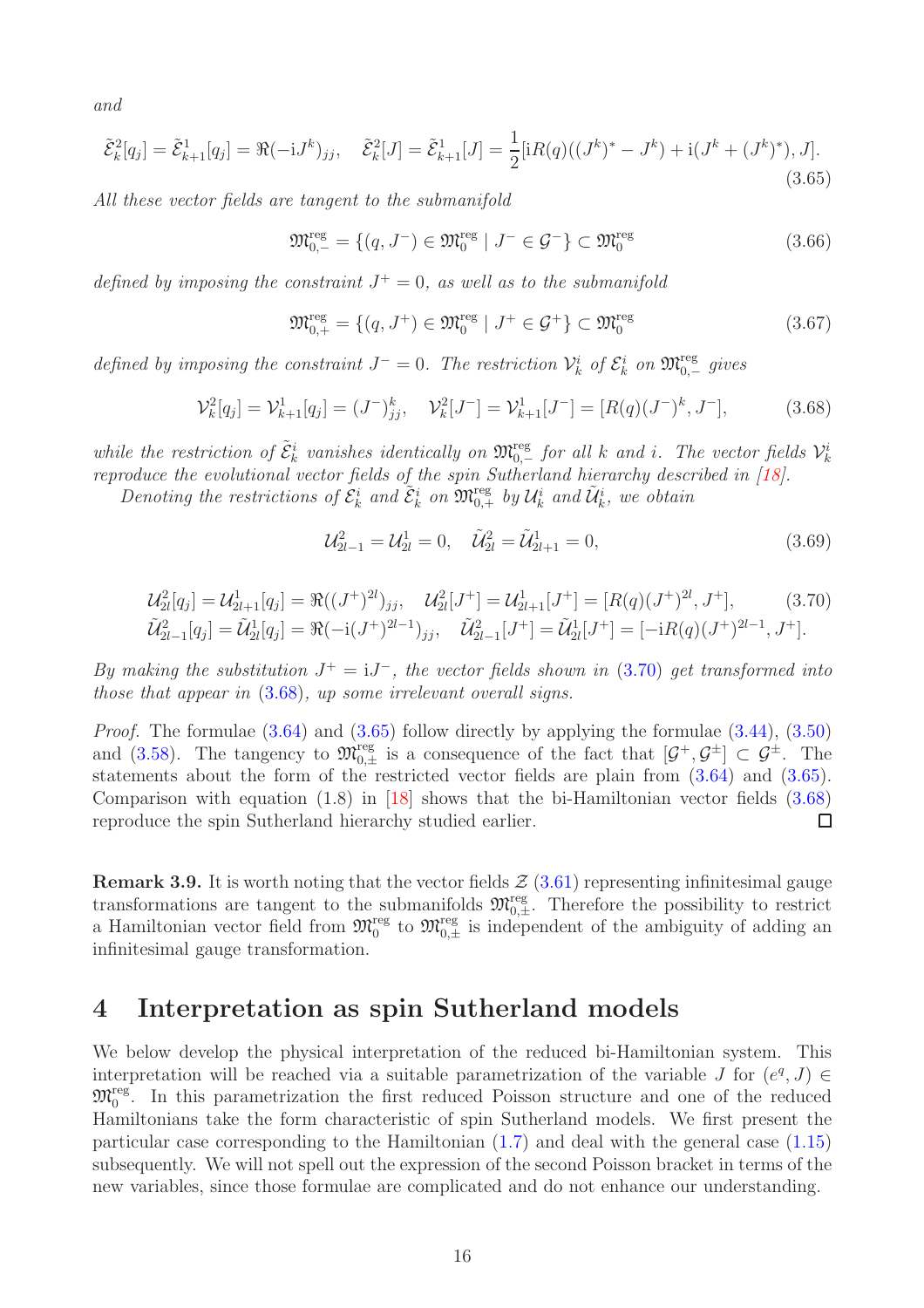and

<span id="page-15-3"></span>
$$
\tilde{\mathcal{E}}_k^2[q_j] = \tilde{\mathcal{E}}_{k+1}^1[q_j] = \Re(-\mathrm{i}J^k)_{jj}, \quad \tilde{\mathcal{E}}_k^2[J] = \tilde{\mathcal{E}}_{k+1}^1[J] = \frac{1}{2}[\mathrm{i}R(q)((J^k)^* - J^k) + \mathrm{i}(J^k + (J^k)^*), J].\tag{3.65}
$$

All these vector fields are tangent to the submanifold

<span id="page-15-4"></span>
$$
\mathfrak{M}_{0,-}^{\text{reg}} = \{ (q, J^-) \in \mathfrak{M}_0^{\text{reg}} \mid J^- \in \mathcal{G}^- \} \subset \mathfrak{M}_0^{\text{reg}} \tag{3.66}
$$

defined by imposing the constraint  $J^+=0$ , as well as to the submanifold

<span id="page-15-5"></span>
$$
\mathfrak{M}_{0,+}^{\text{reg}} = \{ (q, J^+) \in \mathfrak{M}_0^{\text{reg}} \mid J^+ \in \mathcal{G}^+ \} \subset \mathfrak{M}_0^{\text{reg}} \tag{3.67}
$$

defined by imposing the constraint  $J^- = 0$ . The restriction  $\mathcal{V}_k^i$  of  $\mathcal{E}_k^i$  on  $\mathfrak{M}_{0,-}^{\text{reg}}$  gives

<span id="page-15-2"></span>
$$
\mathcal{V}_k^2[q_j] = \mathcal{V}_{k+1}^1[q_j] = (J^{-})_{jj}^k, \quad \mathcal{V}_k^2[J^{-}] = \mathcal{V}_{k+1}^1[J^{-}] = [R(q)(J^{-})^k, J^{-}], \tag{3.68}
$$

while the restriction of  $\tilde{\mathcal{E}}_k^i$  vanishes identically on  $\mathfrak{M}_{0,-}^{\text{reg}}$  for all k and i. The vector fields  $\mathcal{V}_k^i$ reproduce the evolutional vector fields of the spin Sutherland hierarchy described in [\[18\]](#page-27-8).

Denoting the restrictions of  $\mathcal{E}_k^i$  and  $\tilde{\mathcal{E}}_k^i$  on  $\mathfrak{M}_{0,+}^{\text{reg}}$  by  $\mathcal{U}_k^i$  and  $\tilde{\mathcal{U}}_k^i$ , we obtain

$$
\mathcal{U}_{2l-1}^2 = \mathcal{U}_{2l}^1 = 0, \quad \tilde{\mathcal{U}}_{2l}^2 = \tilde{\mathcal{U}}_{2l+1}^1 = 0,\tag{3.69}
$$

<span id="page-15-1"></span>
$$
\mathcal{U}_{2l}^{2}[q_{j}] = \mathcal{U}_{2l+1}^{1}[q_{j}] = \Re((J^{+})^{2l})_{jj}, \quad \mathcal{U}_{2l}^{2}[J^{+}] = \mathcal{U}_{2l+1}^{1}[J^{+}] = [R(q)(J^{+})^{2l}, J^{+}], \quad (3.70)
$$
  

$$
\tilde{\mathcal{U}}_{2l-1}^{2}[q_{j}] = \tilde{\mathcal{U}}_{2l}^{1}[q_{j}] = \Re(-i(J^{+})^{2l-1})_{jj}, \quad \tilde{\mathcal{U}}_{2l-1}^{2}[J^{+}] = \tilde{\mathcal{U}}_{2l}^{1}[J^{+}] = [-iR(q)(J^{+})^{2l-1}, J^{+}].
$$

By making the substitution  $J^+ = iJ^-$ , the vector fields shown in [\(3.70\)](#page-15-1) get transformed into those that appear in [\(3.68\)](#page-15-2), up some irrelevant overall signs.

Proof. The formulae [\(3.64\)](#page-14-1) and [\(3.65\)](#page-15-3) follow directly by applying the formulae [\(3.44\)](#page-12-2), [\(3.50\)](#page-13-4) and [\(3.58\)](#page-13-7). The tangency to  $\mathfrak{M}_{0,\pm}^{\text{reg}}$  is a consequence of the fact that  $[\mathcal{G}^+,\mathcal{G}^{\pm}] \subset \mathcal{G}^{\pm}$ . The statements about the form of the restricted vector fields are plain from [\(3.64\)](#page-14-1) and [\(3.65\)](#page-15-3). Comparison with equation (1.8) in [\[18\]](#page-27-8) shows that the bi-Hamiltonian vector fields [\(3.68\)](#page-15-2) reproduce the spin Sutherland hierarchy studied earlier.  $\Box$ 

**Remark 3.9.** It is worth noting that the vector fields  $\mathcal{Z}(3.61)$  $\mathcal{Z}(3.61)$  representing infinitesimal gauge transformations are tangent to the submanifolds  $\mathfrak{M}_{0,\pm}^{\text{reg}}$ . Therefore the possibility to restrict a Hamiltonian vector field from  $\mathfrak{M}_{0,\pm}^{\text{reg}}$  to  $\mathfrak{M}_{0,\pm}^{\text{reg}}$  is independent of the ambiguity of adding an infinitesimal gauge transformation.

### <span id="page-15-0"></span>4 Interpretation as spin Sutherland models

We below develop the physical interpretation of the reduced bi-Hamiltonian system. This interpretation will be reached via a suitable parametrization of the variable J for  $(e^q, J) \in$  $\mathfrak{M}_{0}^{\text{reg}}$ . In this parametrization the first reduced Poisson structure and one of the reduced Hamiltonians take the form characteristic of spin Sutherland models. We first present the particular case corresponding to the Hamiltonian [\(1.7\)](#page-2-4) and deal with the general case [\(1.15\)](#page-3-0) subsequently. We will not spell out the expression of the second Poisson bracket in terms of the new variables, since those formulae are complicated and do not enhance our understanding.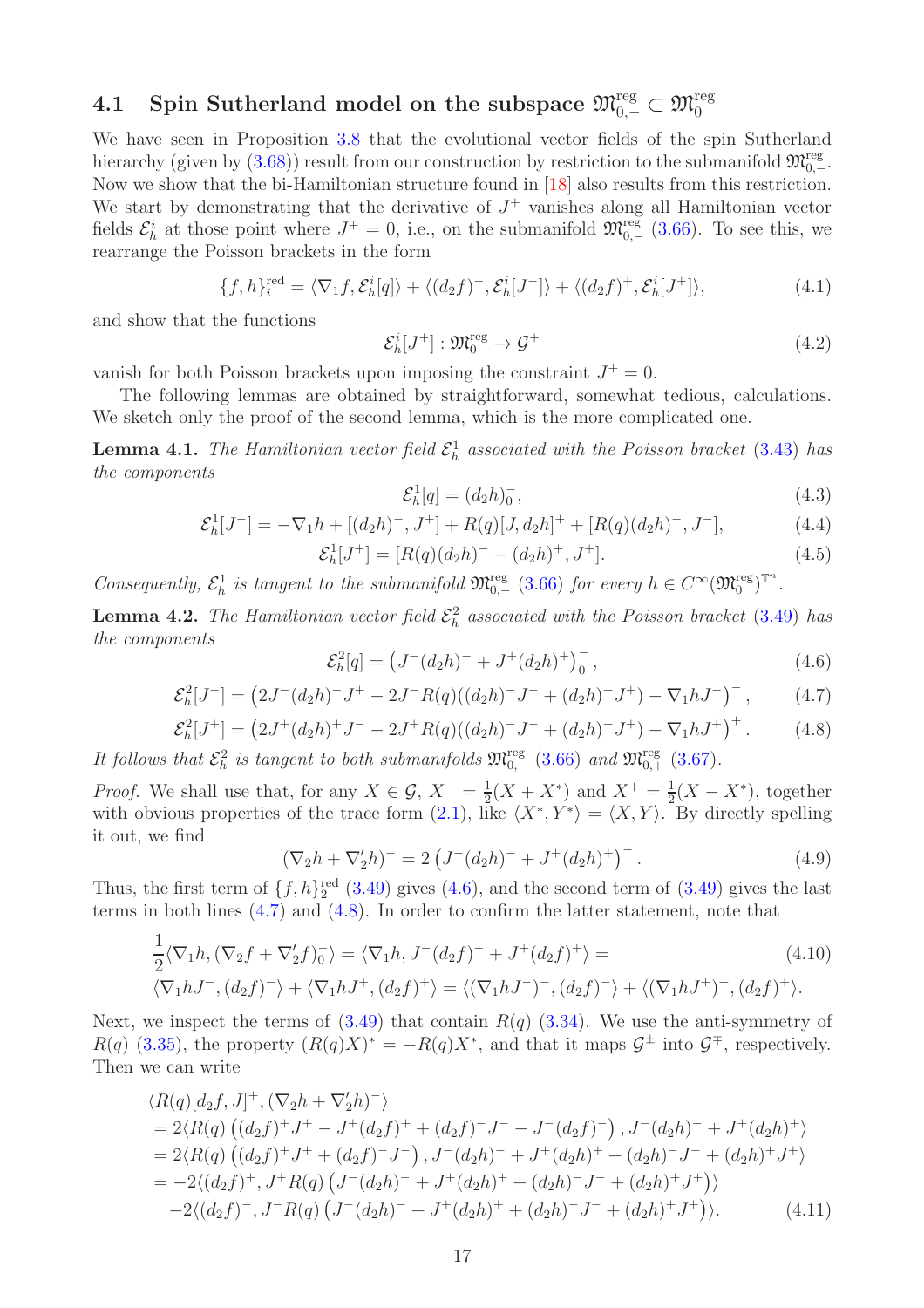# <span id="page-16-0"></span> $\text{4.1 }\quad \text{Spin Sutherland model on the subspace } \mathfrak{M}_{0,-}^{\text{reg}}\subset \mathfrak{M}_{0}^{\text{reg}}$

We have seen in Proposition [3.8](#page-14-0) that the evolutional vector fields of the spin Sutherland hierarchy (given by  $(3.68)$ ) result from our construction by restriction to the submanifold  $\mathfrak{M}^{\text{reg}}_{0,-}$ . Now we show that the bi-Hamiltonian structure found in [\[18\]](#page-27-8) also results from this restriction. We start by demonstrating that the derivative of  $J^+$  vanishes along all Hamiltonian vector fields  $\mathcal{E}_h^i$  at those point where  $J^+ = 0$ , i.e., on the submanifold  $\mathfrak{M}_{0,-}^{\text{reg}}$  [\(3.66\)](#page-15-4). To see this, we rearrange the Poisson brackets in the form

$$
\{f, h\}_i^{\text{red}} = \langle \nabla_1 f, \mathcal{E}_h^i[q] \rangle + \langle (d_2 f)^-, \mathcal{E}_h^i[J^-] \rangle + \langle (d_2 f)^+, \mathcal{E}_h^i[J^+] \rangle, \tag{4.1}
$$

and show that the functions

$$
\mathcal{E}_h^i[J^+] : \mathfrak{M}_0^{\text{reg}} \to \mathcal{G}^+ \tag{4.2}
$$

vanish for both Poisson brackets upon imposing the constraint  $J^+ = 0$ .

The following lemmas are obtained by straightforward, somewhat tedious, calculations. We sketch only the proof of the second lemma, which is the more complicated one.

<span id="page-16-5"></span>**Lemma 4.1.** The Hamiltonian vector field  $\mathcal{E}_h^1$  associated with the Poisson bracket [\(3.43\)](#page-12-1) has the components

$$
\mathcal{E}_h^1[q] = (d_2 h)_0^-, \tag{4.3}
$$

$$
\mathcal{E}_h^1[J^-] = -\nabla_1 h + [(d_2 h)^-, J^+] + R(q)[J, d_2 h]^+ + [R(q)(d_2 h)^-, J^-],\tag{4.4}
$$

$$
\mathcal{E}_h^1[J^+] = [R(q)(d_2h)^- - (d_2h)^+, J^+].\tag{4.5}
$$

Consequently,  $\mathcal{E}_h^1$  is tangent to the submanifold  $\mathfrak{M}_{0,-}^{\text{reg}}(3.66)$  $\mathfrak{M}_{0,-}^{\text{reg}}(3.66)$  for every  $h \in C^{\infty}(\mathfrak{M}_0^{\text{reg}})^{\mathbb{T}^n}$ .

<span id="page-16-1"></span>**Lemma 4.2.** The Hamiltonian vector field  $\mathcal{E}_h^2$  associated with the Poisson bracket [\(3.49\)](#page-13-3) has the components

<span id="page-16-2"></span>
$$
\mathcal{E}_h^2[q] = \left(J^-(d_2h)^- + J^+(d_2h)^+\right)_0^-, \tag{4.6}
$$

<span id="page-16-3"></span>
$$
\mathcal{E}_h^2[J^-] = \left(2J^-(d_2h)^{-}J^{+} - 2J^{-}R(q)((d_2h)^{-}J^{-} + (d_2h)^{+}J^{+}) - \nabla_1hJ^{-}\right)^{-},\tag{4.7}
$$

<span id="page-16-4"></span>
$$
\mathcal{E}_h^2[J^+] = \left(2J^+(d_2h)^+J^- - 2J^+R(q)((d_2h)^-J^- + (d_2h)^+J^+) - \nabla_1hJ^+\right)^+.
$$
 (4.8)

It follows that  $\mathcal{E}_h^2$  is tangent to both submanifolds  $\mathfrak{M}_{0,-}^{\text{reg}}(3.66)$  $\mathfrak{M}_{0,-}^{\text{reg}}(3.66)$  and  $\mathfrak{M}_{0,+}^{\text{reg}}(3.67)$  $\mathfrak{M}_{0,+}^{\text{reg}}(3.67)$ .

*Proof.* We shall use that, for any  $X \in \mathcal{G}$ ,  $X^{-} = \frac{1}{2}$  $\frac{1}{2}(X+X^*)$  and  $X^+=\frac{1}{2}$  $\frac{1}{2}(X - X^*)$ , together with obvious properties of the trace form  $(2.1)$ , like  $\langle X^*, Y^* \rangle = \langle X, Y \rangle$ . By directly spelling it out, we find

$$
(\nabla_2 h + \nabla_2' h)^{-} = 2 \left( J^{-} (d_2 h)^{-} + J^{+} (d_2 h)^{+} \right)^{-}.
$$
\n(4.9)

Thus, the first term of  $\{f, h\}^{\text{red}}_2$  [\(3.49\)](#page-13-3) gives [\(4.6\)](#page-16-2), and the second term of [\(3.49\)](#page-13-3) gives the last terms in both lines [\(4.7\)](#page-16-3) and [\(4.8\)](#page-16-4). In order to confirm the latter statement, note that

$$
\frac{1}{2}\langle \nabla_1 h, (\nabla_2 f + \nabla_2' f)_0^-\rangle = \langle \nabla_1 h, J^-(d_2 f)^- + J^+(d_2 f)^+\rangle =
$$
\n
$$
\langle \nabla_1 h, J^-(d_2 f)^-\rangle + \langle \nabla_1 h, J^+(d_2 f)^+\rangle = \langle (\nabla_1 h, J^-(d_2 f)^-\rangle + \langle (\nabla_1 h, J^+)^+, (d_2 f)^+\rangle.
$$
\n(4.10)

Next, we inspect the terms of  $(3.49)$  that contain  $R(q)$   $(3.34)$ . We use the anti-symmetry of  $R(q)$  [\(3.35\)](#page-11-4), the property  $(R(q)X)^* = -R(q)X^*$ , and that it maps  $\mathcal{G}^{\pm}$  into  $\mathcal{G}^{\mp}$ , respectively. Then we can write

$$
\langle R(q)[d_2f, J]^+, (\nabla_2h + \nabla_2'h)^-\rangle
$$
  
= 2\langle R(q) ((d\_2f)^+J^+ - J^+(d\_2f)^+ + (d\_2f)^-J^- - J^-(d\_2f)^-), J^-(d\_2h)^- + J^+(d\_2h)^+\rangle  
= 2\langle R(q) ((d\_2f)^+J^+ + (d\_2f)^-J^-), J^-(d\_2h)^- + J^+(d\_2h)^+ + (d\_2h)^-J^- + (d\_2h)^+J^+\rangle  
= -2\langle (d\_2f)^+, J^+R(q) (J^-(d\_2h)^- + J^+(d\_2h)^+ + (d\_2h)^-J^- + (d\_2h)^+J^+)\rangle  
-2\langle (d\_2f)^-, J^-R(q) (J^-(d\_2h)^- + J^+(d\_2h)^+ + (d\_2h)^-J^- + (d\_2h)^+J^+\rangle). (4.11)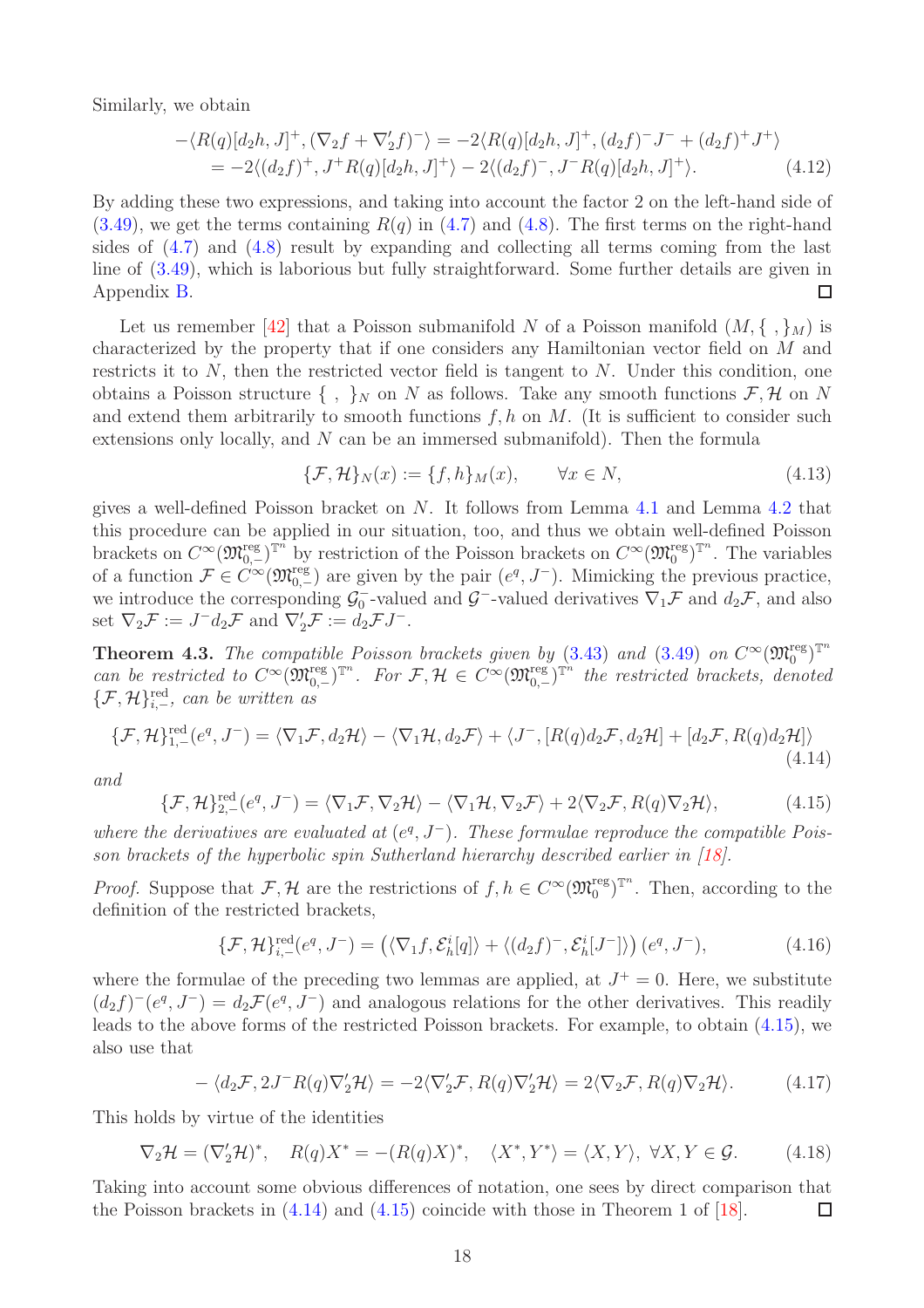Similarly, we obtain

$$
-\langle R(q)[d_2h, J]^+, (\nabla_2 f + \nabla_2' f)^- \rangle = -2 \langle R(q)[d_2h, J]^+, (d_2 f)^- J^- + (d_2 f)^+ J^+ \rangle
$$
  
= -2\langle (d\_2 f)^+, J^+ R(q)[d\_2h, J]^+ \rangle - 2\langle (d\_2 f)^-, J^- R(q)[d\_2h, J]^+ \rangle. (4.12)

By adding these two expressions, and taking into account the factor 2 on the left-hand side of  $(3.49)$ , we get the terms containing  $R(q)$  in  $(4.7)$  and  $(4.8)$ . The first terms on the right-hand sides of [\(4.7\)](#page-16-3) and [\(4.8\)](#page-16-4) result by expanding and collecting all terms coming from the last line of [\(3.49\)](#page-13-3), which is laborious but fully straightforward. Some further details are given in Appendix [B.](#page-23-0)  $\Box$ 

Let us remember [\[42\]](#page-28-11) that a Poisson submanifold N of a Poisson manifold  $(M, \{ , \}_M)$  is characterized by the property that if one considers any Hamiltonian vector field on M and restricts it to  $N$ , then the restricted vector field is tangent to  $N$ . Under this condition, one obtains a Poisson structure  $\{\ ,\ \}_N$  on N as follows. Take any smooth functions  $\mathcal{F}, \mathcal{H}$  on N and extend them arbitrarily to smooth functions  $f, h$  on  $M$ . (It is sufficient to consider such extensions only locally, and N can be an immersed submanifold). Then the formula

$$
\{\mathcal{F}, \mathcal{H}\}_N(x) := \{f, h\}_M(x), \qquad \forall x \in N,
$$
\n(4.13)

gives a well-defined Poisson bracket on  $N$ . It follows from Lemma [4.1](#page-16-5) and Lemma [4.2](#page-16-1) that this procedure can be applied in our situation, too, and thus we obtain well-defined Poisson brackets on  $C^{\infty}(\mathfrak{M}_{0,-}^{\text{reg}})^{\mathbb{T}^n}$  by restriction of the Poisson brackets on  $C^{\infty}(\mathfrak{M}_0^{\text{reg}})^{\mathbb{T}^n}$ . The variables of a function  $\mathcal{F} \in C^{\infty}(\mathfrak{M}_{0,-}^{\text{reg}})$  are given by the pair  $(e^q, J^-)$ . Mimicking the previous practice, we introduce the corresponding  $\mathcal{G}_0^ _0^-$ -valued and  $\mathcal{G}^-$ -valued derivatives  $\nabla_1 \mathcal{F}$  and  $d_2 \mathcal{F}$ , and also set  $\nabla_2 \mathcal{F} := J^- d_2 \mathcal{F}$  and  $\nabla_2' \mathcal{F} := d_2 \mathcal{F} J^-$ .

<span id="page-17-0"></span>**Theorem 4.3.** The compatible Poisson brackets given by  $(3.43)$  and  $(3.49)$  on  $C^{\infty}(\mathfrak{M}_{0}^{\text{reg}})^{\mathbb{T}^{n}}$ can be restricted to  $C^{\infty}(\mathfrak{M}_{0,-}^{\text{reg}})^{\mathbb{T}^n}$ . For  $\mathcal{F}, \mathcal{H} \in C^{\infty}(\mathfrak{M}_{0,-}^{\text{reg}})^{\mathbb{T}^n}$  the restricted brackets, denoted  $\{\mathcal{F},\mathcal{H}\}_{i,-}^{\text{red}},$  can be written as

<span id="page-17-2"></span>
$$
\{\mathcal{F},\mathcal{H}\}_{1,-}^{\text{red}}(e^q,J^-) = \langle \nabla_1 \mathcal{F}, d_2 \mathcal{H} \rangle - \langle \nabla_1 \mathcal{H}, d_2 \mathcal{F} \rangle + \langle J^-, [R(q) d_2 \mathcal{F}, d_2 \mathcal{H}] + [d_2 \mathcal{F}, R(q) d_2 \mathcal{H}] \rangle \tag{4.14}
$$

and

<span id="page-17-1"></span>
$$
\{\mathcal{F},\mathcal{H}\}_{2,-}^{\text{red}}(e^q,J^-) = \langle \nabla_1 \mathcal{F}, \nabla_2 \mathcal{H} \rangle - \langle \nabla_1 \mathcal{H}, \nabla_2 \mathcal{F} \rangle + 2 \langle \nabla_2 \mathcal{F}, R(q) \nabla_2 \mathcal{H} \rangle, \tag{4.15}
$$

where the derivatives are evaluated at  $(e^q, J^-)$ . These formulae reproduce the compatible Poisson brackets of the hyperbolic spin Sutherland hierarchy described earlier in [\[18\]](#page-27-8).

*Proof.* Suppose that  $\mathcal{F}, \mathcal{H}$  are the restrictions of  $f, h \in C^{\infty}(\mathfrak{M}_{0}^{\text{reg}})^{\mathbb{T}^{n}}$ . Then, according to the definition of the restricted brackets,

$$
\{\mathcal{F},\mathcal{H}\}_{i,-}^{\text{red}}(e^q,J^-)=\left(\langle\nabla_1f,\mathcal{E}_h^i[q]\rangle+\langle(d_2f)^-,\mathcal{E}_h^i[J^-]\rangle\right)(e^q,J^-),\tag{4.16}
$$

where the formulae of the preceding two lemmas are applied, at  $J^+=0$ . Here, we substitute  $(d_2 f)^{-1}(e^q, J^{-}) = d_2 \mathcal{F}(e^q, J^{-})$  and analogous relations for the other derivatives. This readily leads to the above forms of the restricted Poisson brackets. For example, to obtain [\(4.15\)](#page-17-1), we also use that

$$
-\langle d_2 \mathcal{F}, 2J^-R(q)\nabla_2' \mathcal{H} \rangle = -2\langle \nabla_2' \mathcal{F}, R(q)\nabla_2' \mathcal{H} \rangle = 2\langle \nabla_2 \mathcal{F}, R(q)\nabla_2 \mathcal{H} \rangle. \tag{4.17}
$$

This holds by virtue of the identities

$$
\nabla_2 \mathcal{H} = (\nabla_2' \mathcal{H})^*, \quad R(q)X^* = -(R(q)X)^*, \quad \langle X^*, Y^* \rangle = \langle X, Y \rangle, \ \forall X, Y \in \mathcal{G}.
$$
 (4.18)

Taking into account some obvious differences of notation, one sees by direct comparison that the Poisson brackets in [\(4.14\)](#page-17-2) and [\(4.15\)](#page-17-1) coincide with those in Theorem 1 of [\[18\]](#page-27-8).  $\Box$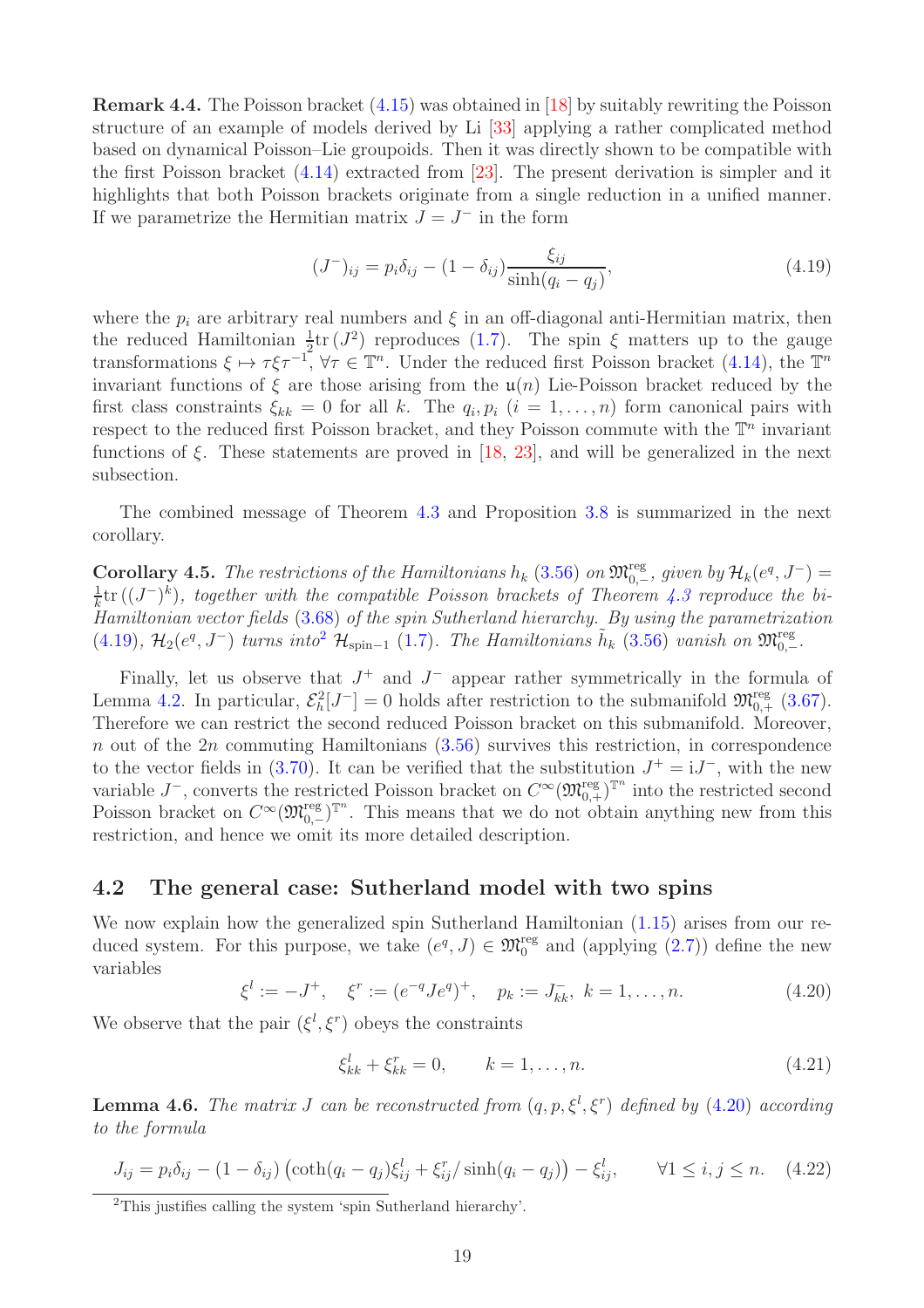<span id="page-18-7"></span>Remark 4.4. The Poisson bracket [\(4.15\)](#page-17-1) was obtained in [\[18\]](#page-27-8) by suitably rewriting the Poisson structure of an example of models derived by Li [\[33\]](#page-28-16) applying a rather complicated method based on dynamical Poisson–Lie groupoids. Then it was directly shown to be compatible with the first Poisson bracket [\(4.14\)](#page-17-2) extracted from [\[23\]](#page-27-14). The present derivation is simpler and it highlights that both Poisson brackets originate from a single reduction in a unified manner. If we parametrize the Hermitian matrix  $J = J^-$  in the form

<span id="page-18-2"></span>
$$
(J^{-})_{ij} = p_i \delta_{ij} - (1 - \delta_{ij}) \frac{\xi_{ij}}{\sinh(q_i - q_j)},
$$
\n(4.19)

where the  $p_i$  are arbitrary real numbers and  $\xi$  in an off-diagonal anti-Hermitian matrix, then the reduced Hamiltonian  $\frac{1}{2}$ tr ( $J^2$ ) reproduces [\(1.7\)](#page-2-4). The spin  $\xi$  matters up to the gauge transformations  $\xi \mapsto \tau \xi \tau^{-1}$ ,  $\forall \tau \in \mathbb{T}^n$ . Under the reduced first Poisson bracket [\(4.14\)](#page-17-2), the  $\mathbb{T}^n$ invariant functions of  $\xi$  are those arising from the  $\mathfrak{u}(n)$  Lie-Poisson bracket reduced by the first class constraints  $\xi_{kk} = 0$  for all k. The  $q_i, p_i$   $(i = 1, ..., n)$  form canonical pairs with respect to the reduced first Poisson bracket, and they Poisson commute with the  $\mathbb{T}^n$  invariant functions of  $\xi$ . These statements are proved in [\[18,](#page-27-8) [23\]](#page-27-14), and will be generalized in the next subsection.

The combined message of Theorem [4.3](#page-17-0) and Proposition [3.8](#page-14-0) is summarized in the next corollary.

**Corollary 4.5.** The restrictions of the Hamiltonians  $h_k$  [\(3.56\)](#page-13-6) on  $\mathfrak{M}_{0,-}^{\text{reg}}$ , given by  $\mathcal{H}_k(e^q, J^-)$  = 1  $\frac{1}{k}$ tr  $((J^-)^k)$ , together with the compatible Poisson brackets of Theorem [4.3](#page-17-0) reproduce the bi-Hamiltonian vector fields [\(3.68\)](#page-15-2) of the spin Sutherland hierarchy. By using the parametrization [\(4.19\)](#page-18-2),  $\mathcal{H}_2(e^q, J^-)$  $\mathcal{H}_2(e^q, J^-)$  $\mathcal{H}_2(e^q, J^-)$  turns into<sup>2</sup>  $\mathcal{H}_{spin-1}$  [\(1.7\)](#page-2-4). The Hamiltonians  $\tilde{h}_k$  [\(3.56\)](#page-13-6) vanish on  $\mathfrak{M}_{0,-}^{\text{reg}}$ .

Finally, let us observe that  $J^+$  and  $J^-$  appear rather symmetrically in the formula of Lemma [4.2.](#page-16-1) In particular,  $\mathcal{E}_h^2[J^-]=0$  holds after restriction to the submanifold  $\mathfrak{M}_{0,+}^{\text{reg}}$  [\(3.67\)](#page-15-5). Therefore we can restrict the second reduced Poisson bracket on this submanifold. Moreover, n out of the  $2n$  commuting Hamiltonians  $(3.56)$  survives this restriction, in correspondence to the vector fields in  $(3.70)$ . It can be verified that the substitution  $J^+ = iJ^-$ , with the new variable  $J^-$ , converts the restricted Poisson bracket on  $C^{\infty}(\mathfrak{M}^{\text{reg}}_{0,+})^{\mathbb{T}^n}$  into the restricted second Poisson bracket on  $C^{\infty}(\mathfrak{M}_{0,-}^{reg})^{\mathbb{T}^n}$ . This means that we do not obtain anything new from this restriction, and hence we omit its more detailed description.

### <span id="page-18-0"></span>4.2 The general case: Sutherland model with two spins

We now explain how the generalized spin Sutherland Hamiltonian  $(1.15)$  arises from our reduced system. For this purpose, we take  $(e^q, J) \in \mathfrak{M}^{\text{reg}}_0$  and (applying  $(2.7)$ ) define the new variables

<span id="page-18-4"></span>
$$
\xi^l := -J^+, \quad \xi^r := (e^{-q}Je^q)^+, \quad p_k := J_{kk}^-, \ k = 1, \dots, n. \tag{4.20}
$$

We observe that the pair  $(\xi^l, \xi^r)$  obeys the constraints

<span id="page-18-5"></span>
$$
\xi_{kk}^l + \xi_{kk}^r = 0, \qquad k = 1, \dots, n. \tag{4.21}
$$

<span id="page-18-1"></span>**Lemma 4.6.** The matrix J can be reconstructed from  $(q, p, \xi^l, \xi^r)$  defined by  $(4.20)$  according to the formula

<span id="page-18-6"></span>
$$
J_{ij} = p_i \delta_{ij} - (1 - \delta_{ij}) \left( \coth(q_i - q_j) \xi_{ij}^l + \xi_{ij}^r / \sinh(q_i - q_j) \right) - \xi_{ij}^l, \qquad \forall 1 \le i, j \le n. \tag{4.22}
$$

<span id="page-18-3"></span><sup>2</sup>This justifies calling the system 'spin Sutherland hierarchy'.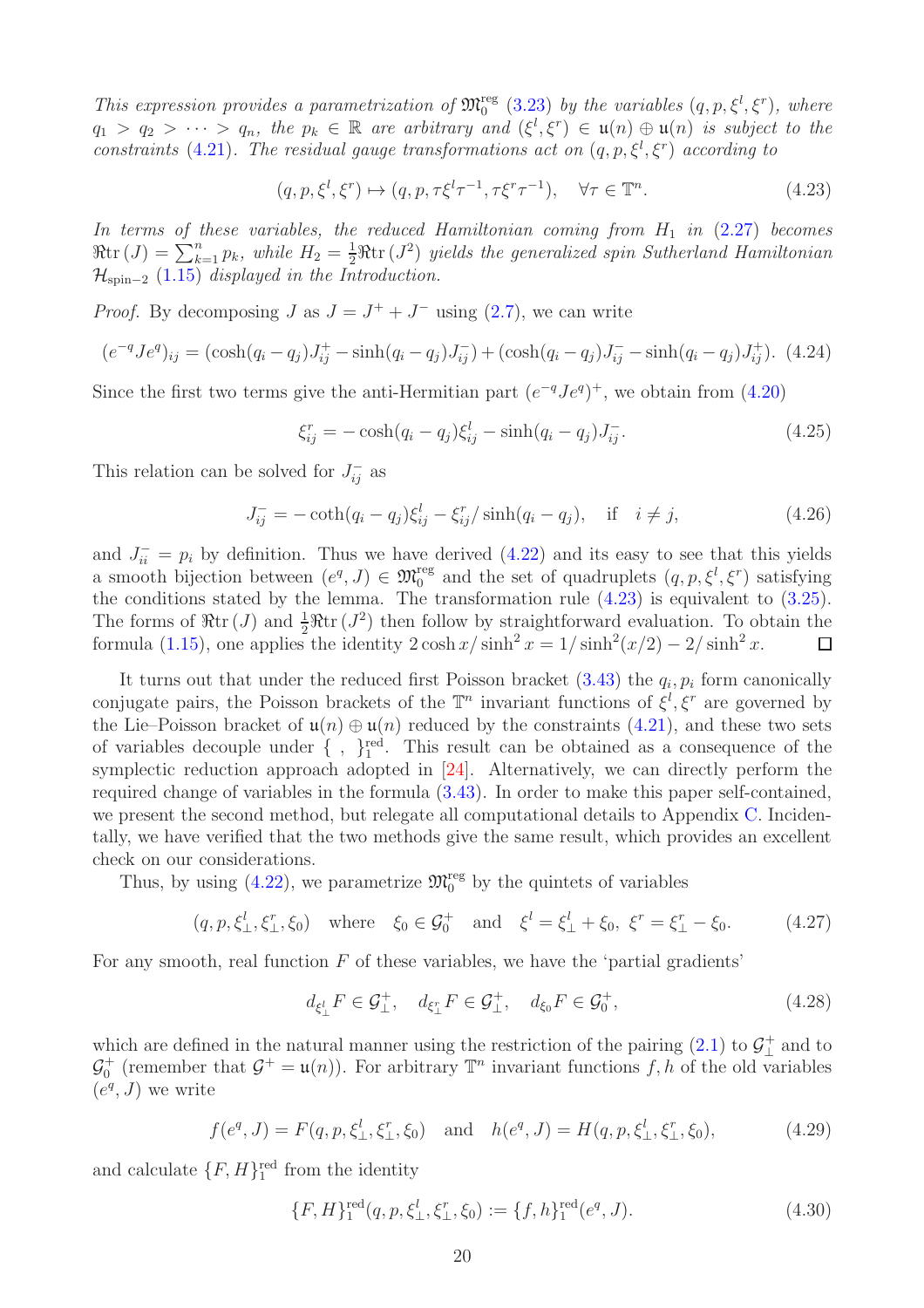This expression provides a parametrization of  $\mathfrak{M}^{\text{reg}}_0$  [\(3.23\)](#page-10-4) by the variables  $(q, p, \xi^l, \xi^r)$ , where  $q_1 > q_2 > \cdots > q_n$ , the  $p_k \in \mathbb{R}$  are arbitrary and  $(\xi^l, \xi^r) \in \mathfrak{u}(n) \oplus \mathfrak{u}(n)$  is subject to the constraints [\(4.21\)](#page-18-5). The residual gauge transformations act on  $(q, p, \xi^l, \xi^r)$  according to

<span id="page-19-0"></span>
$$
(q, p, \xi^l, \xi^r) \mapsto (q, p, \tau \xi^l \tau^{-1}, \tau \xi^r \tau^{-1}), \quad \forall \tau \in \mathbb{T}^n.
$$
\n
$$
(4.23)
$$

In terms of these variables, the reduced Hamiltonian coming from  $H_1$  in  $(2.27)$  becomes  $\Re \text{tr}\,(J) = \sum_{k=1}^{n} p_k$ , while  $H_2 = \frac{1}{2} \Re \text{tr}\,(J^2)$  yields the generalized spin Sutherland Hamiltonian  $\mathcal{H}_{\text{spin}-2}$  [\(1.15\)](#page-3-0) displayed in the Introduction.

*Proof.* By decomposing  $J$  as  $J = J^+ + J^-$  using [\(2.7\)](#page-4-6), we can write

$$
(e^{-q}Je^{q})_{ij} = (\cosh(q_i - q_j)J_{ij}^{+} - \sinh(q_i - q_j)J_{ij}^{-}) + (\cosh(q_i - q_j)J_{ij}^{-} - \sinh(q_i - q_j)J_{ij}^{+}).
$$
 (4.24)

Since the first two terms give the anti-Hermitian part  $(e^{-q}Je^{q})^{+}$ , we obtain from [\(4.20\)](#page-18-4)

$$
\xi_{ij}^r = -\cosh(q_i - q_j)\xi_{ij}^l - \sinh(q_i - q_j)J_{ij}^-. \tag{4.25}
$$

This relation can be solved for  $J_{ij}^-$  as

$$
J_{ij}^- = -\coth(q_i - q_j)\xi_{ij}^l - \xi_{ij}^r / \sinh(q_i - q_j), \quad \text{if} \quad i \neq j,
$$
 (4.26)

and  $J_{ii}^- = p_i$  by definition. Thus we have derived [\(4.22\)](#page-18-6) and its easy to see that this yields a smooth bijection between  $(e^q, J) \in \mathfrak{M}_0^{\text{reg}}$  and the set of quadruplets  $(q, p, \xi^l, \xi^r)$  satisfying the conditions stated by the lemma. The transformation rule  $(4.23)$  is equivalent to  $(3.25)$ . The forms of  $\Re \text{tr}(J)$  and  $\frac{1}{2}\Re \text{tr}(J^2)$  then follow by straightforward evaluation. To obtain the formula [\(1.15\)](#page-3-0), one applies the identity  $2 \cosh x / \sinh^2 x = 1 / \sinh^2(x/2) - 2 / \sinh^2 x$ .  $\Box$ 

It turns out that under the reduced first Poisson bracket  $(3.43)$  the  $q_i, p_i$  form canonically conjugate pairs, the Poisson brackets of the  $\mathbb{T}^n$  invariant functions of  $\xi^l, \xi^r$  are governed by the Lie–Poisson bracket of  $\mathfrak{u}(n) \oplus \mathfrak{u}(n)$  reduced by the constraints [\(4.21\)](#page-18-5), and these two sets of variables decouple under  $\{\ ,\ \}_{1}^{\text{red}}$ . This result can be obtained as a consequence of the symplectic reduction approach adopted in [\[24\]](#page-27-12). Alternatively, we can directly perform the required change of variables in the formula [\(3.43\)](#page-12-1). In order to make this paper self-contained, we present the second method, but relegate all computational details to Appendix [C.](#page-24-0) Incidentally, we have verified that the two methods give the same result, which provides an excellent check on our considerations.

Thus, by using [\(4.22\)](#page-18-6), we parametrize  $\mathfrak{M}^{\text{reg}}_0$  by the quintets of variables

<span id="page-19-1"></span>
$$
(q, p, \xi_{\perp}^l, \xi_{\perp}^r, \xi_0)
$$
 where  $\xi_0 \in \mathcal{G}_0^+$  and  $\xi^l = \xi_{\perp}^l + \xi_0$ ,  $\xi^r = \xi_{\perp}^r - \xi_0$ . (4.27)

For any smooth, real function  $F$  of these variables, we have the 'partial gradients'

<span id="page-19-2"></span>
$$
d_{\xi_{\perp}^l} F \in \mathcal{G}_{\perp}^+, \quad d_{\xi_{\perp}^r} F \in \mathcal{G}_{\perp}^+, \quad d_{\xi_0} F \in \mathcal{G}_{0}^+, \tag{4.28}
$$

which are defined in the natural manner using the restriction of the pairing  $(2.1)$  to  $\mathcal{G}_+^+$  $\perp$  and to  $\mathcal{G}_0^+$  (remember that  $\mathcal{G}^+ = \mathfrak{u}(n)$ ). For arbitrary  $\mathbb{T}^n$  invariant functions f, h of the old variables  $(e^q, J)$  we write

$$
f(e^q, J) = F(q, p, \xi^l_{\perp}, \xi^r_{\perp}, \xi_0) \text{ and } h(e^q, J) = H(q, p, \xi^l_{\perp}, \xi^r_{\perp}, \xi_0), \tag{4.29}
$$

and calculate  $\{F, H\}^{\text{red}}_1$  from the identity

$$
\{F, H\}_1^{\text{red}}(q, p, \xi_\perp^l, \xi_\perp^r, \xi_0) := \{f, h\}_1^{\text{red}}(e^q, J). \tag{4.30}
$$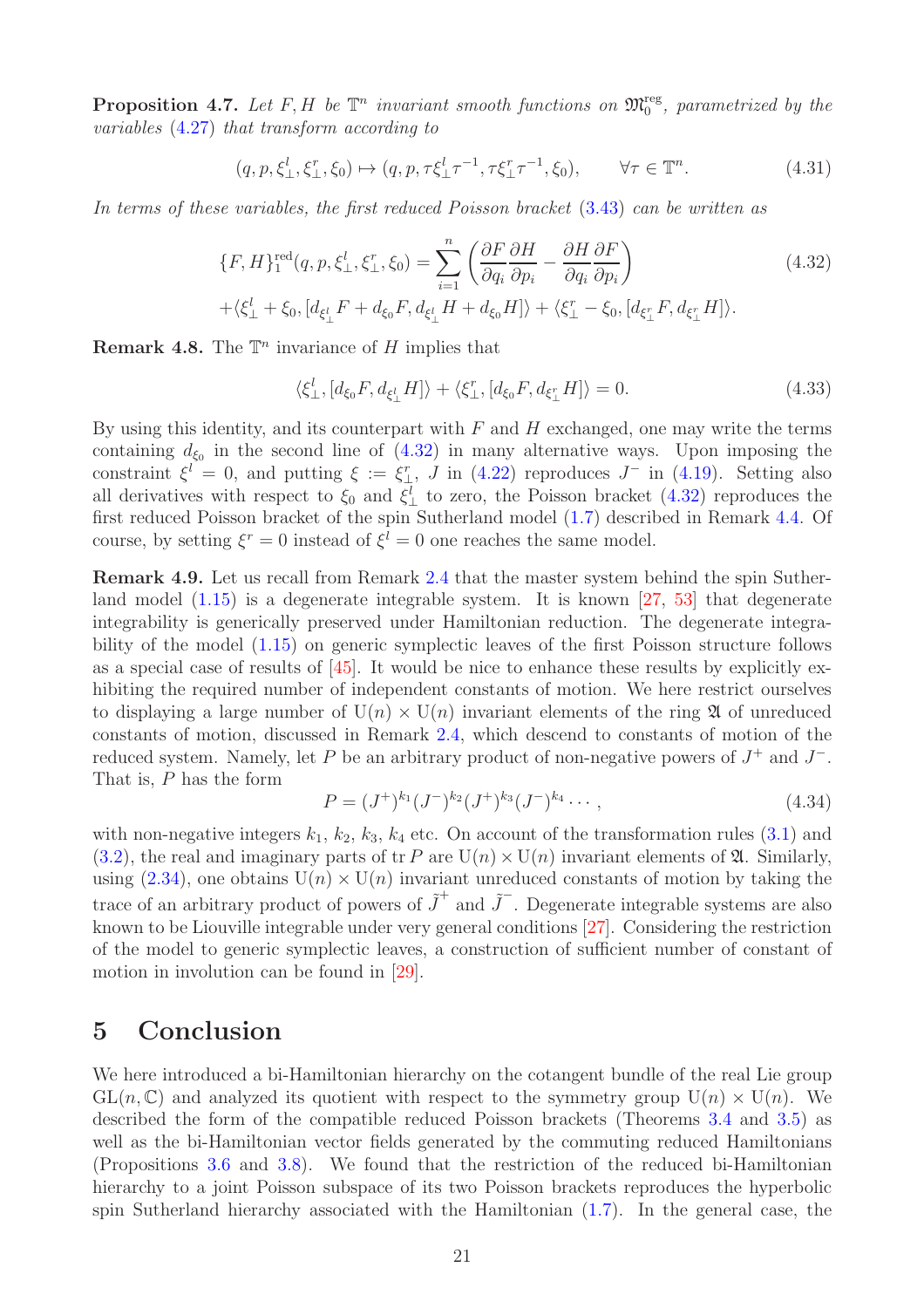<span id="page-20-1"></span>**Proposition 4.7.** Let F, H be  $\mathbb{T}^n$  invariant smooth functions on  $\mathfrak{M}_0^{\text{reg}}$ , parametrized by the variables [\(4.27\)](#page-19-1) that transform according to

$$
(q, p, \xi_{\perp}^l, \xi_{\perp}^r, \xi_0) \mapsto (q, p, \tau \xi_{\perp}^l \tau^{-1}, \tau \xi_{\perp}^r \tau^{-1}, \xi_0), \qquad \forall \tau \in \mathbb{T}^n.
$$
 (4.31)

In terms of these variables, the first reduced Poisson bracket [\(3.43\)](#page-12-1) can be written as

<span id="page-20-2"></span>
$$
\{F, H\}_{1}^{\text{red}}(q, p, \xi_{\perp}^{l}, \xi_{\perp}^{r}, \xi_{0}) = \sum_{i=1}^{n} \left( \frac{\partial F}{\partial q_{i}} \frac{\partial H}{\partial p_{i}} - \frac{\partial H}{\partial q_{i}} \frac{\partial F}{\partial p_{i}} \right)
$$
\n
$$
+ \langle \xi_{\perp}^{l} + \xi_{0}, [d_{\xi_{\perp}^{l}} F + d_{\xi_{0}} F, d_{\xi_{\perp}^{l}} H + d_{\xi_{0}} H] \rangle + \langle \xi_{\perp}^{r} - \xi_{0}, [d_{\xi_{\perp}^{r}} F, d_{\xi_{\perp}^{r}} H] \rangle.
$$
\n(4.32)

**Remark 4.8.** The  $\mathbb{T}^n$  invariance of H implies that

$$
\langle \xi_{\perp}^{l}, [d_{\xi_{0}}F, d_{\xi_{\perp}^{l}}H] \rangle + \langle \xi_{\perp}^{r}, [d_{\xi_{0}}F, d_{\xi_{\perp}^{r}}H] \rangle = 0.
$$
\n(4.33)

By using this identity, and its counterpart with  $F$  and  $H$  exchanged, one may write the terms containing  $d_{\xi_0}$  in the second line of  $(4.32)$  in many alternative ways. Upon imposing the constraint  $\xi^l = 0$ , and putting  $\xi := \xi_{\perp}^r$ , J in [\(4.22\)](#page-18-6) reproduces  $J^-$  in [\(4.19\)](#page-18-2). Setting also all derivatives with respect to  $\xi_0$  and  $\xi_{\perp}^l$  to zero, the Poisson bracket [\(4.32\)](#page-20-2) reproduces the first reduced Poisson bracket of the spin Sutherland model [\(1.7\)](#page-2-4) described in Remark [4.4.](#page-18-7) Of course, by setting  $\xi^r = 0$  instead of  $\xi^l = 0$  one reaches the same model.

Remark 4.9. Let us recall from Remark [2.4](#page-7-5) that the master system behind the spin Sutherland model  $(1.15)$  is a degenerate integrable system. It is known [\[27,](#page-28-17) [53\]](#page-29-8) that degenerate integrability is generically preserved under Hamiltonian reduction. The degenerate integrability of the model [\(1.15\)](#page-3-0) on generic symplectic leaves of the first Poisson structure follows as a special case of results of [\[45\]](#page-29-5). It would be nice to enhance these results by explicitly exhibiting the required number of independent constants of motion. We here restrict ourselves to displaying a large number of  $U(n) \times U(n)$  invariant elements of the ring  $\mathfrak A$  of unreduced constants of motion, discussed in Remark [2.4,](#page-7-5) which descend to constants of motion of the reduced system. Namely, let P be an arbitrary product of non-negative powers of  $J^+$  and  $J^-$ . That is, P has the form

$$
P = (J^+)^{k_1} (J^-)^{k_2} (J^+)^{k_3} (J^-)^{k_4} \cdots,
$$
\n(4.34)

with non-negative integers  $k_1, k_2, k_3, k_4$  etc. On account of the transformation rules  $(3.1)$  and  $(3.2)$ , the real and imaginary parts of tr P are  $U(n) \times U(n)$  invariant elements of  $\mathfrak{A}$ . Similarly, using  $(2.34)$ , one obtains  $U(n) \times U(n)$  invariant unreduced constants of motion by taking the trace of an arbitrary product of powers of  $\tilde{J}^+$  and  $\tilde{J}^-$ . Degenerate integrable systems are also known to be Liouville integrable under very general conditions [\[27\]](#page-28-17). Considering the restriction of the model to generic symplectic leaves, a construction of sufficient number of constant of motion in involution can be found in [\[29\]](#page-28-8).

## <span id="page-20-0"></span>5 Conclusion

We here introduced a bi-Hamiltonian hierarchy on the cotangent bundle of the real Lie group  $GL(n,\mathbb{C})$  and analyzed its quotient with respect to the symmetry group  $U(n) \times U(n)$ . We described the form of the compatible reduced Poisson brackets (Theorems [3.4](#page-12-0) and [3.5\)](#page-13-0) as well as the bi-Hamiltonian vector fields generated by the commuting reduced Hamiltonians (Propositions [3.6](#page-13-1) and [3.8\)](#page-14-0). We found that the restriction of the reduced bi-Hamiltonian hierarchy to a joint Poisson subspace of its two Poisson brackets reproduces the hyperbolic spin Sutherland hierarchy associated with the Hamiltonian [\(1.7\)](#page-2-4). In the general case, the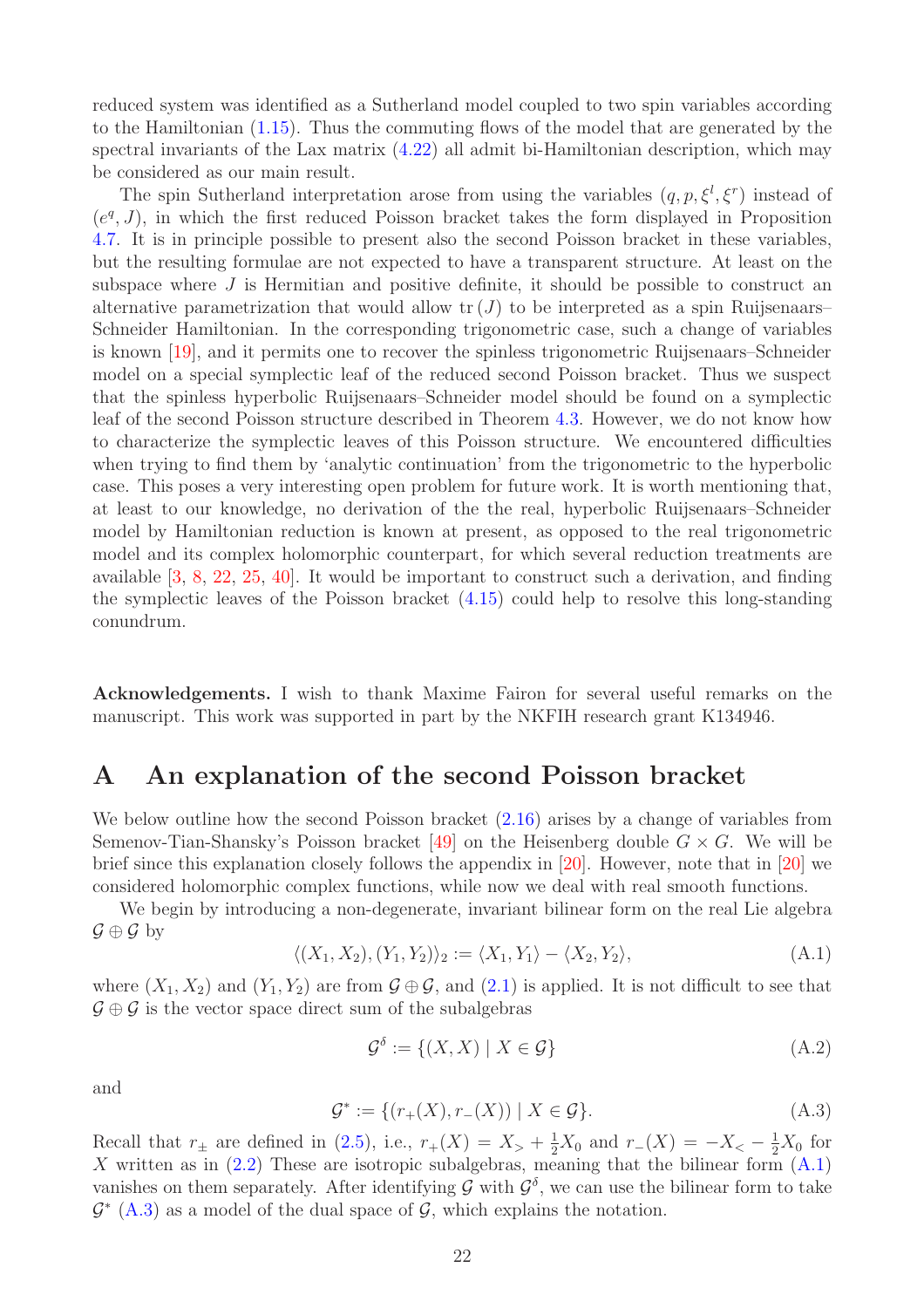reduced system was identified as a Sutherland model coupled to two spin variables according to the Hamiltonian [\(1.15\)](#page-3-0). Thus the commuting flows of the model that are generated by the spectral invariants of the Lax matrix [\(4.22\)](#page-18-6) all admit bi-Hamiltonian description, which may be considered as our main result.

The spin Sutherland interpretation arose from using the variables  $(q, p, \xi^l, \xi^r)$  instead of  $(e^q, J)$ , in which the first reduced Poisson bracket takes the form displayed in Proposition [4.7.](#page-20-1) It is in principle possible to present also the second Poisson bracket in these variables, but the resulting formulae are not expected to have a transparent structure. At least on the subspace where  $J$  is Hermitian and positive definite, it should be possible to construct an alternative parametrization that would allow  $tr(J)$  to be interpreted as a spin Ruijsenaars– Schneider Hamiltonian. In the corresponding trigonometric case, such a change of variables is known [\[19\]](#page-27-9), and it permits one to recover the spinless trigonometric Ruijsenaars–Schneider model on a special symplectic leaf of the reduced second Poisson bracket. Thus we suspect that the spinless hyperbolic Ruijsenaars–Schneider model should be found on a symplectic leaf of the second Poisson structure described in Theorem [4.3.](#page-17-0) However, we do not know how to characterize the symplectic leaves of this Poisson structure. We encountered difficulties when trying to find them by 'analytic continuation' from the trigonometric to the hyperbolic case. This poses a very interesting open problem for future work. It is worth mentioning that, at least to our knowledge, no derivation of the the real, hyperbolic Ruijsenaars–Schneider model by Hamiltonian reduction is known at present, as opposed to the real trigonometric model and its complex holomorphic counterpart, for which several reduction treatments are available [\[3,](#page-26-2) [8,](#page-27-3) [22,](#page-27-15) [25,](#page-27-16) [40\]](#page-28-18). It would be important to construct such a derivation, and finding the symplectic leaves of the Poisson bracket [\(4.15\)](#page-17-1) could help to resolve this long-standing conundrum.

Acknowledgements. I wish to thank Maxime Fairon for several useful remarks on the manuscript. This work was supported in part by the NKFIH research grant K134946.

## <span id="page-21-0"></span>A An explanation of the second Poisson bracket

We below outline how the second Poisson bracket  $(2.16)$  arises by a change of variables from Semenov-Tian-Shansky's Poisson bracket [\[49\]](#page-29-6) on the Heisenberg double  $G \times G$ . We will be brief since this explanation closely follows the appendix in [\[20\]](#page-27-10). However, note that in [\[20\]](#page-27-10) we considered holomorphic complex functions, while now we deal with real smooth functions.

We begin by introducing a non-degenerate, invariant bilinear form on the real Lie algebra  $\mathcal{G} \oplus \mathcal{G}$  by

<span id="page-21-1"></span>
$$
\langle (X_1, X_2), (Y_1, Y_2) \rangle_2 := \langle X_1, Y_1 \rangle - \langle X_2, Y_2 \rangle, \tag{A.1}
$$

where  $(X_1, X_2)$  and  $(Y_1, Y_2)$  are from  $\mathcal{G} \oplus \mathcal{G}$ , and  $(2.1)$  is applied. It is not difficult to see that  $\mathcal{G} \oplus \mathcal{G}$  is the vector space direct sum of the subalgebras

<span id="page-21-3"></span>
$$
\mathcal{G}^{\delta} := \{ (X, X) \mid X \in \mathcal{G} \}
$$
\n(A.2)

and

<span id="page-21-2"></span>
$$
\mathcal{G}^* := \{ (r_+(X), r_-(X)) \mid X \in \mathcal{G} \}. \tag{A.3}
$$

Recall that  $r_{\pm}$  are defined in [\(2.5\)](#page-4-5), i.e.,  $r_{+}(X) = X_{>} + \frac{1}{2}X_{0}$  and  $r_{-}(X) = -X_{<} - \frac{1}{2}X_{0}$  for X written as in  $(2.2)$  These are isotropic subalgebras, meaning that the bilinear form  $(A.1)$ vanishes on them separately. After identifying G with  $\mathcal{G}^{\delta}$ , we can use the bilinear form to take  $\mathcal{G}^*$  [\(A.3\)](#page-21-2) as a model of the dual space of  $\mathcal{G}$ , which explains the notation.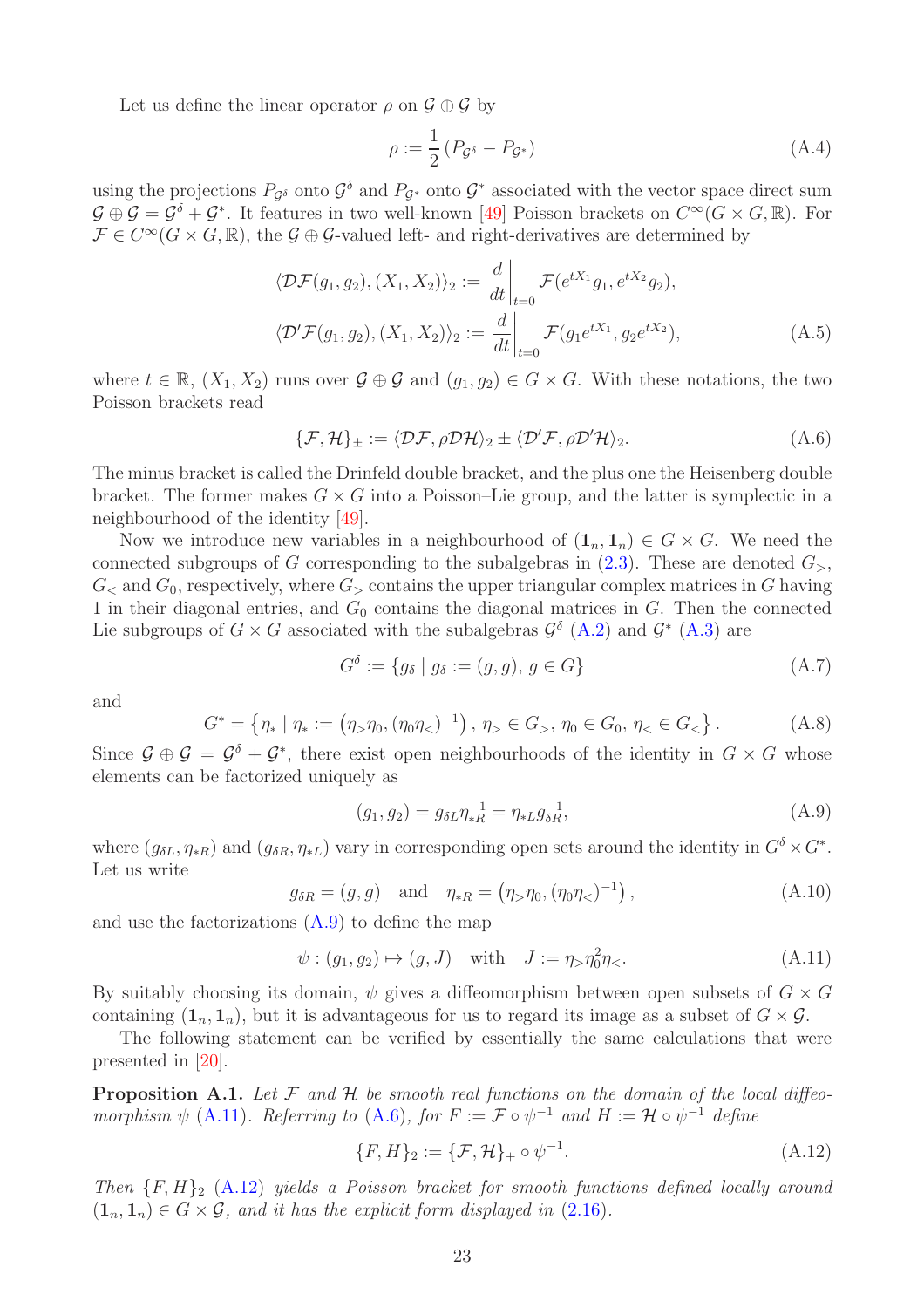Let us define the linear operator  $\rho$  on  $\mathcal{G} \oplus \mathcal{G}$  by

$$
\rho := \frac{1}{2} \left( P_{\mathcal{G}^{\delta}} - P_{\mathcal{G}^*} \right) \tag{A.4}
$$

using the projections  $P_{\mathcal{G}^\delta}$  onto  $\mathcal{G}^\delta$  and  $P_{\mathcal{G}^*}$  onto  $\mathcal{G}^*$  associated with the vector space direct sum  $\mathcal{G} \oplus \mathcal{G} = \mathcal{G}^{\delta} + \mathcal{G}^*$ . It features in two well-known [\[49\]](#page-29-6) Poisson brackets on  $C^{\infty}(G \times G, \mathbb{R})$ . For  $\mathcal{F} \in C^{\infty}(G \times G, \mathbb{R})$ , the  $\mathcal{G} \oplus \mathcal{G}$ -valued left- and right-derivatives are determined by

$$
\langle \mathcal{D}\mathcal{F}(g_1, g_2), (X_1, X_2) \rangle_2 := \frac{d}{dt} \Big|_{t=0} \mathcal{F}(e^{tX_1}g_1, e^{tX_2}g_2),
$$
  

$$
\langle \mathcal{D}'\mathcal{F}(g_1, g_2), (X_1, X_2) \rangle_2 := \frac{d}{dt} \Big|_{t=0} \mathcal{F}(g_1 e^{tX_1}, g_2 e^{tX_2}),
$$
 (A.5)

where  $t \in \mathbb{R}$ ,  $(X_1, X_2)$  runs over  $\mathcal{G} \oplus \mathcal{G}$  and  $(g_1, g_2) \in G \times G$ . With these notations, the two Poisson brackets read

<span id="page-22-2"></span>
$$
\{\mathcal{F},\mathcal{H}\}_{\pm} := \langle \mathcal{DF}, \rho \mathcal{D}\mathcal{H} \rangle_2 \pm \langle \mathcal{D}'\mathcal{F}, \rho \mathcal{D}'\mathcal{H} \rangle_2. \tag{A.6}
$$

The minus bracket is called the Drinfeld double bracket, and the plus one the Heisenberg double bracket. The former makes  $G \times G$  into a Poisson–Lie group, and the latter is symplectic in a neighbourhood of the identity [\[49\]](#page-29-6).

Now we introduce new variables in a neighbourhood of  $(1_n, 1_n) \in G \times G$ . We need the connected subgroups of G corresponding to the subalgebras in  $(2.3)$ . These are denoted  $G_{>}$ ,  $G<sub>5</sub>$  and  $G<sub>0</sub>$ , respectively, where  $G<sub>5</sub>$  contains the upper triangular complex matrices in G having 1 in their diagonal entries, and  $G_0$  contains the diagonal matrices in  $G$ . Then the connected Lie subgroups of  $G \times G$  associated with the subalgebras  $\mathcal{G}^{\delta}$  [\(A.2\)](#page-21-3) and  $\mathcal{G}^*$  [\(A.3\)](#page-21-2) are

$$
G^{\delta} := \{ g_{\delta} \mid g_{\delta} := (g, g), g \in G \}
$$
\n
$$
(A.7)
$$

and

$$
G^* = \{ \eta_* \mid \eta_* := (\eta_> \eta_0, (\eta_0 \eta_<)^{-1}), \, \eta_> \in G_>, \, \eta_0 \in G_0, \, \eta_< \in G_< \} \,.
$$
 (A.8)

Since  $\mathcal{G} \oplus \mathcal{G} = \mathcal{G}^{\delta} + \mathcal{G}^*$ , there exist open neighbourhoods of the identity in  $G \times G$  whose elements can be factorized uniquely as

<span id="page-22-0"></span>
$$
(g_1, g_2) = g_{\delta L} \eta_{*R}^{-1} = \eta_{*L} g_{\delta R}^{-1}, \tag{A.9}
$$

where  $(g_{\delta L}, \eta_{*R})$  and  $(g_{\delta R}, \eta_{*L})$  vary in corresponding open sets around the identity in  $G^{\delta} \times G^*$ . Let us write

$$
g_{\delta R} = (g, g)
$$
 and  $\eta_{*R} = (\eta_{>}\eta_0, (\eta_0\eta_{<})^{-1}),$  (A.10)

and use the factorizations [\(A.9\)](#page-22-0) to define the map

<span id="page-22-1"></span>
$$
\psi : (g_1, g_2) \mapsto (g, J) \text{ with } J := \eta > \eta_0^2 \eta <.
$$
\n(A.11)

By suitably choosing its domain,  $\psi$  gives a diffeomorphism between open subsets of  $G \times G$ containing  $(1_n, 1_n)$ , but it is advantageous for us to regard its image as a subset of  $G \times \mathcal{G}$ .

The following statement can be verified by essentially the same calculations that were presented in [\[20\]](#page-27-10).

**Proposition A.1.** Let F and H be smooth real functions on the domain of the local diffeomorphism  $\psi$  [\(A.11\)](#page-22-1). Referring to [\(A.6\)](#page-22-2), for  $F := \mathcal{F} \circ \psi^{-1}$  and  $H := \mathcal{H} \circ \psi^{-1}$  define

<span id="page-22-3"></span>
$$
\{F, H\}_2 := \{\mathcal{F}, \mathcal{H}\}_+ \circ \psi^{-1}.
$$
\n(A.12)

Then  ${F, H}_2$  [\(A.12\)](#page-22-3) yields a Poisson bracket for smooth functions defined locally around  $(1_n, 1_n) \in G \times \mathcal{G}$ , and it has the explicit form displayed in  $(2.16)$ .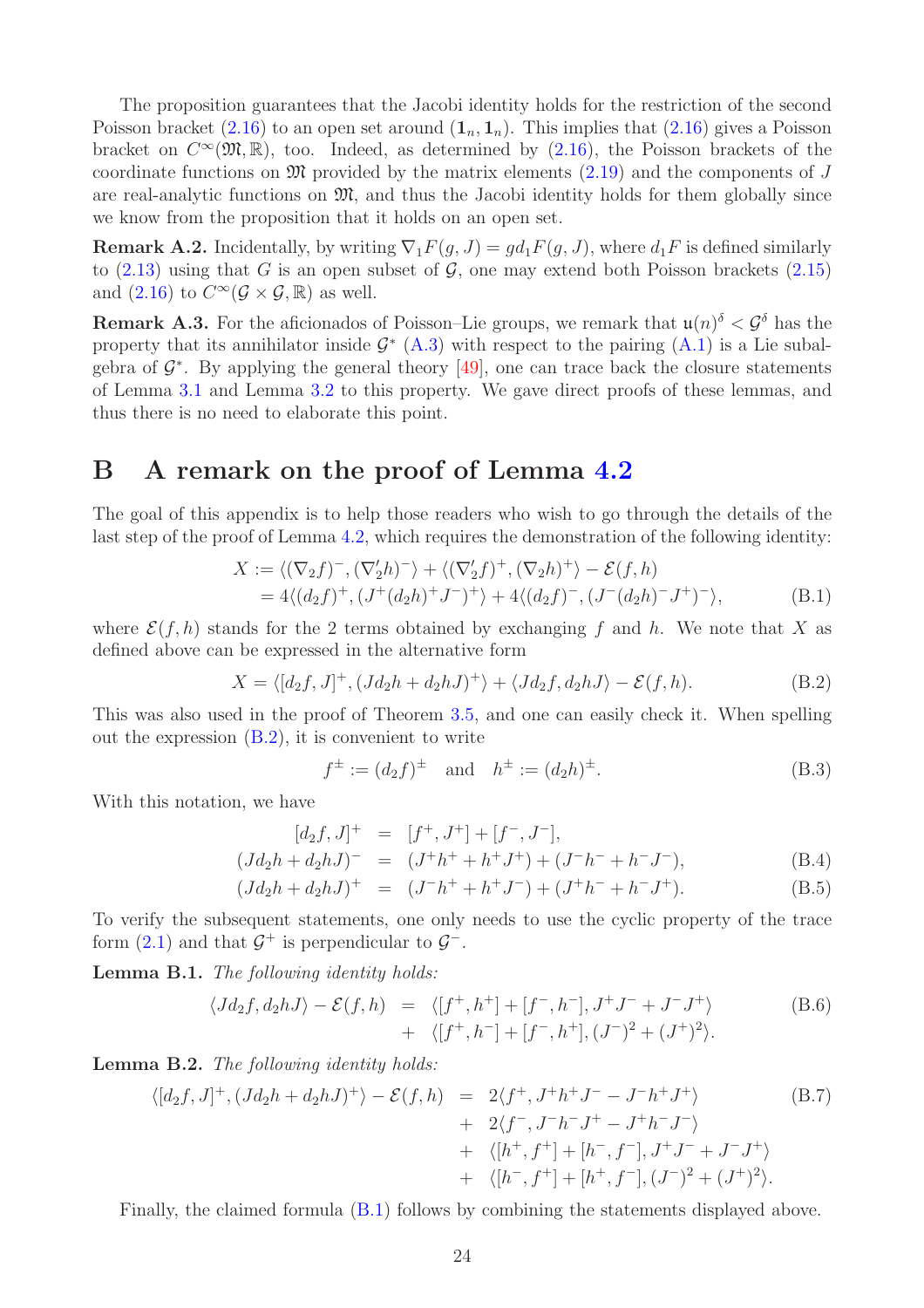The proposition guarantees that the Jacobi identity holds for the restriction of the second Poisson bracket [\(2.16\)](#page-5-0) to an open set around  $(1_n, 1_n)$ . This implies that (2.16) gives a Poisson bracket on  $C^{\infty}(\mathfrak{M}, \mathbb{R})$ , too. Indeed, as determined by  $(2.16)$ , the Poisson brackets of the coordinate functions on  $\mathfrak{M}$  provided by the matrix elements [\(2.19\)](#page-6-2) and the components of J are real-analytic functions on  $\mathfrak{M}$ , and thus the Jacobi identity holds for them globally since we know from the proposition that it holds on an open set.

**Remark A.2.** Incidentally, by writing  $\nabla_1 F(q, J) = gd_1 F(q, J)$ , where  $d_1 F$  is defined similarly to  $(2.13)$  using that G is an open subset of G, one may extend both Poisson brackets  $(2.15)$ and  $(2.16)$  to  $C^{\infty}(\mathcal{G} \times \mathcal{G}, \mathbb{R})$  as well.

**Remark A.3.** For the aficionados of Poisson–Lie groups, we remark that  $\mathfrak{u}(n)^{\delta} < \mathcal{G}^{\delta}$  has the property that its annihilator inside  $\mathcal{G}^*$  [\(A.3\)](#page-21-2) with respect to the pairing [\(A.1\)](#page-21-1) is a Lie subalgebra of  $\mathcal{G}^*$ . By applying the general theory [\[49\]](#page-29-6), one can trace back the closure statements of Lemma [3.1](#page-8-5) and Lemma [3.2](#page-9-4) to this property. We gave direct proofs of these lemmas, and thus there is no need to elaborate this point.

# <span id="page-23-0"></span>B A remark on the proof of Lemma [4.2](#page-16-1)

The goal of this appendix is to help those readers who wish to go through the details of the last step of the proof of Lemma [4.2,](#page-16-1) which requires the demonstration of the following identity:

<span id="page-23-2"></span>
$$
X := \langle (\nabla_2 f)^-, (\nabla_2' h)^- \rangle + \langle (\nabla_2' f)^+, (\nabla_2 h)^+ \rangle - \mathcal{E}(f, h)
$$
  
= 4\langle (d\_2 f)^+, (J^+(d\_2 h)^+ J^-)^+ \rangle + 4\langle (d\_2 f)^-, (J^-(d\_2 h)^- J^+)^- \rangle, (B.1)

where  $\mathcal{E}(f, h)$  stands for the 2 terms obtained by exchanging f and h. We note that X as defined above can be expressed in the alternative form

<span id="page-23-1"></span>
$$
X = \langle [d_2f, J]^+, (Jd_2h + d_2hJ)^+ \rangle + \langle Jd_2f, d_2hJ \rangle - \mathcal{E}(f, h). \tag{B.2}
$$

This was also used in the proof of Theorem [3.5,](#page-13-0) and one can easily check it. When spelling out the expression  $(B.2)$ , it is convenient to write

$$
f^{\pm} := (d_2 f)^{\pm}
$$
 and  $h^{\pm} := (d_2 h)^{\pm}$ . (B.3)

With this notation, we have

$$
[d_2f, J]^+ = [f^+, J^+] + [f^-, J^-],
$$
  
\n
$$
(Jd_2h + d_2hJ)^- = (J^+h^+ + h^+J^+) + (J^-h^- + h^-J^-),
$$
\n(B.4)

$$
(Jd_2h + d_2hJ)^+ = (J^-h^+ + h^+J^-) + (J^+h^- + h^-J^+).
$$
 (B.5)

To verify the subsequent statements, one only needs to use the cyclic property of the trace form  $(2.1)$  and that  $\mathcal{G}^+$  is perpendicular to  $\mathcal{G}^-$ .

Lemma B.1. The following identity holds:

$$
\langle Jd_2f, d_2hJ \rangle - \mathcal{E}(f, h) = \langle [f^+, h^+] + [f^-, h^-], J^+J^- + J^-J^+ \rangle + \langle [f^+, h^-] + [f^-, h^+], (J^-)^2 + (J^+)^2 \rangle.
$$
 (B.6)

Lemma B.2. The following identity holds:

$$
\langle [d_2f, J]^+, (Jd_2h + d_2hJ)^+\rangle - \mathcal{E}(f, h) = 2\langle f^+, J^+h^+J^- - J^-h^+J^+\rangle
$$
\n
$$
+ 2\langle f^-, J^-h^-J^+ - J^+h^-J^-\rangle
$$
\n
$$
+ \langle [h^+, f^+] + [h^-, f^-], J^+J^- + J^-J^+\rangle
$$
\n
$$
+ \langle [h^-, f^+] + [h^+, f^-], (J^-)^2 + (J^+)^2\rangle.
$$
\n(B.7)

Finally, the claimed formula [\(B.1\)](#page-23-2) follows by combining the statements displayed above.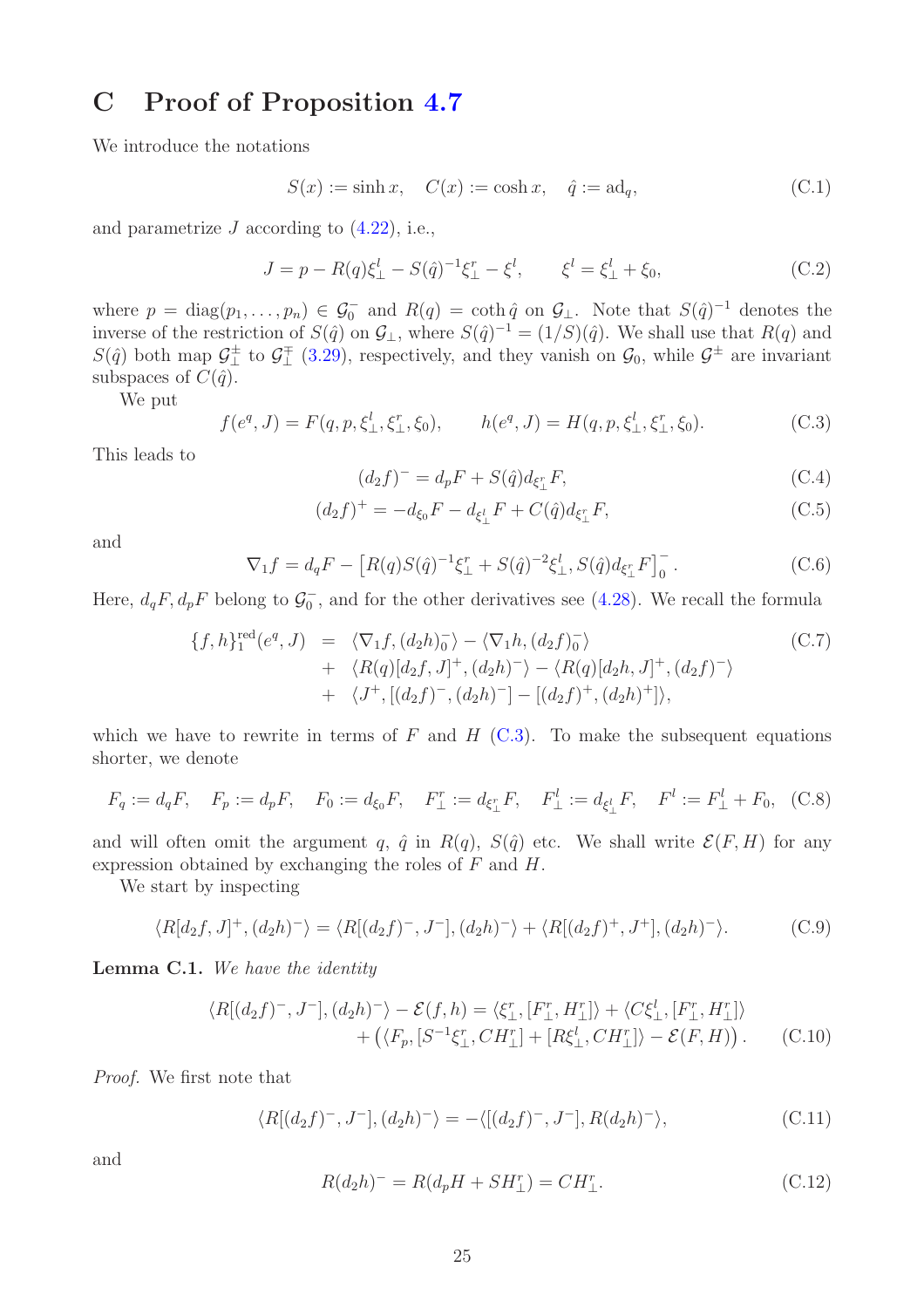# <span id="page-24-0"></span>C Proof of Proposition [4.7](#page-20-1)

We introduce the notations

$$
S(x) := \sinh x, \quad C(x) := \cosh x, \quad \hat{q} := \mathrm{ad}_q,\tag{C.1}
$$

and parametrize  $J$  according to  $(4.22)$ , i.e.,

$$
J = p - R(q)\xi_{\perp}^{l} - S(\hat{q})^{-1}\xi_{\perp}^{r} - \xi^{l}, \qquad \xi^{l} = \xi_{\perp}^{l} + \xi_{0}, \tag{C.2}
$$

where  $p = \text{diag}(p_1, \ldots, p_n) \in \mathcal{G}_0^-$  and  $R(q) = \coth \hat{q}$  on  $\mathcal{G}_\perp$ . Note that  $S(\hat{q})^{-1}$  denotes the inverse of the restriction of  $S(\hat{q})$  on  $\mathcal{G}_{\perp}$ , where  $S(\hat{q})^{-1} = (1/S)(\hat{q})$ . We shall use that  $R(q)$  and  $S(\hat{q})$  both map  $\mathcal{G}_{\perp}^{\pm}$  to  $\mathcal{G}_{\perp}^{\mp}$  [\(3.29\)](#page-11-1), respectively, and they vanish on  $\mathcal{G}_0$ , while  $\mathcal{G}^{\pm}$  are invariant subspaces of  $C(\hat{q})$ .

We put

<span id="page-24-1"></span>
$$
f(e^q, J) = F(q, p, \xi^l_{\perp}, \xi^r_{\perp}, \xi_0), \qquad h(e^q, J) = H(q, p, \xi^l_{\perp}, \xi^r_{\perp}, \xi_0). \tag{C.3}
$$

This leads to

$$
(d_2f)^{-} = d_pF + S(\hat{q})d_{\xi_{\perp}^{r}}F,
$$
\n(C.4)

$$
(d_2f)^+ = -d_{\xi_0}F - d_{\xi_{\perp}^l}F + C(\hat{q})d_{\xi_{\perp}^r}F,
$$
\n(C.5)

and

<span id="page-24-4"></span>
$$
\nabla_1 f = d_q F - \left[ R(q) S(\hat{q})^{-1} \xi_{\perp}^r + S(\hat{q})^{-2} \xi_{\perp}^l, S(\hat{q}) d_{\xi_{\perp}^r} F \right]_0^-.
$$
 (C.6)

Here,  $d_qF, d_pF$  belong to  $\mathcal{G}_0^-$ , and for the other derivatives see [\(4.28\)](#page-19-2). We recall the formula

<span id="page-24-2"></span>
$$
\{f, h\}_{1}^{\text{red}}(e^{q}, J) = \langle \nabla_{1} f, (d_{2}h)_{0}^{-} \rangle - \langle \nabla_{1} h, (d_{2}f)_{0}^{-} \rangle
$$
  
+ 
$$
\langle R(q)[d_{2}f, J]^{+}, (d_{2}h)^{-} \rangle - \langle R(q)[d_{2}h, J]^{+}, (d_{2}f)^{-} \rangle
$$
  
+ 
$$
\langle J^{+}, [(d_{2}f)^{-}, (d_{2}h)^{-}] - [(d_{2}f)^{+}, (d_{2}h)^{+}] \rangle,
$$
 (C.7)

which we have to rewrite in terms of F and H  $(C.3)$ . To make the subsequent equations shorter, we denote

$$
F_q := d_q F
$$
,  $F_p := d_p F$ ,  $F_0 := d_{\xi_0} F$ ,  $F_{\perp}^r := d_{\xi_{\perp}^r} F$ ,  $F_{\perp}^l := d_{\xi_{\perp}^l} F$ ,  $F^l := F_{\perp}^l + F_0$ , (C.8)

and will often omit the argument q,  $\hat{q}$  in  $R(q)$ ,  $S(\hat{q})$  etc. We shall write  $\mathcal{E}(F, H)$  for any expression obtained by exchanging the roles of F and H.

We start by inspecting

$$
\langle R[d_2f, J]^+, (d_2h)^-\rangle = \langle R[(d_2f)^-, J^-], (d_2h)^-\rangle + \langle R[(d_2f)^+, J^+], (d_2h)^-\rangle. \tag{C.9}
$$

<span id="page-24-3"></span>Lemma C.1. We have the identity

$$
\langle R[(d_2f)^-, J^-], (d_2h)^-\rangle - \mathcal{E}(f, h) = \langle \xi_\perp^r, [F_\perp^r, H_\perp^r] \rangle + \langle C\xi_\perp^l, [F_\perp^r, H_\perp^r] \rangle + \left( \langle F_p, [S^{-1}\xi_\perp^r, CH_\perp^r] + [R\xi_\perp^l, CH_\perp^r] \rangle - \mathcal{E}(F, H) \right). \tag{C.10}
$$

Proof. We first note that

$$
\langle R[(d_2f)^{-}, J^{-}], (d_2h)^{-} \rangle = -\langle [(d_2f)^{-}, J^{-}], R(d_2h)^{-} \rangle, \tag{C.11}
$$

and

$$
R(d_2h)^{-} = R(d_pH + SH_{\perp}^r) = CH_{\perp}^r.
$$
\n(C.12)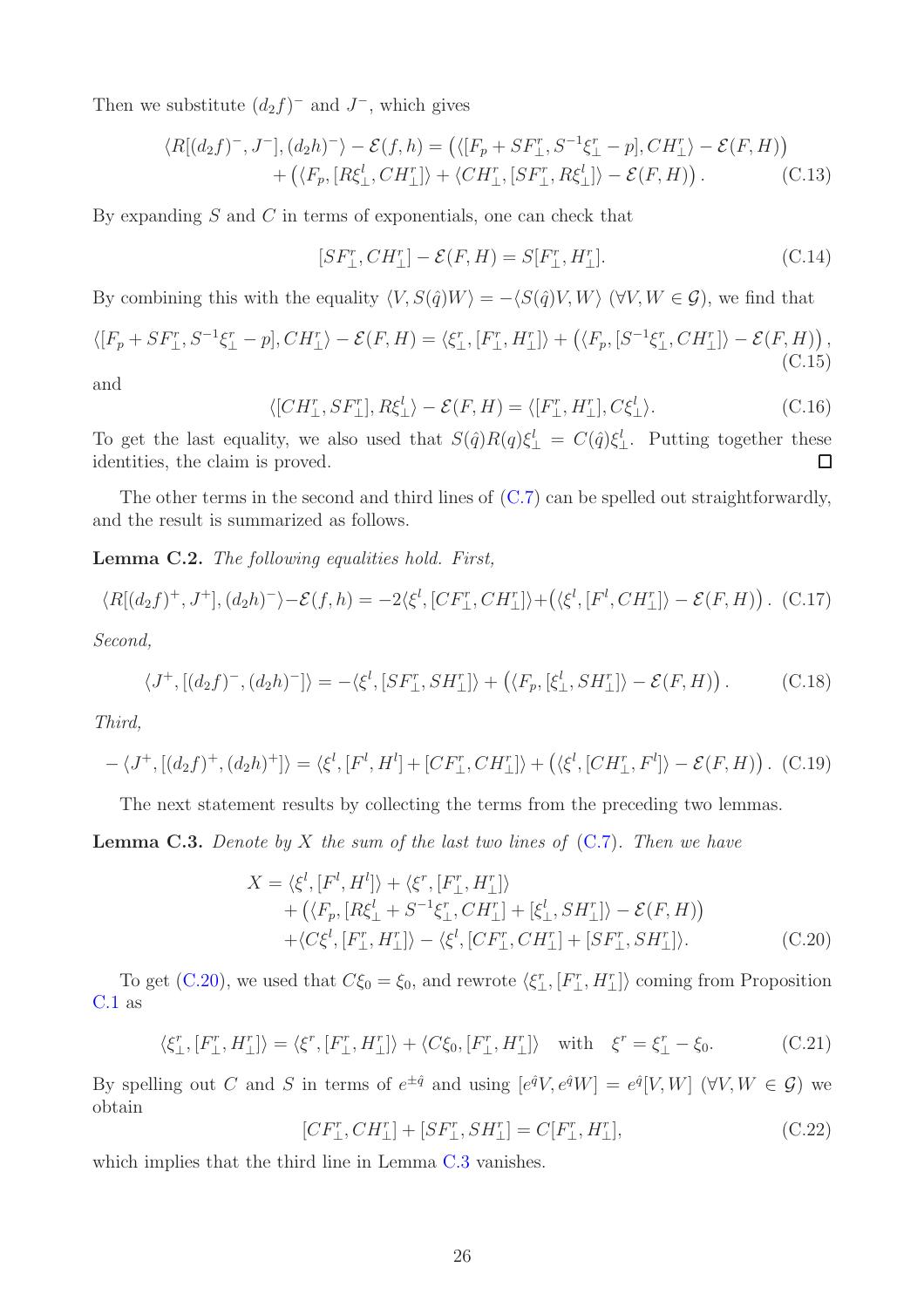Then we substitute  $(d_2 f)^-$  and  $J^-$ , which gives

$$
\langle R[(d_2f)^-, J^-], (d_2h)^-\rangle - \mathcal{E}(f, h) = \left( \langle [F_p + SF_\perp^r, S^{-1}\xi_\perp^r - p], CH_\perp^r \rangle - \mathcal{E}(F, H) \right) + \left( \langle F_p, [R\xi_\perp^l, CH_\perp^r] \rangle + \langle CH_\perp^r, [SF_\perp^r, R\xi_\perp^l] \rangle - \mathcal{E}(F, H) \right).
$$
 (C.13)

By expanding  $S$  and  $C$  in terms of exponentials, one can check that

$$
[SF_{\perp}^r, CH_{\perp}^r] - \mathcal{E}(F, H) = S[F_{\perp}^r, H_{\perp}^r].
$$
\n(C.14)

By combining this with the equality  $\langle V, S(\hat{q})W \rangle = -\langle S(\hat{q})V, W \rangle$  ( $\forall V, W \in \mathcal{G}$ ), we find that

$$
\langle [F_p + SF_\perp^r, S^{-1}\xi_\perp^r - p], CH_\perp^r \rangle - \mathcal{E}(F, H) = \langle \xi_\perp^r, [F_\perp^r, H_\perp^r] \rangle + \left( \langle F_p, [S^{-1}\xi_\perp^r, CH_\perp^r] \rangle - \mathcal{E}(F, H) \right), \tag{C.15}
$$

and

$$
\langle [CH_{\perp}^r, SF_{\perp}^r], R\xi_{\perp}^l \rangle - \mathcal{E}(F, H) = \langle [F_{\perp}^r, H_{\perp}^r], C\xi_{\perp}^l \rangle. \tag{C.16}
$$

To get the last equality, we also used that  $S(\hat{q})R(q)\xi_{\perp}^l = C(\hat{q})\xi_{\perp}^l$ . Putting together these identities, the claim is proved.  $\Box$ 

The other terms in the second and third lines of [\(C.7\)](#page-24-2) can be spelled out straightforwardly, and the result is summarized as follows.

Lemma C.2. The following equalities hold. First,

$$
\langle R[(d_2f)^+, J^+], (d_2h)^-\rangle - \mathcal{E}(f, h) = -2\langle \xi^l, [CF^r_\perp, CH^r_\perp] \rangle + \left(\langle \xi^l, [F^l, CH^r_\perp] \rangle - \mathcal{E}(F, H)\right). \tag{C.17}
$$

Second,

$$
\langle J^+,[(d_2f)^-, (d_2h)^-]\rangle = -\langle \xi^l,[SF^r_\perp, SH^r_\perp]\rangle + \left(\langle F_p,[\xi^l_\perp, SH^r_\perp]\rangle - \mathcal{E}(F,H)\right). \tag{C.18}
$$

Third,

$$
-\langle J^+,[(d_2f)^+, (d_2h)^+]\rangle = \langle \xi^l,[F^l,H^l] + [CF^r_\perp, CH^r_\perp] \rangle + \left(\langle \xi^l,[CH^r_\perp, F^l] \rangle - \mathcal{E}(F,H)\right). \tag{C.19}
$$

The next statement results by collecting the terms from the preceding two lemmas.

<span id="page-25-1"></span>**Lemma C.3.** Denote by X the sum of the last two lines of  $(C.7)$ . Then we have

<span id="page-25-0"></span>
$$
X = \langle \xi^l, [F^l, H^l] \rangle + \langle \xi^r, [F^r_{\perp}, H^r_{\perp}] \rangle + (\langle F_p, [R\xi^l_{\perp} + S^{-1}\xi^r_{\perp}, CH^r_{\perp}] + [\xi^l_{\perp}, SH^r_{\perp}] \rangle - \mathcal{E}(F, H)) + \langle C\xi^l, [F^r_{\perp}, H^r_{\perp}] \rangle - \langle \xi^l, [CF^r_{\perp}, CH^r_{\perp}] + [SF^r_{\perp}, SH^r_{\perp}] \rangle.
$$
 (C.20)

To get [\(C.20\)](#page-25-0), we used that  $C\xi_0 = \xi_0$ , and rewrote  $\langle \xi_{\perp}^r, [F_{\perp}^r, H_{\perp}^r] \rangle$  coming from Proposition [C.1](#page-24-3) as

$$
\langle \xi_{\perp}^r, [F_{\perp}^r, H_{\perp}^r] \rangle = \langle \xi^r, [F_{\perp}^r, H_{\perp}^r] \rangle + \langle C\xi_0, [F_{\perp}^r, H_{\perp}^r] \rangle \quad \text{with} \quad \xi^r = \xi_{\perp}^r - \xi_0. \tag{C.21}
$$

By spelling out C and S in terms of  $e^{\pm \hat{q}}$  and using  $[e^{\hat{q}}V, e^{\hat{q}}W] = e^{\hat{q}}[V, W]$  ( $\forall V, W \in \mathcal{G}$ ) we obtain

$$
[CF_{\perp}^r, CH_{\perp}^r] + [SF_{\perp}^r, SH_{\perp}^r] = C[F_{\perp}^r, H_{\perp}^r],\tag{C.22}
$$

which implies that the third line in Lemma [C.3](#page-25-1) vanishes.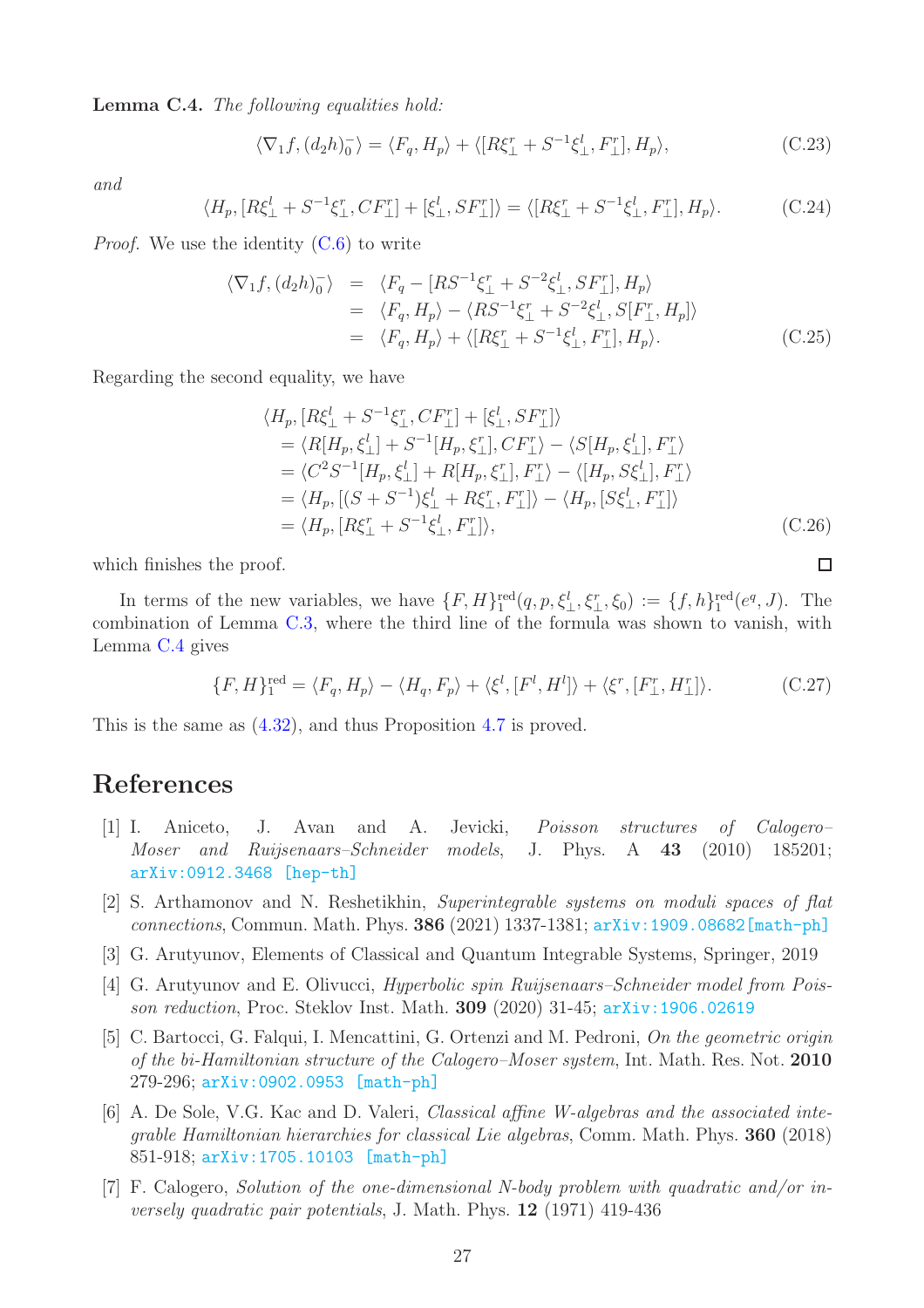<span id="page-26-8"></span>Lemma C.4. The following equalities hold:

$$
\langle \nabla_1 f, (d_2 h)_0^- \rangle = \langle F_q, H_p \rangle + \langle [R\xi_{\perp}^r + S^{-1}\xi_{\perp}^l, F_{\perp}^r], H_p \rangle, \tag{C.23}
$$

and

$$
\langle H_p, [R\xi_\perp^l + S^{-1}\xi_\perp^r, CF_\perp^r] + [\xi_\perp^l, SF_\perp^r] \rangle = \langle [R\xi_\perp^r + S^{-1}\xi_\perp^l, F_\perp^r], H_p \rangle. \tag{C.24}
$$

*Proof.* We use the identity  $(C.6)$  to write

$$
\langle \nabla_1 f, (d_2 h)_0^-\rangle = \langle F_q - [RS^{-1}\xi_{\perp}^r + S^{-2}\xi_{\perp}^l, SF_{\perp}^r], H_p \rangle
$$
  
\n
$$
= \langle F_q, H_p \rangle - \langle RS^{-1}\xi_{\perp}^r + S^{-2}\xi_{\perp}^l, S[F_{\perp}^r, H_p] \rangle
$$
  
\n
$$
= \langle F_q, H_p \rangle + \langle [R\xi_{\perp}^r + S^{-1}\xi_{\perp}^l, F_{\perp}^r], H_p \rangle.
$$
 (C.25)

Regarding the second equality, we have

$$
\langle H_p, [R\xi_{\perp}^l + S^{-1}\xi_{\perp}^r, CF_{\perp}^r] + [\xi_{\perp}^l, SF_{\perp}^r] \rangle
$$
  
\n=  $\langle R[H_p, \xi_{\perp}^l] + S^{-1}[H_p, \xi_{\perp}^r], CF_{\perp}^r \rangle - \langle S[H_p, \xi_{\perp}^l], F_{\perp}^r \rangle$   
\n=  $\langle C^2 S^{-1}[H_p, \xi_{\perp}^l] + R[H_p, \xi_{\perp}^r], F_{\perp}^r \rangle - \langle [H_p, S\xi_{\perp}^l], F_{\perp}^r \rangle$   
\n=  $\langle H_p, [(S + S^{-1})\xi_{\perp}^l + R\xi_{\perp}^r, F_{\perp}^r] \rangle - \langle H_p, [S\xi_{\perp}^l, F_{\perp}^r] \rangle$   
\n=  $\langle H_p, [R\xi_{\perp}^r + S^{-1}\xi_{\perp}^l, F_{\perp}^r] \rangle$ , (C.26)

 $\Box$ 

which finishes the proof.

In terms of the new variables, we have  $\{F, H\}^{\text{red}}_{1}(q, p, \xi_{\perp}^{l}, \xi_{\perp}^{r}, \xi_{0}) := \{f, h\}^{\text{red}}_{1}(e^{q}, J)$ . The combination of Lemma [C.3,](#page-25-1) where the third line of the formula was shown to vanish, with Lemma [C.4](#page-26-8) gives

$$
\{F, H\}_1^{\text{red}} = \langle F_q, H_p \rangle - \langle H_q, F_p \rangle + \langle \xi^l, [F^l, H^l] \rangle + \langle \xi^r, [F_\perp^r, H_\perp^r] \rangle. \tag{C.27}
$$

This is the same as [\(4.32\)](#page-20-2), and thus Proposition [4.7](#page-20-1) is proved.

## <span id="page-26-6"></span><span id="page-26-0"></span>References

- [1] I. Aniceto, J. Avan and A. Jevicki, Poisson structures of Calogero– Moser and Ruijsenaars–Schneider models, J. Phys. A 43 (2010) 185201; [arXiv:0912.3468 \[hep-th\]](https://arxiv.org/abs/0912.3468)
- <span id="page-26-4"></span>[2] S. Arthamonov and N. Reshetikhin, Superintegrable systems on moduli spaces of flat connections, Commun. Math. Phys. 386 (2021) 1337-1381; [arXiv:1909.08682\[math-ph\]](https://arxiv.org/abs/1909.08682)
- <span id="page-26-3"></span><span id="page-26-2"></span>[3] G. Arutyunov, Elements of Classical and Quantum Integrable Systems, Springer, 2019
- [4] G. Arutyunov and E. Olivucci, Hyperbolic spin Ruijsenaars–Schneider model from Poisson reduction, Proc. Steklov Inst. Math. 309 (2020) 31-45; [arXiv:1906.02619](https://arxiv.org/abs/1906.02619)
- <span id="page-26-7"></span>[5] C. Bartocci, G. Falqui, I. Mencattini, G. Ortenzi and M. Pedroni, On the geometric origin of the bi-Hamiltonian structure of the Calogero–Moser system, Int. Math. Res. Not. 2010 279-296; [arXiv:0902.0953 \[math-ph\]](https://arxiv.org/abs/0902.0953)
- <span id="page-26-5"></span>[6] A. De Sole, V.G. Kac and D. Valeri, Classical affine W-algebras and the associated integrable Hamiltonian hierarchies for classical Lie algebras, Comm. Math. Phys. 360 (2018) 851-918; [arXiv:1705.10103 \[math-ph\]](https://arxiv.org/abs/1705.10103)
- <span id="page-26-1"></span>[7] F. Calogero, Solution of the one-dimensional N-body problem with quadratic and/or inversely quadratic pair potentials, J. Math. Phys. 12 (1971) 419-436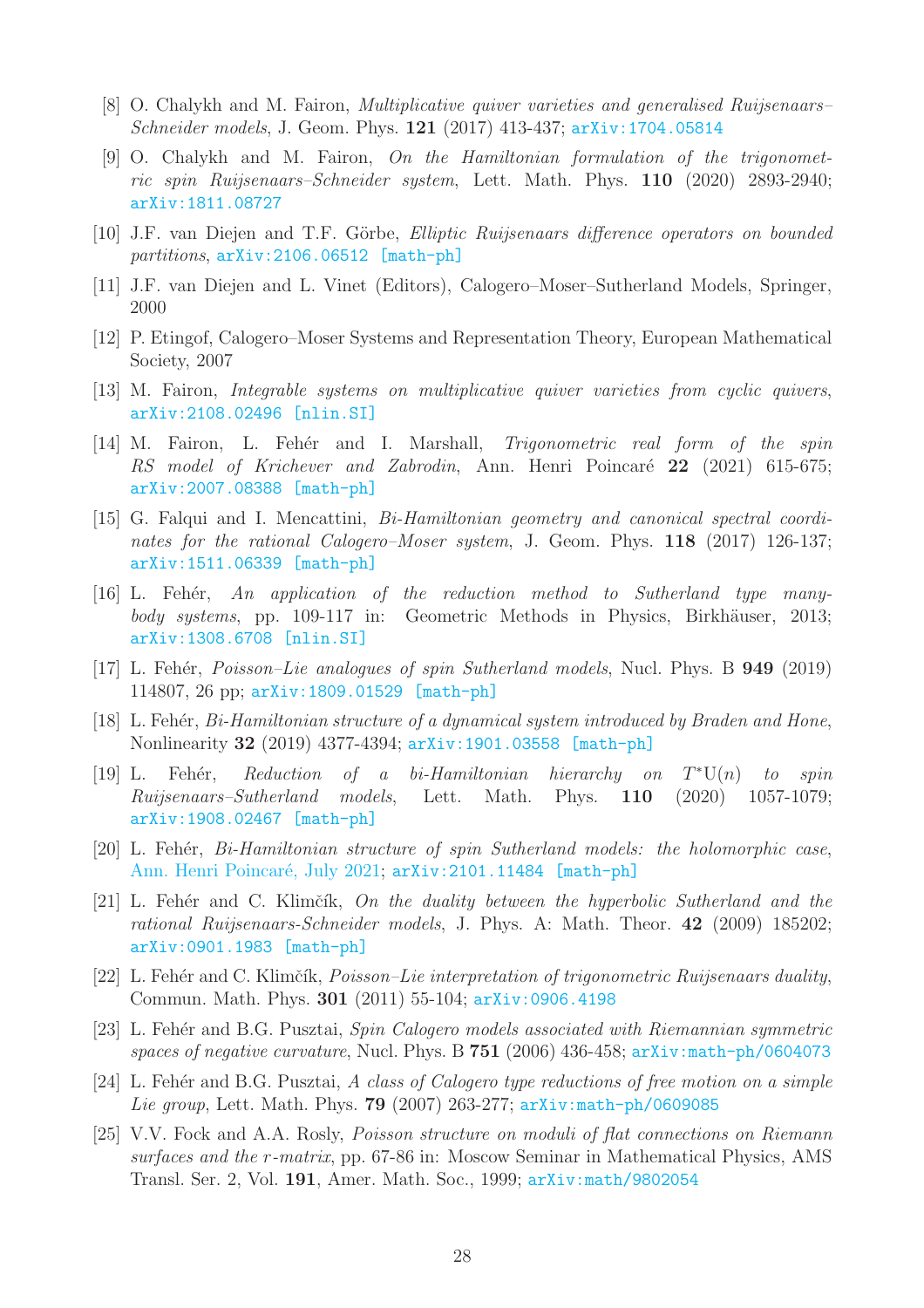- <span id="page-27-3"></span>[8] O. Chalykh and M. Fairon, Multiplicative quiver varieties and generalised Ruijsenaars– Schneider models, J. Geom. Phys. **121** (2017) 413-437; arXiv: 1704.05814
- [9] O. Chalykh and M. Fairon, On the Hamiltonian formulation of the trigonometric spin Ruijsenaars–Schneider system, Lett. Math. Phys. 110 (2020) 2893-2940; [arXiv:1811.08727](https://arxiv.org/abs/1811.08727)
- <span id="page-27-5"></span>[10] J.F. van Diejen and T.F. Görbe, *Elliptic Ruijsenaars difference operators on bounded* partitions, [arXiv:2106.06512 \[math-ph\]](https://arxiv.org/abs/2106.06512)
- <span id="page-27-1"></span><span id="page-27-0"></span>[11] J.F. van Diejen and L. Vinet (Editors), Calogero–Moser–Sutherland Models, Springer, 2000
- [12] P. Etingof, Calogero–Moser Systems and Representation Theory, European Mathematical Society, 2007
- <span id="page-27-6"></span><span id="page-27-4"></span>[13] M. Fairon, Integrable systems on multiplicative quiver varieties from cyclic quivers, [arXiv:2108.02496 \[nlin.SI\]](https://arxiv.org/abs/2108.02496)
- [14] M. Fairon, L. Fehér and I. Marshall, *Trigonometric real form of the spin* RS model of Krichever and Zabrodin, Ann. Henri Poincaré 22 (2021) 615-675; [arXiv:2007.08388 \[math-ph\]](https://arxiv.org/abs/2007.08388)
- <span id="page-27-7"></span>[15] G. Falqui and I. Mencattini, Bi-Hamiltonian geometry and canonical spectral coordinates for the rational Calogero–Moser system, J. Geom. Phys. 118 (2017) 126-137; [arXiv:1511.06339 \[math-ph\]](https://arxiv.org/abs/1511.06339)
- <span id="page-27-11"></span>[16] L. Fehér, An application of the reduction method to Sutherland type manybody systems, pp. 109-117 in: Geometric Methods in Physics, Birkhäuser, 2013; [arXiv:1308.6708 \[nlin.SI\]](https://arxiv.org/abs/1308.6708)
- <span id="page-27-2"></span>[17] L. Fehér, *Poisson–Lie analogues of spin Sutherland models*, Nucl. Phys. B **949** (2019) 114807, 26 pp; [arXiv:1809.01529 \[math-ph\]](https://arxiv.org/abs/1809.01529)
- <span id="page-27-8"></span>[18] L. Fehér, Bi-Hamiltonian structure of a dynamical system introduced by Braden and Hone, Nonlinearity 32 (2019) 4377-4394; [arXiv:1901.03558 \[math-ph\]](https://arxiv.org/abs/1901.03558)
- <span id="page-27-9"></span> $[19]$  L. Fehér, Reduction of a bi-Hamiltonian hierarchy on  $T^*U(n)$  to spin Ruijsenaars–Sutherland models, Lett. Math. Phys. 110 (2020) 1057-1079; [arXiv:1908.02467 \[math-ph\]](https://arxiv.org/abs/1908.02467)
- <span id="page-27-10"></span>[20] L. Fehér, *Bi-Hamiltonian structure of spin Sutherland models: the holomorphic case*, Ann. Henri Poincaré, July 2021; [arXiv:2101.11484 \[math-ph\]](https://arxiv.org/abs/2101.11484)
- <span id="page-27-13"></span>[21] L. Fehér and C. Klimčík, On the duality between the hyperbolic Sutherland and the rational Ruijsenaars-Schneider models, J. Phys. A: Math. Theor. 42 (2009) 185202; [arXiv:0901.1983 \[math-ph\]](https://arxiv.org/abs/0901.1983)
- <span id="page-27-15"></span>[22] L. Fehér and C. Klimčík, *Poisson–Lie interpretation of trigonometric Ruijsenaars duality*, Commun. Math. Phys. 301 (2011) 55-104; [arXiv:0906.4198](https://arxiv.org/abs/0906.4198)
- <span id="page-27-14"></span>[23] L. Fehér and B.G. Pusztai, Spin Calogero models associated with Riemannian symmetric spaces of negative curvature, Nucl. Phys. B  $751$  (2006) 436-458; [arXiv:math-ph/0604073](https://arxiv.org/abs/math-ph/0604073)
- <span id="page-27-12"></span>[24] L. Fehér and B.G. Pusztai, A class of Calogero type reductions of free motion on a simple Lie group, Lett. Math. Phys. **79** (2007) 263-277; [arXiv:math-ph/0609085](https://arxiv.org/abs/math-ph/0609085)
- <span id="page-27-16"></span>[25] V.V. Fock and A.A. Rosly, Poisson structure on moduli of flat connections on Riemann surfaces and the r-matrix, pp. 67-86 in: Moscow Seminar in Mathematical Physics, AMS Transl. Ser. 2, Vol. 191, Amer. Math. Soc., 1999; [arXiv:math/9802054](https://arxiv.org/abs/math/9802054)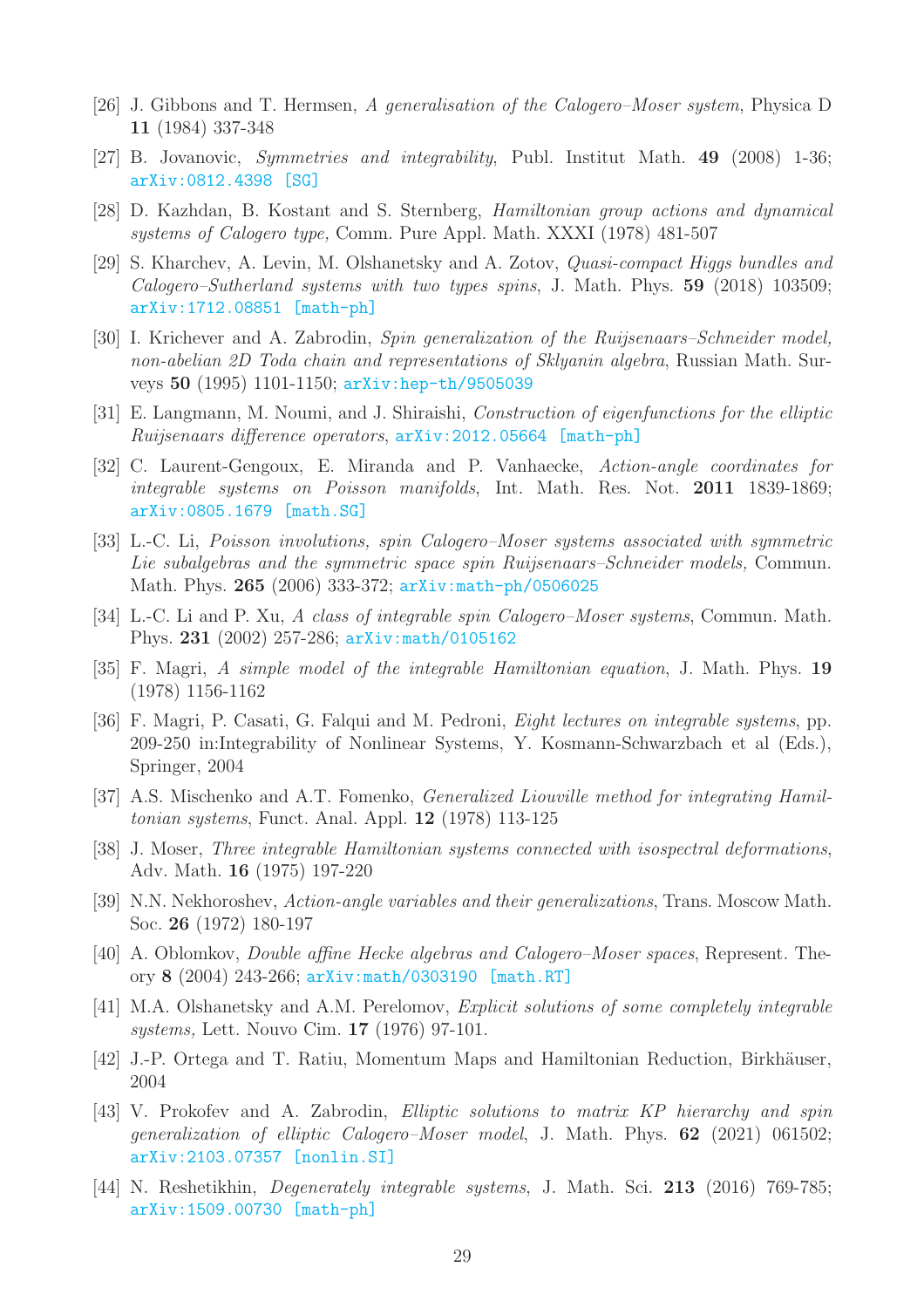- <span id="page-28-1"></span>[26] J. Gibbons and T. Hermsen, A generalisation of the Calogero–Moser system, Physica D 11 (1984) 337-348
- <span id="page-28-17"></span><span id="page-28-10"></span>[27] B. Jovanovic, Symmetries and integrability, Publ. Institut Math. 49 (2008) 1-36; [arXiv:0812.4398 \[SG\]](https://arxiv.org/abs/0812.4398)
- [28] D. Kazhdan, B. Kostant and S. Sternberg, Hamiltonian group actions and dynamical systems of Calogero type, Comm. Pure Appl. Math. XXXI (1978) 481-507
- <span id="page-28-8"></span>[29] S. Kharchev, A. Levin, M. Olshanetsky and A. Zotov, Quasi-compact Higgs bundles and Calogero–Sutherland systems with two types spins, J. Math. Phys. 59 (2018) 103509; [arXiv:1712.08851 \[math-ph\]](https://arxiv.org/abs/1712.08851)
- <span id="page-28-2"></span>[30] I. Krichever and A. Zabrodin, Spin generalization of the Ruijsenaars–Schneider model, non-abelian 2D Toda chain and representations of Sklyanin algebra, Russian Math. Surveys 50 (1995) 1101-1150; [arXiv:hep-th/9505039](https://arxiv.org/abs/hep-th/9505039)
- <span id="page-28-4"></span>[31] E. Langmann, M. Noumi, and J. Shiraishi, Construction of eigenfunctions for the elliptic Ruijsenaars difference operators, [arXiv:2012.05664 \[math-ph\]](https://arxiv.org/abs/2012.05664)
- <span id="page-28-13"></span>[32] C. Laurent-Gengoux, E. Miranda and P. Vanhaecke, Action-angle coordinates for integrable systems on Poisson manifolds, Int. Math. Res. Not. 2011 1839-1869; [arXiv:0805.1679 \[math.SG\]](https://arxiv.org/abs/0805.1679)
- <span id="page-28-16"></span>[33] L.-C. Li, Poisson involutions, spin Calogero–Moser systems associated with symmetric Lie subalgebras and the symmetric space spin Ruijsenaars–Schneider models, Commun. Math. Phys. 265 (2006) 333-372; [arXiv:math-ph/0506025](https://arxiv.org/abs/math-ph/0506025)
- <span id="page-28-3"></span>[34] L.-C. Li and P. Xu, A class of integrable spin Calogero-Moser systems, Commun. Math. Phys. 231 (2002) 257-286; [arXiv:math/0105162](https://arxiv.org/abs/math/0105162)
- <span id="page-28-6"></span>[35] F. Magri, A simple model of the integrable Hamiltonian equation, J. Math. Phys. 19 (1978) 1156-1162
- <span id="page-28-7"></span>[36] F. Magri, P. Casati, G. Falqui and M. Pedroni, *Eight lectures on integrable systems*, pp. 209-250 in:Integrability of Nonlinear Systems, Y. Kosmann-Schwarzbach et al (Eds.), Springer, 2004
- <span id="page-28-14"></span>[37] A.S. Mischenko and A.T. Fomenko, Generalized Liouville method for integrating Hamiltonian systems, Funct. Anal. Appl. 12 (1978) 113-125
- <span id="page-28-0"></span>[38] J. Moser, Three integrable Hamiltonian systems connected with isospectral deformations, Adv. Math. 16 (1975) 197-220
- <span id="page-28-12"></span>[39] N.N. Nekhoroshev, Action-angle variables and their generalizations, Trans. Moscow Math. Soc. 26 (1972) 180-197
- <span id="page-28-18"></span>[40] A. Oblomkov, Double affine Hecke algebras and Calogero–Moser spaces, Represent. Theory 8 (2004) 243-266; [arXiv:math/0303190 \[math.RT\]](https://arxiv.org/abs/math/0303190)
- <span id="page-28-9"></span>[41] M.A. Olshanetsky and A.M. Perelomov, Explicit solutions of some completely integrable systems, Lett. Nouvo Cim. 17 (1976) 97-101.
- <span id="page-28-11"></span>[42] J.-P. Ortega and T. Ratiu, Momentum Maps and Hamiltonian Reduction, Birkhäuser, 2004
- <span id="page-28-5"></span>[43] V. Prokofev and A. Zabrodin, Elliptic solutions to matrix KP hierarchy and spin generalization of elliptic Calogero–Moser model, J. Math. Phys. 62 (2021) 061502; [arXiv:2103.07357 \[nonlin.SI\]](https://arxiv.org/abs/2103.07357)
- <span id="page-28-15"></span>[44] N. Reshetikhin, Degenerately integrable systems, J. Math. Sci. 213 (2016) 769-785; [arXiv:1509.00730 \[math-ph\]](https://arxiv.org/abs/1509.00730)